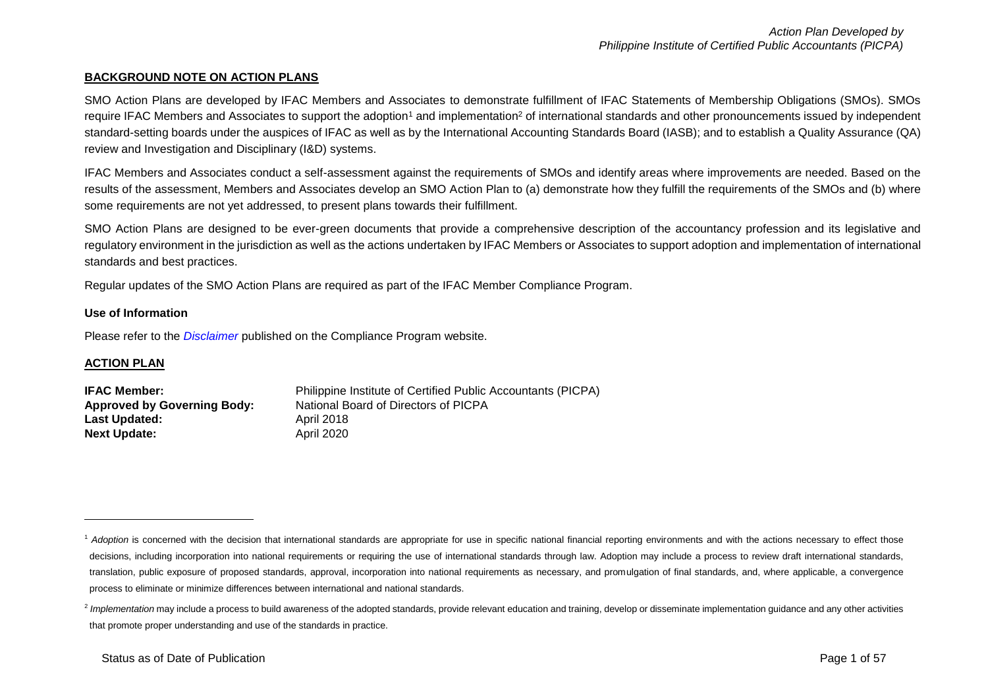### **BACKGROUND NOTE ON ACTION PLANS**

SMO Action Plans are developed by IFAC Members and Associates to demonstrate fulfillment of IFAC Statements of Membership Obligations (SMOs). SMOs require IFAC Members and Associates to support the adoption<sup>1</sup> and implementation<sup>2</sup> of international standards and other pronouncements issued by independent standard-setting boards under the auspices of IFAC as well as by the International Accounting Standards Board (IASB); and to establish a Quality Assurance (QA) review and Investigation and Disciplinary (I&D) systems.

IFAC Members and Associates conduct a self-assessment against the requirements of SMOs and identify areas where improvements are needed. Based on the results of the assessment, Members and Associates develop an SMO Action Plan to (a) demonstrate how they fulfill the requirements of the SMOs and (b) where some requirements are not yet addressed, to present plans towards their fulfillment.

SMO Action Plans are designed to be ever-green documents that provide a comprehensive description of the accountancy profession and its legislative and regulatory environment in the jurisdiction as well as the actions undertaken by IFAC Members or Associates to support adoption and implementation of international standards and best practices.

Regular updates of the SMO Action Plans are required as part of the IFAC Member Compliance Program.

#### **Use of Information**

Please refer to the *[Disclaimer](http://www.ifac.org/about-ifac/membership/members/disclaimer)* published on the Compliance Program website.

#### **ACTION PLAN**

1

| <b>IFAC Member:</b>                | Philippine Institute of Certified Public Accountants (PICPA) |
|------------------------------------|--------------------------------------------------------------|
| <b>Approved by Governing Body:</b> | National Board of Directors of PICPA                         |
| <b>Last Updated:</b>               | April 2018                                                   |
| <b>Next Update:</b>                | April 2020                                                   |

<sup>&</sup>lt;sup>1</sup> Adoption is concerned with the decision that international standards are appropriate for use in specific national financial reporting environments and with the actions necessary to effect those decisions, including incorporation into national requirements or requiring the use of international standards through law. Adoption may include a process to review draft international standards, translation, public exposure of proposed standards, approval, incorporation into national requirements as necessary, and promulgation of final standards, and, where applicable, a convergence process to eliminate or minimize differences between international and national standards.

<sup>&</sup>lt;sup>2</sup> Implementation may include a process to build awareness of the adopted standards, provide relevant education and training, develop or disseminate implementation guidance and any other activities that promote proper understanding and use of the standards in practice.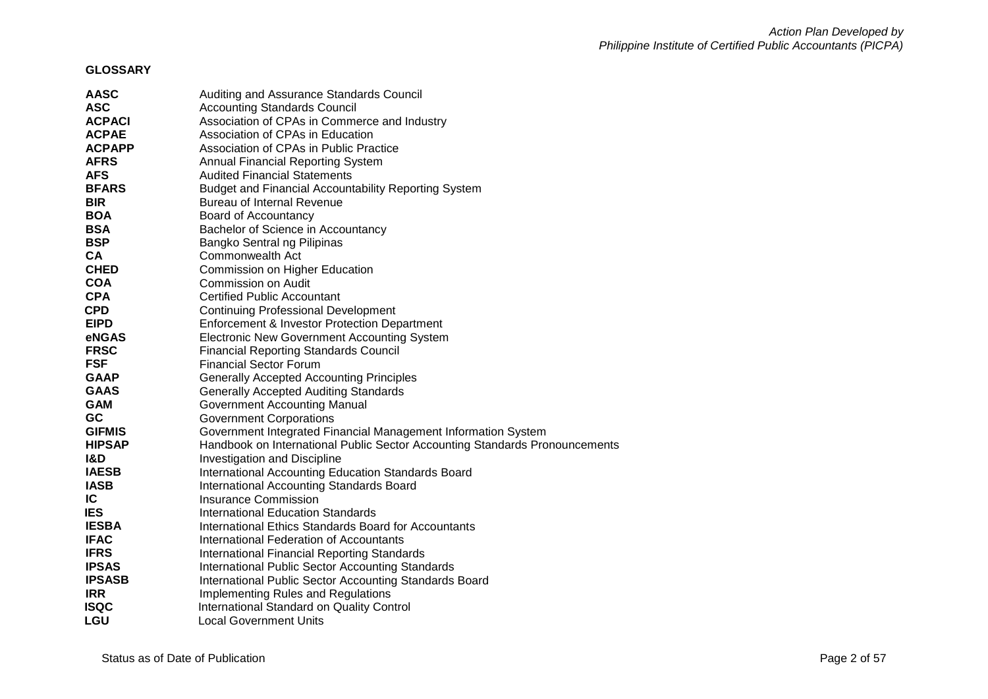# **GLOSSARY**

| <b>AASC</b>   | Auditing and Assurance Standards Council                                    |
|---------------|-----------------------------------------------------------------------------|
| <b>ASC</b>    | <b>Accounting Standards Council</b>                                         |
| <b>ACPACI</b> | Association of CPAs in Commerce and Industry                                |
| <b>ACPAE</b>  | Association of CPAs in Education                                            |
| <b>ACPAPP</b> | Association of CPAs in Public Practice                                      |
| <b>AFRS</b>   | <b>Annual Financial Reporting System</b>                                    |
| <b>AFS</b>    | <b>Audited Financial Statements</b>                                         |
| <b>BFARS</b>  | <b>Budget and Financial Accountability Reporting System</b>                 |
| <b>BIR</b>    | Bureau of Internal Revenue                                                  |
| <b>BOA</b>    | Board of Accountancy                                                        |
| <b>BSA</b>    | Bachelor of Science in Accountancy                                          |
| <b>BSP</b>    | Bangko Sentral ng Pilipinas                                                 |
| <b>CA</b>     | Commonwealth Act                                                            |
| <b>CHED</b>   | Commission on Higher Education                                              |
| <b>COA</b>    | Commission on Audit                                                         |
| <b>CPA</b>    | <b>Certified Public Accountant</b>                                          |
| <b>CPD</b>    | <b>Continuing Professional Development</b>                                  |
| <b>EIPD</b>   | Enforcement & Investor Protection Department                                |
| eNGAS         | <b>Electronic New Government Accounting System</b>                          |
| <b>FRSC</b>   | <b>Financial Reporting Standards Council</b>                                |
| <b>FSF</b>    | <b>Financial Sector Forum</b>                                               |
| <b>GAAP</b>   | <b>Generally Accepted Accounting Principles</b>                             |
| <b>GAAS</b>   | <b>Generally Accepted Auditing Standards</b>                                |
| <b>GAM</b>    | <b>Government Accounting Manual</b>                                         |
| GC            | <b>Government Corporations</b>                                              |
| <b>GIFMIS</b> | Government Integrated Financial Management Information System               |
| <b>HIPSAP</b> | Handbook on International Public Sector Accounting Standards Pronouncements |
| 1&D           | <b>Investigation and Discipline</b>                                         |
| <b>IAESB</b>  | International Accounting Education Standards Board                          |
| <b>IASB</b>   | <b>International Accounting Standards Board</b>                             |
| IC            | Insurance Commission                                                        |
| <b>IES</b>    | <b>International Education Standards</b>                                    |
| <b>IESBA</b>  | International Ethics Standards Board for Accountants                        |
| <b>IFAC</b>   | International Federation of Accountants                                     |
| <b>IFRS</b>   | <b>International Financial Reporting Standards</b>                          |
| <b>IPSAS</b>  | <b>International Public Sector Accounting Standards</b>                     |
| <b>IPSASB</b> | International Public Sector Accounting Standards Board                      |
| <b>IRR</b>    | <b>Implementing Rules and Regulations</b>                                   |
| <b>ISQC</b>   | International Standard on Quality Control                                   |
| LGU           | <b>Local Government Units</b>                                               |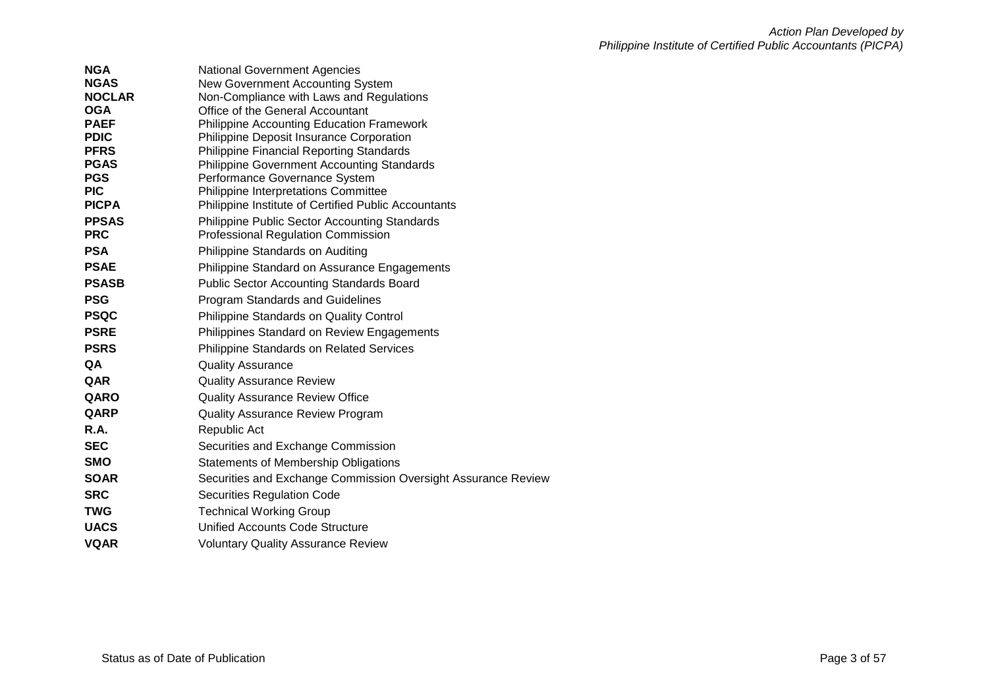| <b>National Government Agencies</b>                                   |
|-----------------------------------------------------------------------|
| New Government Accounting System                                      |
| Non-Compliance with Laws and Regulations                              |
| Office of the General Accountant                                      |
| <b>Philippine Accounting Education Framework</b>                      |
| Philippine Deposit Insurance Corporation                              |
| <b>Philippine Financial Reporting Standards</b>                       |
| <b>Philippine Government Accounting Standards</b>                     |
| Performance Governance System<br>Philippine Interpretations Committee |
| Philippine Institute of Certified Public Accountants                  |
| <b>Philippine Public Sector Accounting Standards</b>                  |
| <b>Professional Regulation Commission</b>                             |
| Philippine Standards on Auditing                                      |
| Philippine Standard on Assurance Engagements                          |
|                                                                       |
| <b>Public Sector Accounting Standards Board</b>                       |
| Program Standards and Guidelines                                      |
| Philippine Standards on Quality Control                               |
| Philippines Standard on Review Engagements                            |
| Philippine Standards on Related Services                              |
| <b>Quality Assurance</b>                                              |
| <b>Quality Assurance Review</b>                                       |
| <b>Quality Assurance Review Office</b>                                |
| <b>Quality Assurance Review Program</b>                               |
| Republic Act                                                          |
| Securities and Exchange Commission                                    |
| Statements of Membership Obligations                                  |
| Securities and Exchange Commission Oversight Assurance Review         |
| Securities Regulation Code                                            |
| <b>Technical Working Group</b>                                        |
| Unified Accounts Code Structure                                       |
| <b>Voluntary Quality Assurance Review</b>                             |
|                                                                       |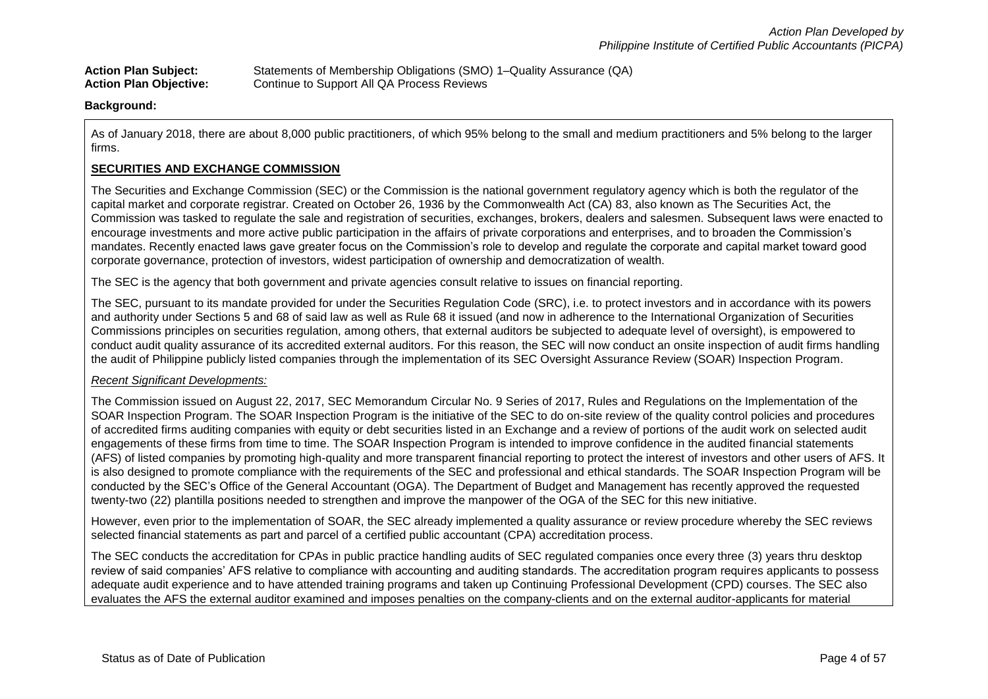Action Plan Subject: Statements of Membership Obligations (SMO) 1–Quality Assurance (QA)<br>**Action Plan Objective:** Continue to Support All QA Process Reviews Continue to Support All QA Process Reviews

**Background:**

As of January 2018, there are about 8,000 public practitioners, of which 95% belong to the small and medium practitioners and 5% belong to the larger firms.

### **SECURITIES AND EXCHANGE COMMISSION**

The Securities and Exchange Commission (SEC) or the Commission is the national government regulatory agency which is both the regulator of the capital market and corporate registrar. Created on October 26, 1936 by the Commonwealth Act (CA) 83, also known as The Securities Act, the Commission was tasked to regulate the sale and registration of securities, exchanges, brokers, dealers and salesmen. Subsequent laws were enacted to encourage investments and more active public participation in the affairs of private corporations and enterprises, and to broaden the Commission's mandates. Recently enacted laws gave greater focus on the Commission's role to develop and regulate the corporate and capital market toward good corporate governance, protection of investors, widest participation of ownership and democratization of wealth.

The SEC is the agency that both government and private agencies consult relative to issues on financial reporting.

The SEC, pursuant to its mandate provided for under the Securities Regulation Code (SRC), i.e. to protect investors and in accordance with its powers and authority under Sections 5 and 68 of said law as well as Rule 68 it issued (and now in adherence to the International Organization of Securities Commissions principles on securities regulation, among others, that external auditors be subjected to adequate level of oversight), is empowered to conduct audit quality assurance of its accredited external auditors. For this reason, the SEC will now conduct an onsite inspection of audit firms handling the audit of Philippine publicly listed companies through the implementation of its SEC Oversight Assurance Review (SOAR) Inspection Program.

### *Recent Significant Developments:*

The Commission issued on August 22, 2017, SEC Memorandum Circular No. 9 Series of 2017, Rules and Regulations on the Implementation of the SOAR Inspection Program. The SOAR Inspection Program is the initiative of the SEC to do on-site review of the quality control policies and procedures of accredited firms auditing companies with equity or debt securities listed in an Exchange and a review of portions of the audit work on selected audit engagements of these firms from time to time. The SOAR Inspection Program is intended to improve confidence in the audited financial statements (AFS) of listed companies by promoting high-quality and more transparent financial reporting to protect the interest of investors and other users of AFS. It is also designed to promote compliance with the requirements of the SEC and professional and ethical standards. The SOAR Inspection Program will be conducted by the SEC's Office of the General Accountant (OGA). The Department of Budget and Management has recently approved the requested twenty-two (22) plantilla positions needed to strengthen and improve the manpower of the OGA of the SEC for this new initiative.

However, even prior to the implementation of SOAR, the SEC already implemented a quality assurance or review procedure whereby the SEC reviews selected financial statements as part and parcel of a certified public accountant (CPA) accreditation process.

The SEC conducts the accreditation for CPAs in public practice handling audits of SEC regulated companies once every three (3) years thru desktop review of said companies' AFS relative to compliance with accounting and auditing standards. The accreditation program requires applicants to possess adequate audit experience and to have attended training programs and taken up Continuing Professional Development (CPD) courses. The SEC also evaluates the AFS the external auditor examined and imposes penalties on the company-clients and on the external auditor-applicants for material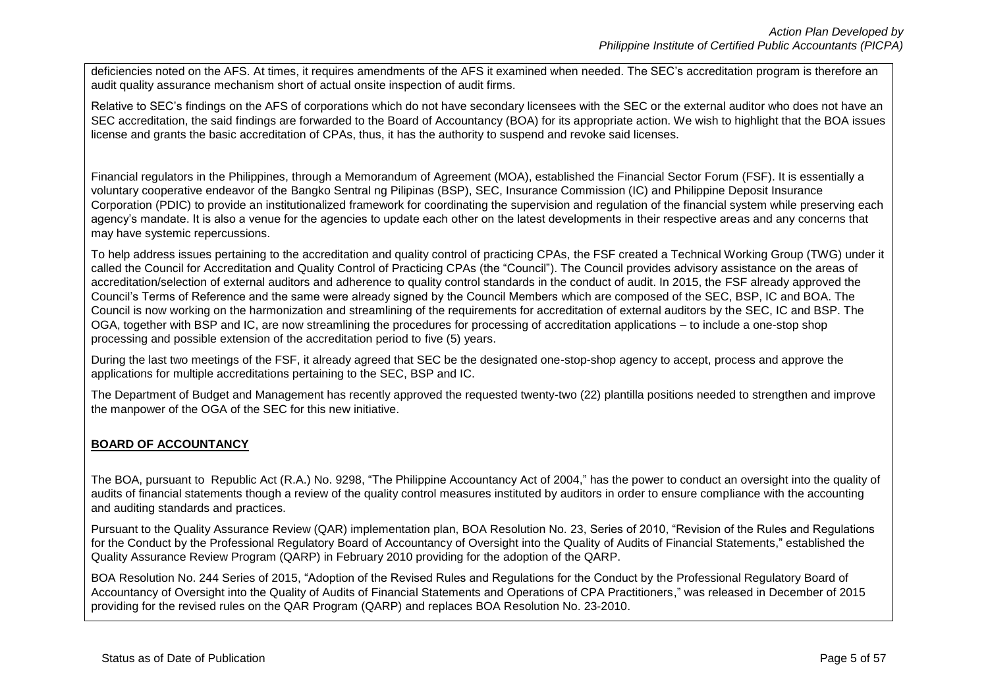deficiencies noted on the AFS. At times, it requires amendments of the AFS it examined when needed. The SEC's accreditation program is therefore an audit quality assurance mechanism short of actual onsite inspection of audit firms.

Relative to SEC's findings on the AFS of corporations which do not have secondary licensees with the SEC or the external auditor who does not have an SEC accreditation, the said findings are forwarded to the Board of Accountancy (BOA) for its appropriate action. We wish to highlight that the BOA issues license and grants the basic accreditation of CPAs, thus, it has the authority to suspend and revoke said licenses.

Financial regulators in the Philippines, through a Memorandum of Agreement (MOA), established the Financial Sector Forum (FSF). It is essentially a voluntary cooperative endeavor of the Bangko Sentral ng Pilipinas (BSP), SEC, Insurance Commission (IC) and Philippine Deposit Insurance Corporation (PDIC) to provide an institutionalized framework for coordinating the supervision and regulation of the financial system while preserving each agency's mandate. It is also a venue for the agencies to update each other on the latest developments in their respective areas and any concerns that may have systemic repercussions.

To help address issues pertaining to the accreditation and quality control of practicing CPAs, the FSF created a Technical Working Group (TWG) under it called the Council for Accreditation and Quality Control of Practicing CPAs (the "Council"). The Council provides advisory assistance on the areas of accreditation/selection of external auditors and adherence to quality control standards in the conduct of audit. In 2015, the FSF already approved the Council's Terms of Reference and the same were already signed by the Council Members which are composed of the SEC, BSP, IC and BOA. The Council is now working on the harmonization and streamlining of the requirements for accreditation of external auditors by the SEC, IC and BSP. The OGA, together with BSP and IC, are now streamlining the procedures for processing of accreditation applications – to include a one-stop shop processing and possible extension of the accreditation period to five (5) years.

During the last two meetings of the FSF, it already agreed that SEC be the designated one-stop-shop agency to accept, process and approve the applications for multiple accreditations pertaining to the SEC, BSP and IC.

The Department of Budget and Management has recently approved the requested twenty-two (22) plantilla positions needed to strengthen and improve the manpower of the OGA of the SEC for this new initiative.

# **BOARD OF ACCOUNTANCY**

The BOA, pursuant to Republic Act (R.A.) No. 9298, "The Philippine Accountancy Act of 2004," has the power to conduct an oversight into the quality of audits of financial statements though a review of the quality control measures instituted by auditors in order to ensure compliance with the accounting and auditing standards and practices.

Pursuant to the Quality Assurance Review (QAR) implementation plan, BOA Resolution No. 23, Series of 2010, "Revision of the Rules and Regulations for the Conduct by the Professional Regulatory Board of Accountancy of Oversight into the Quality of Audits of Financial Statements," established the Quality Assurance Review Program (QARP) in February 2010 providing for the adoption of the QARP.

BOA Resolution No. 244 Series of 2015, "Adoption of the Revised Rules and Regulations for the Conduct by the Professional Regulatory Board of Accountancy of Oversight into the Quality of Audits of Financial Statements and Operations of CPA Practitioners," was released in December of 2015 providing for the revised rules on the QAR Program (QARP) and replaces BOA Resolution No. 23-2010.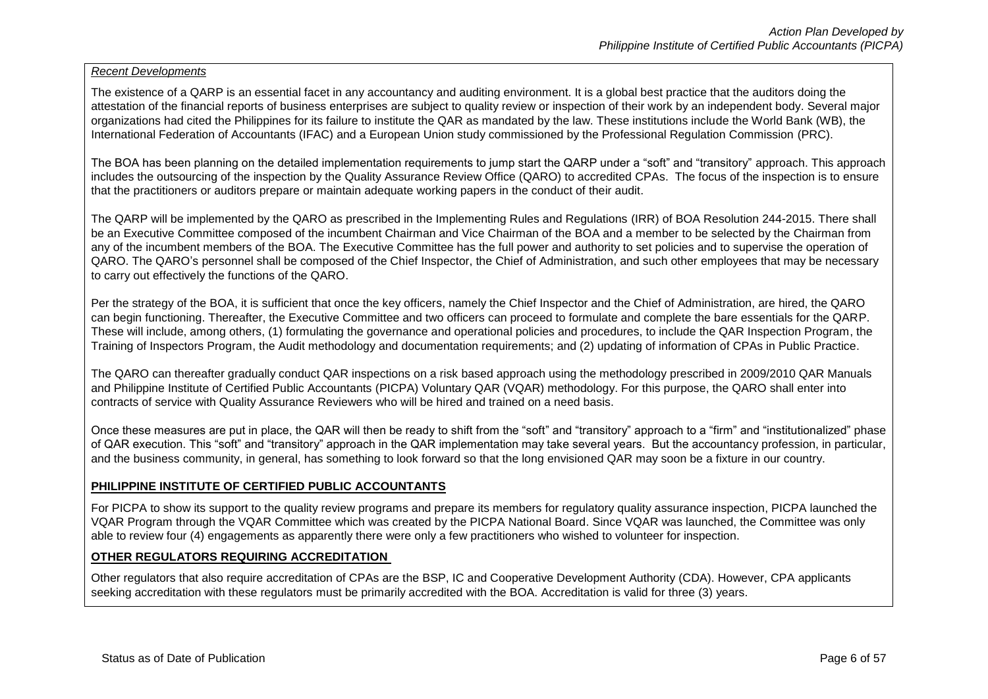### *Recent Developments*

The existence of a QARP is an essential facet in any accountancy and auditing environment. It is a global best practice that the auditors doing the attestation of the financial reports of business enterprises are subject to quality review or inspection of their work by an independent body. Several major organizations had cited the Philippines for its failure to institute the QAR as mandated by the law. These institutions include the World Bank (WB), the International Federation of Accountants (IFAC) and a European Union study commissioned by the Professional Regulation Commission (PRC).

The BOA has been planning on the detailed implementation requirements to jump start the QARP under a "soft" and "transitory" approach. This approach includes the outsourcing of the inspection by the Quality Assurance Review Office (QARO) to accredited CPAs. The focus of the inspection is to ensure that the practitioners or auditors prepare or maintain adequate working papers in the conduct of their audit.

The QARP will be implemented by the QARO as prescribed in the Implementing Rules and Regulations (IRR) of BOA Resolution 244-2015. There shall be an Executive Committee composed of the incumbent Chairman and Vice Chairman of the BOA and a member to be selected by the Chairman from any of the incumbent members of the BOA. The Executive Committee has the full power and authority to set policies and to supervise the operation of QARO. The QARO's personnel shall be composed of the Chief Inspector, the Chief of Administration, and such other employees that may be necessary to carry out effectively the functions of the QARO.

Per the strategy of the BOA, it is sufficient that once the key officers, namely the Chief Inspector and the Chief of Administration, are hired, the QARO can begin functioning. Thereafter, the Executive Committee and two officers can proceed to formulate and complete the bare essentials for the QARP. These will include, among others, (1) formulating the governance and operational policies and procedures, to include the QAR Inspection Program, the Training of Inspectors Program, the Audit methodology and documentation requirements; and (2) updating of information of CPAs in Public Practice.

The QARO can thereafter gradually conduct QAR inspections on a risk based approach using the methodology prescribed in 2009/2010 QAR Manuals and Philippine Institute of Certified Public Accountants (PICPA) Voluntary QAR (VQAR) methodology. For this purpose, the QARO shall enter into contracts of service with Quality Assurance Reviewers who will be hired and trained on a need basis.

Once these measures are put in place, the QAR will then be ready to shift from the "soft" and "transitory" approach to a "firm" and "institutionalized" phase of QAR execution. This "soft" and "transitory" approach in the QAR implementation may take several years. But the accountancy profession, in particular, and the business community, in general, has something to look forward so that the long envisioned QAR may soon be a fixture in our country.

### **PHILIPPINE INSTITUTE OF CERTIFIED PUBLIC ACCOUNTANTS**

For PICPA to show its support to the quality review programs and prepare its members for regulatory quality assurance inspection, PICPA launched the VQAR Program through the VQAR Committee which was created by the PICPA National Board. Since VQAR was launched, the Committee was only able to review four (4) engagements as apparently there were only a few practitioners who wished to volunteer for inspection.

### **OTHER REGULATORS REQUIRING ACCREDITATION**

Other regulators that also require accreditation of CPAs are the BSP, IC and Cooperative Development Authority (CDA). However, CPA applicants seeking accreditation with these regulators must be primarily accredited with the BOA. Accreditation is valid for three (3) years.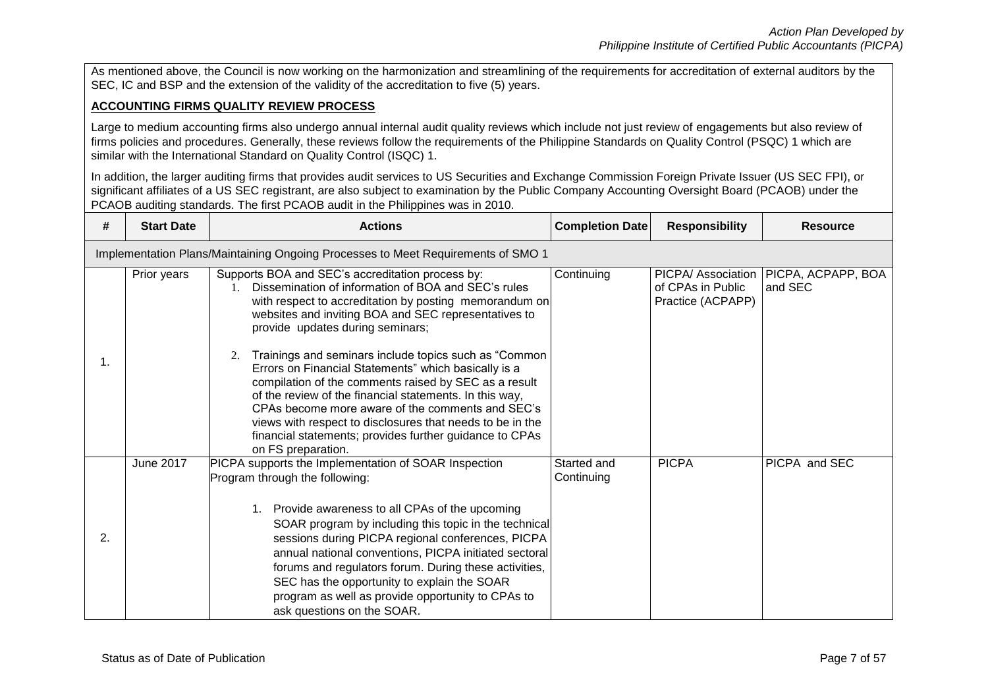As mentioned above, the Council is now working on the harmonization and streamlining of the requirements for accreditation of external auditors by the SEC, IC and BSP and the extension of the validity of the accreditation to five (5) years.

### **ACCOUNTING FIRMS QUALITY REVIEW PROCESS**

Large to medium accounting firms also undergo annual internal audit quality reviews which include not just review of engagements but also review of firms policies and procedures. Generally, these reviews follow the requirements of the Philippine Standards on Quality Control (PSQC) 1 which are similar with the International Standard on Quality Control (ISQC) 1.

In addition, the larger auditing firms that provides audit services to US Securities and Exchange Commission Foreign Private Issuer (US SEC FPI), or significant affiliates of a US SEC registrant, are also subject to examination by the Public Company Accounting Oversight Board (PCAOB) under the PCAOB auditing standards. The first PCAOB audit in the Philippines was in 2010.

| #  | <b>Start Date</b> | <b>Actions</b>                                                                                                                                                                                                                                                                                                                                                                                                     | <b>Completion Date</b>    | <b>Responsibility</b>                  | <b>Resource</b>                                    |
|----|-------------------|--------------------------------------------------------------------------------------------------------------------------------------------------------------------------------------------------------------------------------------------------------------------------------------------------------------------------------------------------------------------------------------------------------------------|---------------------------|----------------------------------------|----------------------------------------------------|
|    |                   | Implementation Plans/Maintaining Ongoing Processes to Meet Requirements of SMO 1                                                                                                                                                                                                                                                                                                                                   |                           |                                        |                                                    |
| 1. | Prior years       | Supports BOA and SEC's accreditation process by:<br>Dissemination of information of BOA and SEC's rules<br>$1 \quad$<br>with respect to accreditation by posting memorandum on<br>websites and inviting BOA and SEC representatives to<br>provide updates during seminars;<br>Trainings and seminars include topics such as "Common<br>2.                                                                          | Continuing                | of CPAs in Public<br>Practice (ACPAPP) | PICPA/ Association   PICPA, ACPAPP, BOA<br>and SEC |
|    |                   | Errors on Financial Statements" which basically is a<br>compilation of the comments raised by SEC as a result<br>of the review of the financial statements. In this way,<br>CPAs become more aware of the comments and SEC's<br>views with respect to disclosures that needs to be in the<br>financial statements; provides further guidance to CPAs<br>on FS preparation.                                         |                           |                                        |                                                    |
|    | <b>June 2017</b>  | PICPA supports the Implementation of SOAR Inspection<br>Program through the following:                                                                                                                                                                                                                                                                                                                             | Started and<br>Continuing | <b>PICPA</b>                           | PICPA and SEC                                      |
| 2. |                   | 1. Provide awareness to all CPAs of the upcoming<br>SOAR program by including this topic in the technical<br>sessions during PICPA regional conferences, PICPA<br>annual national conventions, PICPA initiated sectoral<br>forums and regulators forum. During these activities,<br>SEC has the opportunity to explain the SOAR<br>program as well as provide opportunity to CPAs to<br>ask questions on the SOAR. |                           |                                        |                                                    |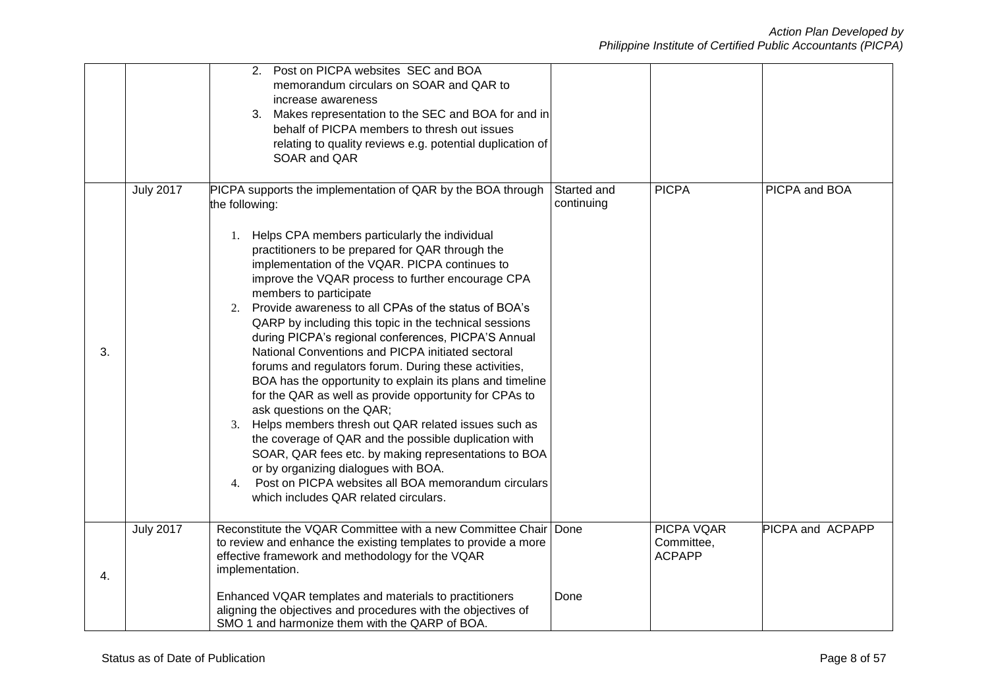|    |                  | 2. Post on PICPA websites SEC and BOA<br>memorandum circulars on SOAR and QAR to<br>increase awareness<br>3. Makes representation to the SEC and BOA for and in<br>behalf of PICPA members to thresh out issues<br>relating to quality reviews e.g. potential duplication of<br>SOAR and QAR                                                                                                                                                                                                                                                                                                                                                                                                                                                                                                                                                                                                                                                                                                                                                                                                     |                           |                                                  |                  |
|----|------------------|--------------------------------------------------------------------------------------------------------------------------------------------------------------------------------------------------------------------------------------------------------------------------------------------------------------------------------------------------------------------------------------------------------------------------------------------------------------------------------------------------------------------------------------------------------------------------------------------------------------------------------------------------------------------------------------------------------------------------------------------------------------------------------------------------------------------------------------------------------------------------------------------------------------------------------------------------------------------------------------------------------------------------------------------------------------------------------------------------|---------------------------|--------------------------------------------------|------------------|
| 3. | <b>July 2017</b> | PICPA supports the implementation of QAR by the BOA through<br>the following:<br>1. Helps CPA members particularly the individual<br>practitioners to be prepared for QAR through the<br>implementation of the VQAR. PICPA continues to<br>improve the VQAR process to further encourage CPA<br>members to participate<br>Provide awareness to all CPAs of the status of BOA's<br>2.<br>QARP by including this topic in the technical sessions<br>during PICPA's regional conferences, PICPA'S Annual<br>National Conventions and PICPA initiated sectoral<br>forums and regulators forum. During these activities,<br>BOA has the opportunity to explain its plans and timeline<br>for the QAR as well as provide opportunity for CPAs to<br>ask questions on the QAR;<br>3. Helps members thresh out QAR related issues such as<br>the coverage of QAR and the possible duplication with<br>SOAR, QAR fees etc. by making representations to BOA<br>or by organizing dialogues with BOA.<br>Post on PICPA websites all BOA memorandum circulars<br>4.<br>which includes QAR related circulars. | Started and<br>continuing | <b>PICPA</b>                                     | PICPA and BOA    |
| 4. | <b>July 2017</b> | Reconstitute the VQAR Committee with a new Committee Chair Done<br>to review and enhance the existing templates to provide a more<br>effective framework and methodology for the VQAR<br>implementation.<br>Enhanced VQAR templates and materials to practitioners<br>aligning the objectives and procedures with the objectives of<br>SMO 1 and harmonize them with the QARP of BOA.                                                                                                                                                                                                                                                                                                                                                                                                                                                                                                                                                                                                                                                                                                            | Done                      | <b>PICPA VQAR</b><br>Committee,<br><b>ACPAPP</b> | PICPA and ACPAPP |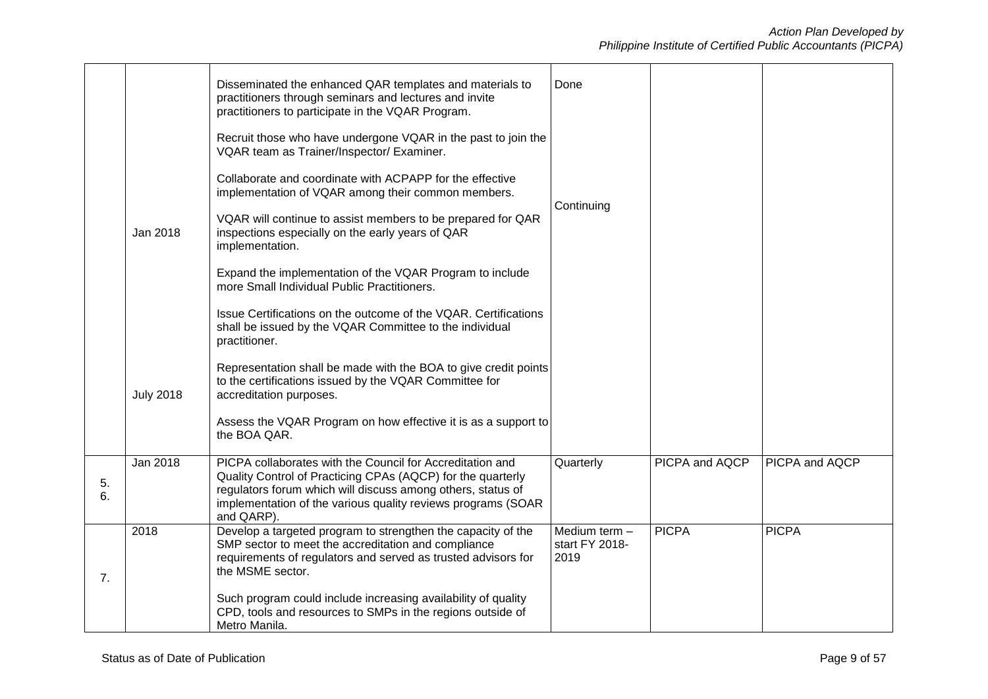|          |                  | Disseminated the enhanced QAR templates and materials to<br>practitioners through seminars and lectures and invite<br>practitioners to participate in the VQAR Program.                                                                                               | Done                                    |                |                |
|----------|------------------|-----------------------------------------------------------------------------------------------------------------------------------------------------------------------------------------------------------------------------------------------------------------------|-----------------------------------------|----------------|----------------|
|          |                  | Recruit those who have undergone VQAR in the past to join the<br>VQAR team as Trainer/Inspector/ Examiner.                                                                                                                                                            |                                         |                |                |
|          |                  | Collaborate and coordinate with ACPAPP for the effective<br>implementation of VQAR among their common members.                                                                                                                                                        |                                         |                |                |
|          | Jan 2018         | VQAR will continue to assist members to be prepared for QAR<br>inspections especially on the early years of QAR<br>implementation.                                                                                                                                    | Continuing                              |                |                |
|          |                  | Expand the implementation of the VQAR Program to include<br>more Small Individual Public Practitioners.                                                                                                                                                               |                                         |                |                |
|          |                  | Issue Certifications on the outcome of the VQAR. Certifications<br>shall be issued by the VQAR Committee to the individual<br>practitioner.                                                                                                                           |                                         |                |                |
|          | <b>July 2018</b> | Representation shall be made with the BOA to give credit points<br>to the certifications issued by the VQAR Committee for<br>accreditation purposes.                                                                                                                  |                                         |                |                |
|          |                  | Assess the VQAR Program on how effective it is as a support to<br>the BOA QAR.                                                                                                                                                                                        |                                         |                |                |
| 5.<br>6. | <b>Jan 2018</b>  | PICPA collaborates with the Council for Accreditation and<br>Quality Control of Practicing CPAs (AQCP) for the quarterly<br>regulators forum which will discuss among others, status of<br>implementation of the various quality reviews programs (SOAR<br>and QARP). | Quarterly                               | PICPA and AQCP | PICPA and AQCP |
| 7.       | 2018             | Develop a targeted program to strengthen the capacity of the<br>SMP sector to meet the accreditation and compliance<br>requirements of regulators and served as trusted advisors for<br>the MSME sector.                                                              | Medium term -<br>start FY 2018-<br>2019 | <b>PICPA</b>   | <b>PICPA</b>   |
|          |                  | Such program could include increasing availability of quality<br>CPD, tools and resources to SMPs in the regions outside of<br>Metro Manila.                                                                                                                          |                                         |                |                |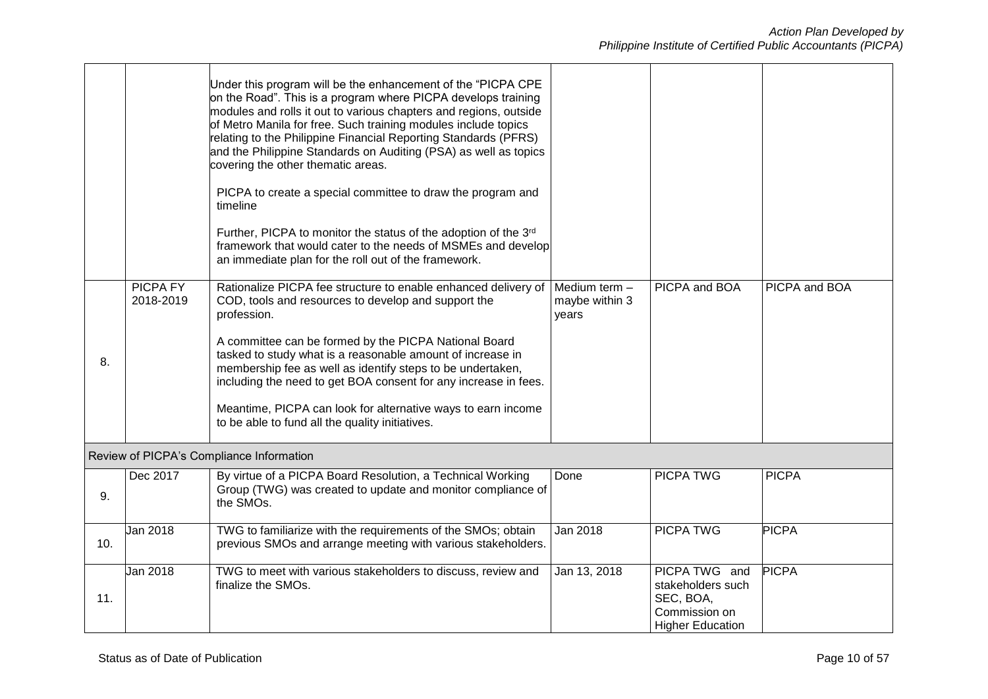|     |                              | Under this program will be the enhancement of the "PICPA CPE<br>on the Road". This is a program where PICPA develops training<br>modules and rolls it out to various chapters and regions, outside<br>of Metro Manila for free. Such training modules include topics<br>relating to the Philippine Financial Reporting Standards (PFRS)<br>and the Philippine Standards on Auditing (PSA) as well as topics<br>covering the other thematic areas.<br>PICPA to create a special committee to draw the program and<br>timeline<br>Further, PICPA to monitor the status of the adoption of the 3rd<br>framework that would cater to the needs of MSMEs and develop<br>an immediate plan for the roll out of the framework. |                                          |                                                                                             |               |
|-----|------------------------------|-------------------------------------------------------------------------------------------------------------------------------------------------------------------------------------------------------------------------------------------------------------------------------------------------------------------------------------------------------------------------------------------------------------------------------------------------------------------------------------------------------------------------------------------------------------------------------------------------------------------------------------------------------------------------------------------------------------------------|------------------------------------------|---------------------------------------------------------------------------------------------|---------------|
| 8.  | <b>PICPA FY</b><br>2018-2019 | Rationalize PICPA fee structure to enable enhanced delivery of<br>COD, tools and resources to develop and support the<br>profession.<br>A committee can be formed by the PICPA National Board<br>tasked to study what is a reasonable amount of increase in<br>membership fee as well as identify steps to be undertaken,<br>including the need to get BOA consent for any increase in fees.<br>Meantime, PICPA can look for alternative ways to earn income<br>to be able to fund all the quality initiatives.                                                                                                                                                                                                         | Medium term -<br>maybe within 3<br>years | PICPA and BOA                                                                               | PICPA and BOA |
|     |                              | Review of PICPA's Compliance Information                                                                                                                                                                                                                                                                                                                                                                                                                                                                                                                                                                                                                                                                                |                                          |                                                                                             |               |
| 9.  | Dec 2017                     | By virtue of a PICPA Board Resolution, a Technical Working<br>Group (TWG) was created to update and monitor compliance of<br>the SMOs.                                                                                                                                                                                                                                                                                                                                                                                                                                                                                                                                                                                  | Done                                     | <b>PICPA TWG</b>                                                                            | <b>PICPA</b>  |
| 10. | Jan 2018                     | TWG to familiarize with the requirements of the SMOs; obtain<br>previous SMOs and arrange meeting with various stakeholders.                                                                                                                                                                                                                                                                                                                                                                                                                                                                                                                                                                                            | Jan 2018                                 | <b>PICPA TWG</b>                                                                            | <b>PICPA</b>  |
| 11. | Jan 2018                     | TWG to meet with various stakeholders to discuss, review and<br>finalize the SMOs.                                                                                                                                                                                                                                                                                                                                                                                                                                                                                                                                                                                                                                      | Jan 13, 2018                             | PICPA TWG and<br>stakeholders such<br>SEC, BOA,<br>Commission on<br><b>Higher Education</b> | <b>PICPA</b>  |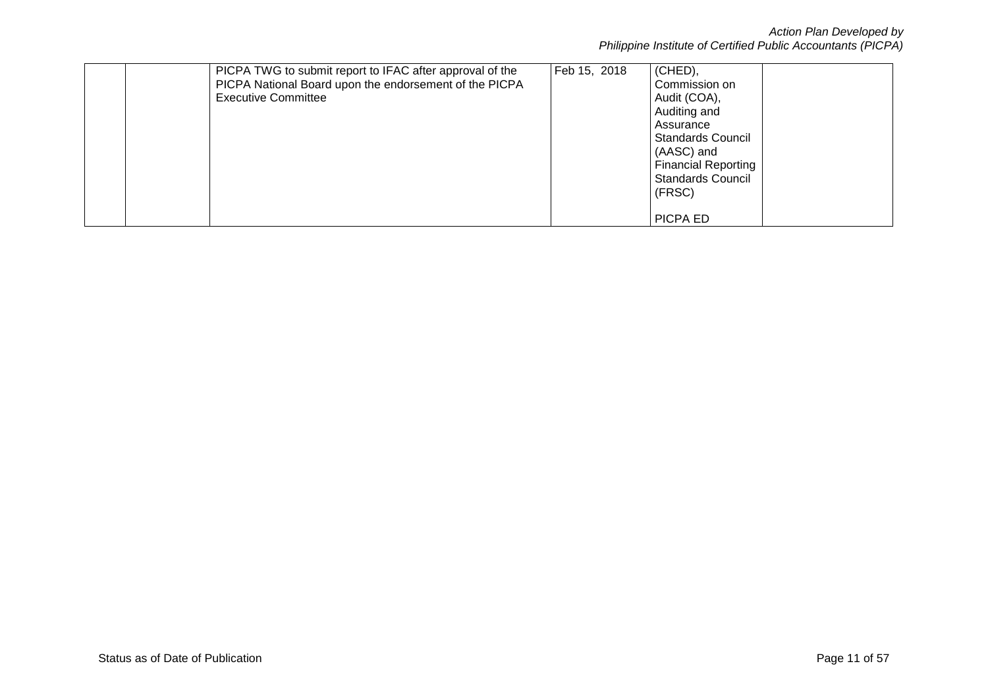*Action Plan Developed by Philippine Institute of Certified Public Accountants (PICPA)*

| PICPA TWG to submit report to IFAC after approval of the<br>PICPA National Board upon the endorsement of the PICPA<br><b>Executive Committee</b> | Feb 15, 2018 | (CHED),<br>Commission on<br>Audit (COA),<br>Auditing and<br>Assurance<br><b>Standards Council</b><br>(AASC) and<br><b>Financial Reporting</b><br><b>Standards Council</b><br>(FRSC) |  |
|--------------------------------------------------------------------------------------------------------------------------------------------------|--------------|-------------------------------------------------------------------------------------------------------------------------------------------------------------------------------------|--|
|                                                                                                                                                  |              | PICPA ED                                                                                                                                                                            |  |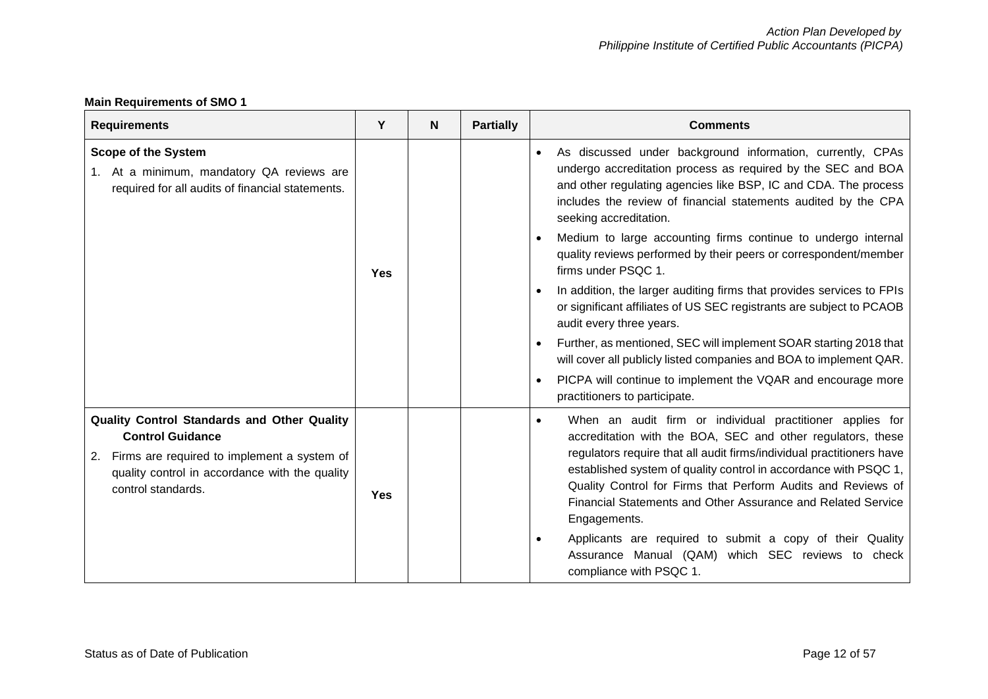# **Main Requirements of SMO 1**

| <b>Requirements</b>                                                                                                                                                                                 | Y          | N | <b>Partially</b> | <b>Comments</b>                                                                                                                                                                                                                                                                                                                                                                                                                                                                                                                                                                                                                                                                                                                                                                                                                                                                |
|-----------------------------------------------------------------------------------------------------------------------------------------------------------------------------------------------------|------------|---|------------------|--------------------------------------------------------------------------------------------------------------------------------------------------------------------------------------------------------------------------------------------------------------------------------------------------------------------------------------------------------------------------------------------------------------------------------------------------------------------------------------------------------------------------------------------------------------------------------------------------------------------------------------------------------------------------------------------------------------------------------------------------------------------------------------------------------------------------------------------------------------------------------|
| <b>Scope of the System</b><br>1. At a minimum, mandatory QA reviews are<br>required for all audits of financial statements.                                                                         | <b>Yes</b> |   |                  | As discussed under background information, currently, CPAs<br>undergo accreditation process as required by the SEC and BOA<br>and other regulating agencies like BSP, IC and CDA. The process<br>includes the review of financial statements audited by the CPA<br>seeking accreditation.<br>Medium to large accounting firms continue to undergo internal<br>quality reviews performed by their peers or correspondent/member<br>firms under PSQC 1.<br>In addition, the larger auditing firms that provides services to FPIs<br>or significant affiliates of US SEC registrants are subject to PCAOB<br>audit every three years.<br>Further, as mentioned, SEC will implement SOAR starting 2018 that<br>will cover all publicly listed companies and BOA to implement QAR.<br>PICPA will continue to implement the VQAR and encourage more<br>practitioners to participate. |
| Quality Control Standards and Other Quality<br><b>Control Guidance</b><br>Firms are required to implement a system of<br>2.<br>quality control in accordance with the quality<br>control standards. | <b>Yes</b> |   |                  | When an audit firm or individual practitioner applies for<br>accreditation with the BOA, SEC and other regulators, these<br>regulators require that all audit firms/individual practitioners have<br>established system of quality control in accordance with PSQC 1,<br>Quality Control for Firms that Perform Audits and Reviews of<br>Financial Statements and Other Assurance and Related Service<br>Engagements.<br>Applicants are required to submit a copy of their Quality<br>Assurance Manual (QAM) which SEC reviews to check<br>compliance with PSQC 1.                                                                                                                                                                                                                                                                                                             |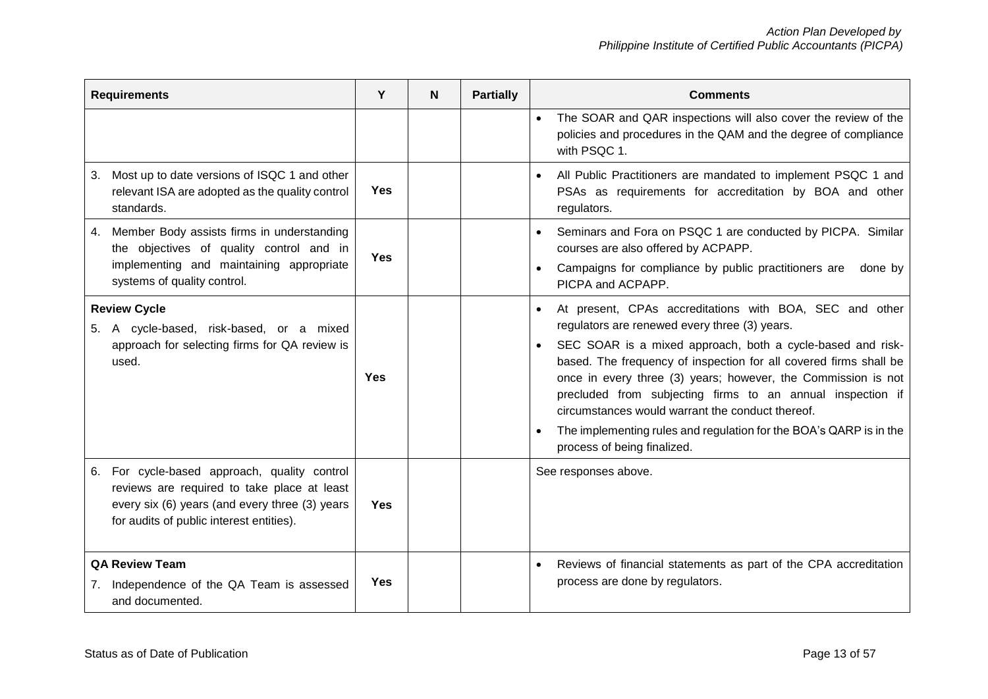| <b>Requirements</b>                                                                                                                                                                       | Y          | N | <b>Partially</b> | <b>Comments</b>                                                                                                                                                                                                                                                                                                                                                                                                                                                                                                                     |
|-------------------------------------------------------------------------------------------------------------------------------------------------------------------------------------------|------------|---|------------------|-------------------------------------------------------------------------------------------------------------------------------------------------------------------------------------------------------------------------------------------------------------------------------------------------------------------------------------------------------------------------------------------------------------------------------------------------------------------------------------------------------------------------------------|
|                                                                                                                                                                                           |            |   |                  | The SOAR and QAR inspections will also cover the review of the<br>policies and procedures in the QAM and the degree of compliance<br>with PSQC 1.                                                                                                                                                                                                                                                                                                                                                                                   |
| Most up to date versions of ISQC 1 and other<br>3.<br>relevant ISA are adopted as the quality control<br>standards.                                                                       | <b>Yes</b> |   |                  | All Public Practitioners are mandated to implement PSQC 1 and<br>PSAs as requirements for accreditation by BOA and other<br>regulators.                                                                                                                                                                                                                                                                                                                                                                                             |
| Member Body assists firms in understanding<br>4.<br>the objectives of quality control and in<br>implementing and maintaining appropriate<br>systems of quality control.                   | <b>Yes</b> |   |                  | Seminars and Fora on PSQC 1 are conducted by PICPA. Similar<br>courses are also offered by ACPAPP.<br>Campaigns for compliance by public practitioners are<br>done by<br>PICPA and ACPAPP.                                                                                                                                                                                                                                                                                                                                          |
| <b>Review Cycle</b><br>5. A cycle-based, risk-based, or a mixed<br>approach for selecting firms for QA review is<br>used.                                                                 | Yes        |   |                  | At present, CPAs accreditations with BOA, SEC and other<br>regulators are renewed every three (3) years.<br>SEC SOAR is a mixed approach, both a cycle-based and risk-<br>based. The frequency of inspection for all covered firms shall be<br>once in every three (3) years; however, the Commission is not<br>precluded from subjecting firms to an annual inspection if<br>circumstances would warrant the conduct thereof.<br>The implementing rules and regulation for the BOA's QARP is in the<br>process of being finalized. |
| 6. For cycle-based approach, quality control<br>reviews are required to take place at least<br>every six (6) years (and every three (3) years<br>for audits of public interest entities). | <b>Yes</b> |   |                  | See responses above.                                                                                                                                                                                                                                                                                                                                                                                                                                                                                                                |
| <b>QA Review Team</b><br>Independence of the QA Team is assessed<br>7.<br>and documented.                                                                                                 | <b>Yes</b> |   |                  | Reviews of financial statements as part of the CPA accreditation<br>process are done by regulators.                                                                                                                                                                                                                                                                                                                                                                                                                                 |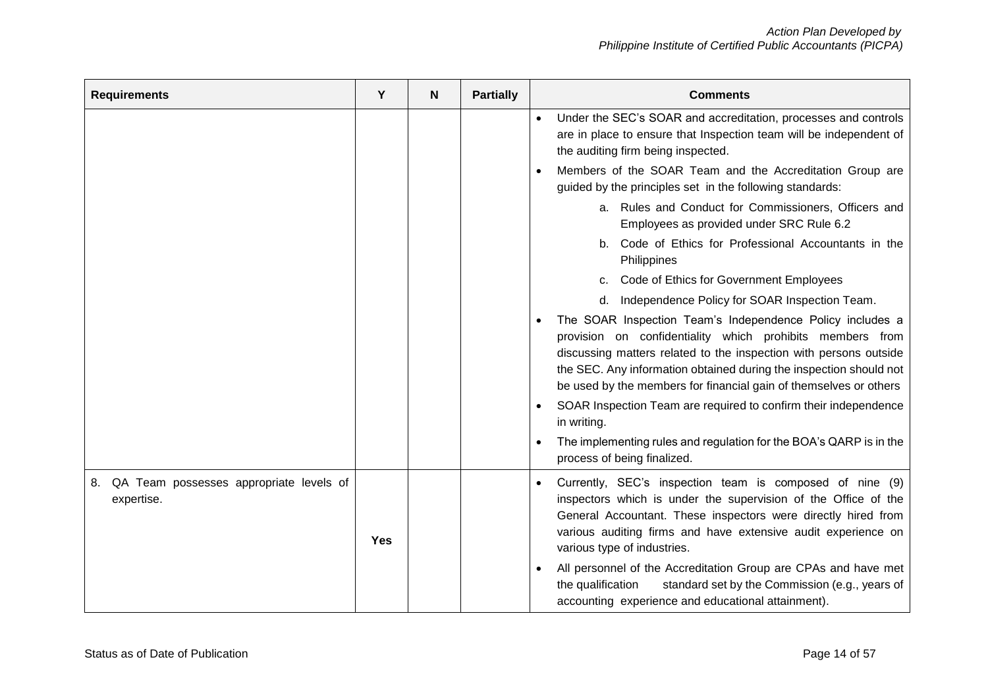| <b>Requirements</b>                                         | Y          | N | <b>Partially</b> | <b>Comments</b>                                                                                                                                                                                                                                                                                                                        |
|-------------------------------------------------------------|------------|---|------------------|----------------------------------------------------------------------------------------------------------------------------------------------------------------------------------------------------------------------------------------------------------------------------------------------------------------------------------------|
|                                                             |            |   |                  | Under the SEC's SOAR and accreditation, processes and controls<br>are in place to ensure that Inspection team will be independent of<br>the auditing firm being inspected.                                                                                                                                                             |
|                                                             |            |   |                  | Members of the SOAR Team and the Accreditation Group are<br>guided by the principles set in the following standards:                                                                                                                                                                                                                   |
|                                                             |            |   |                  | a. Rules and Conduct for Commissioners, Officers and<br>Employees as provided under SRC Rule 6.2                                                                                                                                                                                                                                       |
|                                                             |            |   |                  | b. Code of Ethics for Professional Accountants in the<br>Philippines                                                                                                                                                                                                                                                                   |
|                                                             |            |   |                  | Code of Ethics for Government Employees<br>C.                                                                                                                                                                                                                                                                                          |
|                                                             |            |   |                  | Independence Policy for SOAR Inspection Team.<br>d.                                                                                                                                                                                                                                                                                    |
|                                                             |            |   |                  | The SOAR Inspection Team's Independence Policy includes a<br>provision on confidentiality which prohibits members from<br>discussing matters related to the inspection with persons outside<br>the SEC. Any information obtained during the inspection should not<br>be used by the members for financial gain of themselves or others |
|                                                             |            |   |                  | SOAR Inspection Team are required to confirm their independence<br>in writing.                                                                                                                                                                                                                                                         |
|                                                             |            |   |                  | The implementing rules and regulation for the BOA's QARP is in the<br>process of being finalized.                                                                                                                                                                                                                                      |
| QA Team possesses appropriate levels of<br>8.<br>expertise. | <b>Yes</b> |   |                  | Currently, SEC's inspection team is composed of nine (9)<br>inspectors which is under the supervision of the Office of the<br>General Accountant. These inspectors were directly hired from<br>various auditing firms and have extensive audit experience on<br>various type of industries.                                            |
|                                                             |            |   |                  | All personnel of the Accreditation Group are CPAs and have met<br>standard set by the Commission (e.g., years of<br>the qualification<br>accounting experience and educational attainment).                                                                                                                                            |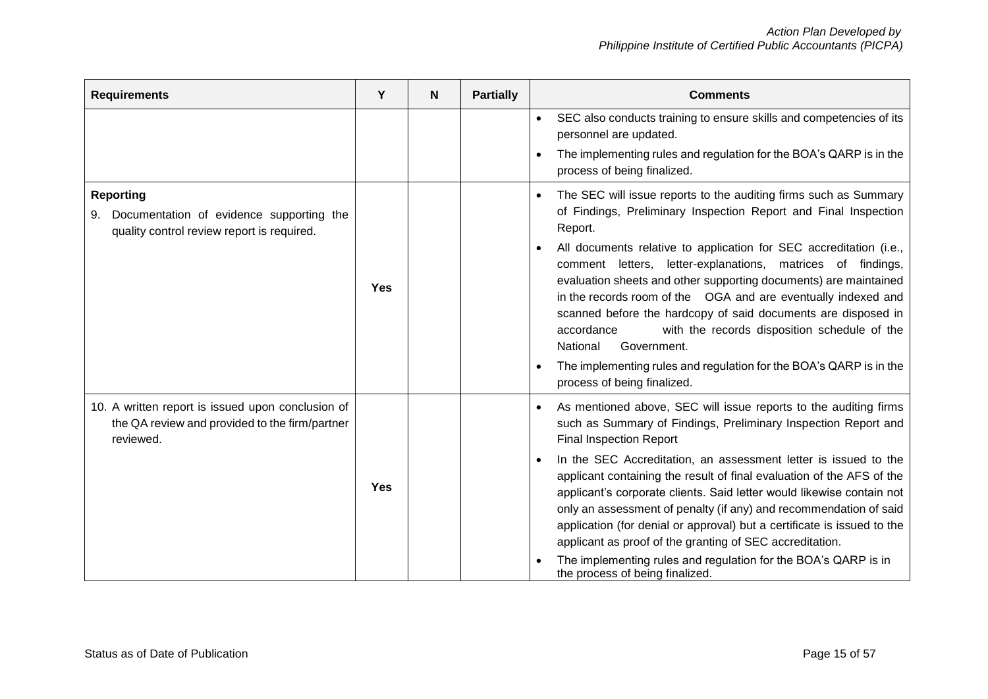|  | SEC also conducts training to ensure skills and competencies of its<br>$\bullet$<br>personnel are updated.<br>The implementing rules and regulation for the BOA's QARP is in the<br>process of being finalized.                                                                                                                                                                                                                                                                                                                                                                                                                                          |
|--|----------------------------------------------------------------------------------------------------------------------------------------------------------------------------------------------------------------------------------------------------------------------------------------------------------------------------------------------------------------------------------------------------------------------------------------------------------------------------------------------------------------------------------------------------------------------------------------------------------------------------------------------------------|
|  |                                                                                                                                                                                                                                                                                                                                                                                                                                                                                                                                                                                                                                                          |
|  |                                                                                                                                                                                                                                                                                                                                                                                                                                                                                                                                                                                                                                                          |
|  | The SEC will issue reports to the auditing firms such as Summary<br>of Findings, Preliminary Inspection Report and Final Inspection<br>Report.<br>All documents relative to application for SEC accreditation (i.e.,<br>comment letters, letter-explanations, matrices of findings,<br>evaluation sheets and other supporting documents) are maintained<br>in the records room of the OGA and are eventually indexed and<br>scanned before the hardcopy of said documents are disposed in<br>with the records disposition schedule of the<br>accordance<br>National<br>Government.<br>The implementing rules and regulation for the BOA's QARP is in the |
|  | process of being finalized.                                                                                                                                                                                                                                                                                                                                                                                                                                                                                                                                                                                                                              |
|  | As mentioned above, SEC will issue reports to the auditing firms<br>such as Summary of Findings, Preliminary Inspection Report and<br><b>Final Inspection Report</b>                                                                                                                                                                                                                                                                                                                                                                                                                                                                                     |
|  | In the SEC Accreditation, an assessment letter is issued to the<br>applicant containing the result of final evaluation of the AFS of the<br>applicant's corporate clients. Said letter would likewise contain not<br>only an assessment of penalty (if any) and recommendation of said<br>application (for denial or approval) but a certificate is issued to the<br>applicant as proof of the granting of SEC accreditation.<br>The implementing rules and regulation for the BOA's QARP is in                                                                                                                                                          |
|  |                                                                                                                                                                                                                                                                                                                                                                                                                                                                                                                                                                                                                                                          |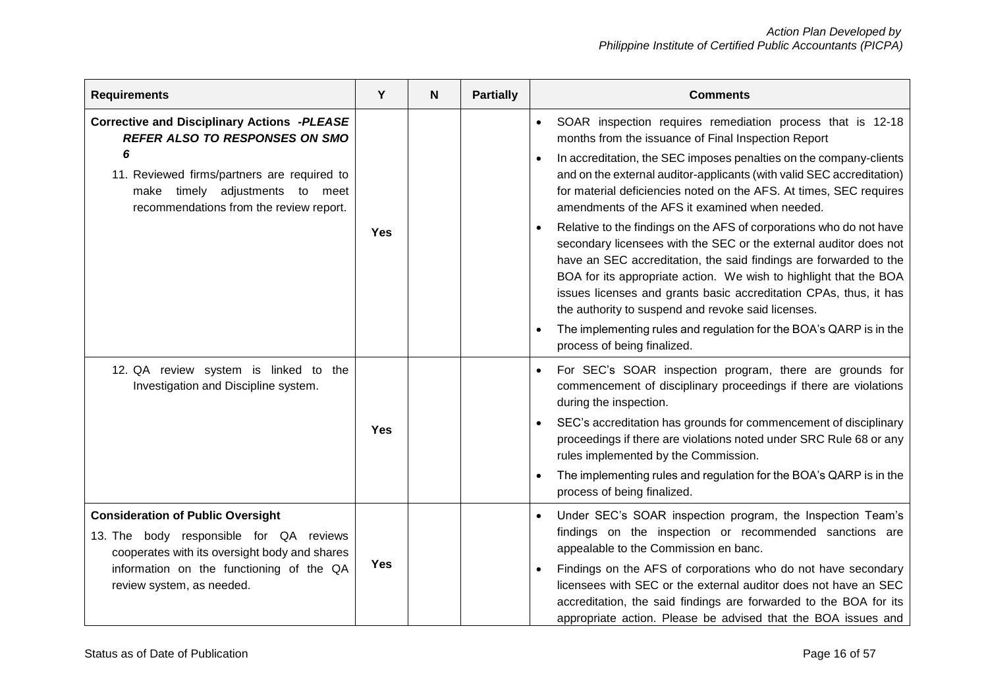| <b>Requirements</b>                                                                                                                                                                                                                 | Y          | N | <b>Partially</b> | <b>Comments</b>                                                                                                                                                                                                                                                                                                                                                                                                                                                                                                                                                                                                                                                                                                                                                                                                                                                                                                             |
|-------------------------------------------------------------------------------------------------------------------------------------------------------------------------------------------------------------------------------------|------------|---|------------------|-----------------------------------------------------------------------------------------------------------------------------------------------------------------------------------------------------------------------------------------------------------------------------------------------------------------------------------------------------------------------------------------------------------------------------------------------------------------------------------------------------------------------------------------------------------------------------------------------------------------------------------------------------------------------------------------------------------------------------------------------------------------------------------------------------------------------------------------------------------------------------------------------------------------------------|
| <b>Corrective and Disciplinary Actions -PLEASE</b><br><b>REFER ALSO TO RESPONSES ON SMO</b><br>6<br>11. Reviewed firms/partners are required to<br>timely adjustments<br>to meet<br>make<br>recommendations from the review report. | <b>Yes</b> |   |                  | SOAR inspection requires remediation process that is 12-18<br>$\bullet$<br>months from the issuance of Final Inspection Report<br>In accreditation, the SEC imposes penalties on the company-clients<br>and on the external auditor-applicants (with valid SEC accreditation)<br>for material deficiencies noted on the AFS. At times, SEC requires<br>amendments of the AFS it examined when needed.<br>Relative to the findings on the AFS of corporations who do not have<br>secondary licensees with the SEC or the external auditor does not<br>have an SEC accreditation, the said findings are forwarded to the<br>BOA for its appropriate action. We wish to highlight that the BOA<br>issues licenses and grants basic accreditation CPAs, thus, it has<br>the authority to suspend and revoke said licenses.<br>The implementing rules and regulation for the BOA's QARP is in the<br>process of being finalized. |
| 12. QA review system is linked to the<br>Investigation and Discipline system.                                                                                                                                                       | <b>Yes</b> |   |                  | For SEC's SOAR inspection program, there are grounds for<br>commencement of disciplinary proceedings if there are violations<br>during the inspection.<br>SEC's accreditation has grounds for commencement of disciplinary<br>proceedings if there are violations noted under SRC Rule 68 or any<br>rules implemented by the Commission.<br>The implementing rules and regulation for the BOA's QARP is in the<br>process of being finalized.                                                                                                                                                                                                                                                                                                                                                                                                                                                                               |
| <b>Consideration of Public Oversight</b><br>13. The body responsible for QA reviews<br>cooperates with its oversight body and shares<br>information on the functioning of the QA<br>review system, as needed.                       | <b>Yes</b> |   |                  | Under SEC's SOAR inspection program, the Inspection Team's<br>findings on the inspection or recommended sanctions are<br>appealable to the Commission en banc.<br>Findings on the AFS of corporations who do not have secondary<br>licensees with SEC or the external auditor does not have an SEC<br>accreditation, the said findings are forwarded to the BOA for its<br>appropriate action. Please be advised that the BOA issues and                                                                                                                                                                                                                                                                                                                                                                                                                                                                                    |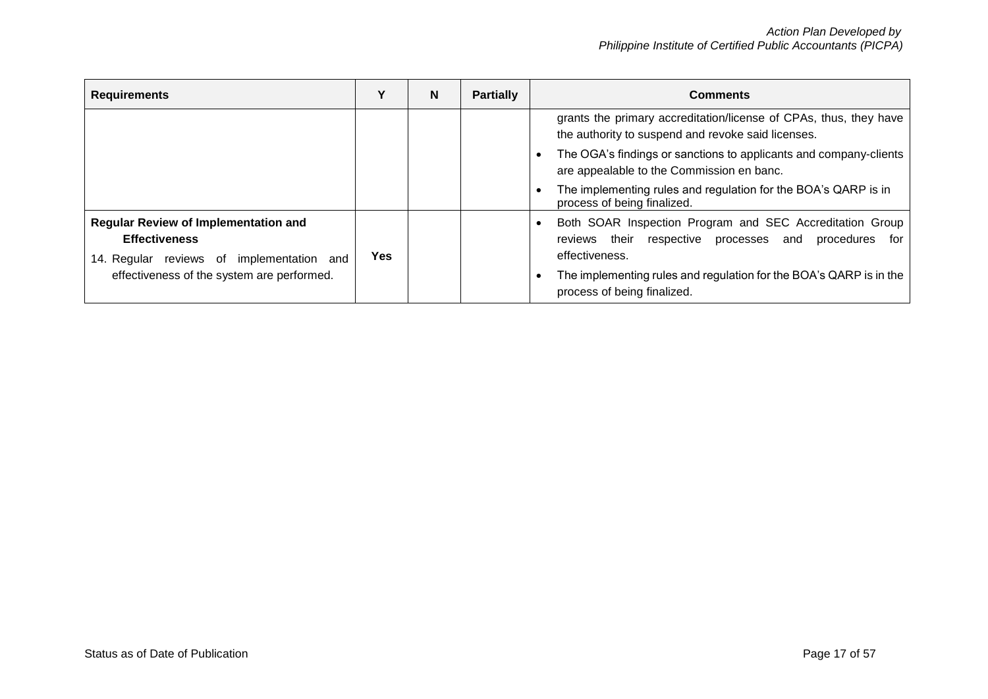| <b>Requirements</b>                                                                                          |            | N | <b>Partially</b> | <b>Comments</b>                                                                                                                              |
|--------------------------------------------------------------------------------------------------------------|------------|---|------------------|----------------------------------------------------------------------------------------------------------------------------------------------|
|                                                                                                              |            |   |                  | grants the primary accreditation/license of CPAs, thus, they have<br>the authority to suspend and revoke said licenses.                      |
|                                                                                                              |            |   |                  | The OGA's findings or sanctions to applicants and company-clients<br>are appealable to the Commission en banc.                               |
|                                                                                                              |            |   |                  | The implementing rules and regulation for the BOA's QARP is in<br>process of being finalized.                                                |
| Regular Review of Implementation and<br><b>Effectiveness</b><br>implementation and<br>14. Regular reviews of | <b>Yes</b> |   |                  | Both SOAR Inspection Program and SEC Accreditation Group<br>their respective processes and<br>procedures<br>for<br>reviews<br>effectiveness. |
| effectiveness of the system are performed.                                                                   |            |   |                  | The implementing rules and regulation for the BOA's QARP is in the<br>process of being finalized.                                            |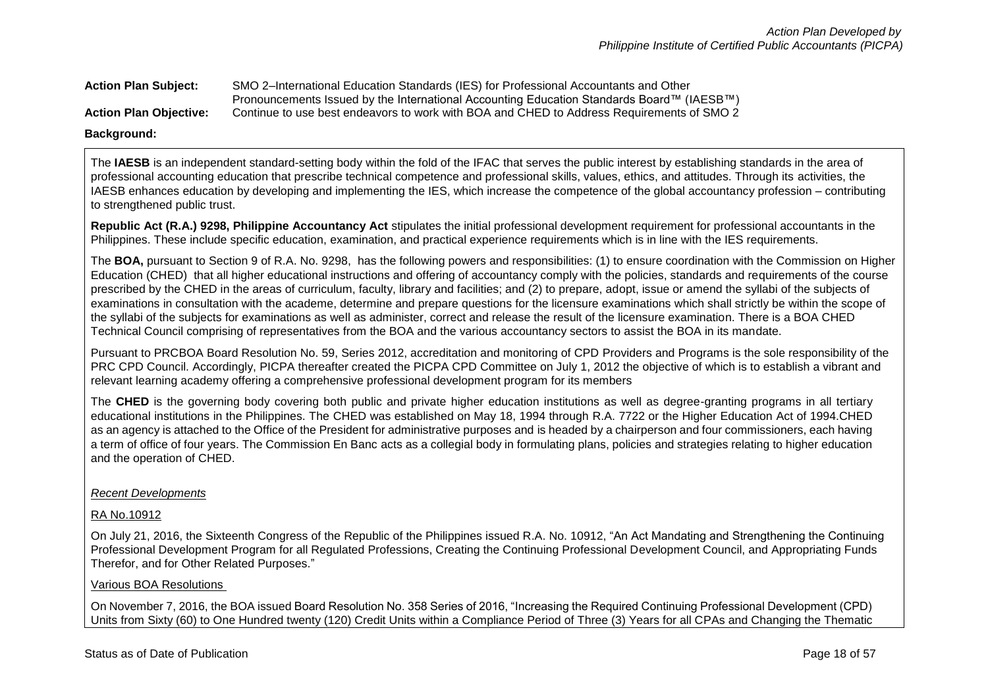**Action Plan Subject:** SMO 2–International Education Standards (IES) for Professional Accountants and Other Pronouncements Issued by the International Accounting Education Standards Board™ (IAESB™) **Action Plan Objective:** Continue to use best endeavors to work with BOA and CHED to Address Requirements of SMO 2

### **Background:**

The **IAESB** is an independent standard-setting body within the fold of the IFAC that serves the public interest by establishing standards in the area of professional accounting education that prescribe technical competence and professional skills, values, ethics, and attitudes. Through its activities, the IAESB enhances education by developing and implementing the IES, which increase the competence of the global accountancy profession – contributing to strengthened public trust.

**Republic Act (R.A.) 9298, Philippine Accountancy Act** stipulates the initial professional development requirement for professional accountants in the Philippines. These include specific education, examination, and practical experience requirements which is in line with the IES requirements.

The **BOA,** pursuant to Section 9 of R.A. No. 9298, has the following powers and responsibilities: (1) to ensure coordination with the Commission on Higher Education (CHED) that all higher educational instructions and offering of accountancy comply with the policies, standards and requirements of the course prescribed by the CHED in the areas of curriculum, faculty, library and facilities; and (2) to prepare, adopt, issue or amend the syllabi of the subjects of examinations in consultation with the academe, determine and prepare questions for the licensure examinations which shall strictly be within the scope of the syllabi of the subjects for examinations as well as administer, correct and release the result of the licensure examination. There is a BOA CHED Technical Council comprising of representatives from the BOA and the various accountancy sectors to assist the BOA in its mandate.

Pursuant to PRCBOA Board Resolution No. 59, Series 2012, accreditation and monitoring of CPD Providers and Programs is the sole responsibility of the PRC CPD Council. Accordingly, PICPA thereafter created the PICPA CPD Committee on July 1, 2012 the objective of which is to establish a vibrant and relevant learning academy offering a comprehensive professional development program for its members

The CHED is the governing body covering both public and private higher education institutions as well as degree-granting programs in all tertiary educational institutions in the Philippines. The CHED was established on May 18, 1994 through R.A. 7722 or the Higher Education Act of 1994.CHED as an agency is attached to the Office of the President for administrative purposes and is headed by a chairperson and four commissioners, each having a term of office of four years. The Commission En Banc acts as a collegial body in formulating plans, policies and strategies relating to higher education and the operation of CHED.

### *Recent Developments*

### RA No.10912

On July 21, 2016, the Sixteenth Congress of the Republic of the Philippines issued R.A. No. 10912, "An Act Mandating and Strengthening the Continuing Professional Development Program for all Regulated Professions, Creating the Continuing Professional Development Council, and Appropriating Funds Therefor, and for Other Related Purposes."

### Various BOA Resolutions

On November 7, 2016, the BOA issued Board Resolution No. 358 Series of 2016, "Increasing the Required Continuing Professional Development (CPD) Units from Sixty (60) to One Hundred twenty (120) Credit Units within a Compliance Period of Three (3) Years for all CPAs and Changing the Thematic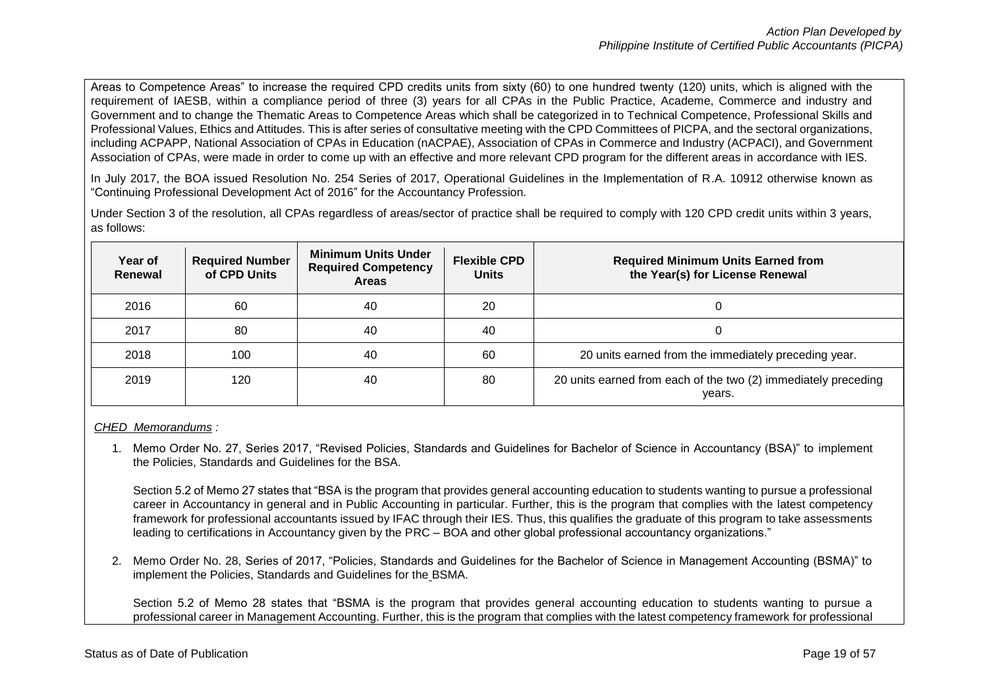Areas to Competence Areas" to increase the required CPD credits units from sixty (60) to one hundred twenty (120) units, which is aligned with the requirement of IAESB, within a compliance period of three (3) years for all CPAs in the Public Practice, Academe, Commerce and industry and Government and to change the Thematic Areas to Competence Areas which shall be categorized in to Technical Competence, Professional Skills and Professional Values, Ethics and Attitudes. This is after series of consultative meeting with the CPD Committees of PICPA, and the sectoral organizations, including ACPAPP, National Association of CPAs in Education (nACPAE), Association of CPAs in Commerce and Industry (ACPACI), and Government Association of CPAs, were made in order to come up with an effective and more relevant CPD program for the different areas in accordance with IES.

In July 2017, the BOA issued Resolution No. 254 Series of 2017, Operational Guidelines in the Implementation of R.A. 10912 otherwise known as "Continuing Professional Development Act of 2016" for the Accountancy Profession.

Under Section 3 of the resolution, all CPAs regardless of areas/sector of practice shall be required to comply with 120 CPD credit units within 3 years, as follows:

| Year of<br>Renewal | <b>Required Number</b><br>of CPD Units | <b>Minimum Units Under</b><br><b>Required Competency</b><br><b>Areas</b> | <b>Flexible CPD</b><br><b>Units</b> | <b>Required Minimum Units Earned from</b><br>the Year(s) for License Renewal |
|--------------------|----------------------------------------|--------------------------------------------------------------------------|-------------------------------------|------------------------------------------------------------------------------|
| 2016               | 60                                     | 40                                                                       | 20                                  |                                                                              |
| 2017               | 80                                     | 40                                                                       | 40                                  |                                                                              |
| 2018               | 100                                    | 40                                                                       | 60                                  | 20 units earned from the immediately preceding year.                         |
| 2019               | 120                                    | 40                                                                       | 80                                  | 20 units earned from each of the two (2) immediately preceding<br>years.     |

*CHED Memorandums :*

1. Memo Order No. 27, Series 2017, "Revised Policies, Standards and Guidelines for Bachelor of Science in Accountancy (BSA)" to implement the Policies, Standards and Guidelines for the BSA.

Section 5.2 of Memo 27 states that "BSA is the program that provides general accounting education to students wanting to pursue a professional career in Accountancy in general and in Public Accounting in particular. Further, this is the program that complies with the latest competency framework for professional accountants issued by IFAC through their IES. Thus, this qualifies the graduate of this program to take assessments leading to certifications in Accountancy given by the PRC – BOA and other global professional accountancy organizations."

2. Memo Order No. 28, Series of 2017, "Policies, Standards and Guidelines for the Bachelor of Science in Management Accounting (BSMA)" to implement the Policies, Standards and Guidelines for the BSMA.

Section 5.2 of Memo 28 states that "BSMA is the program that provides general accounting education to students wanting to pursue a professional career in Management Accounting. Further, this is the program that complies with the latest competency framework for professional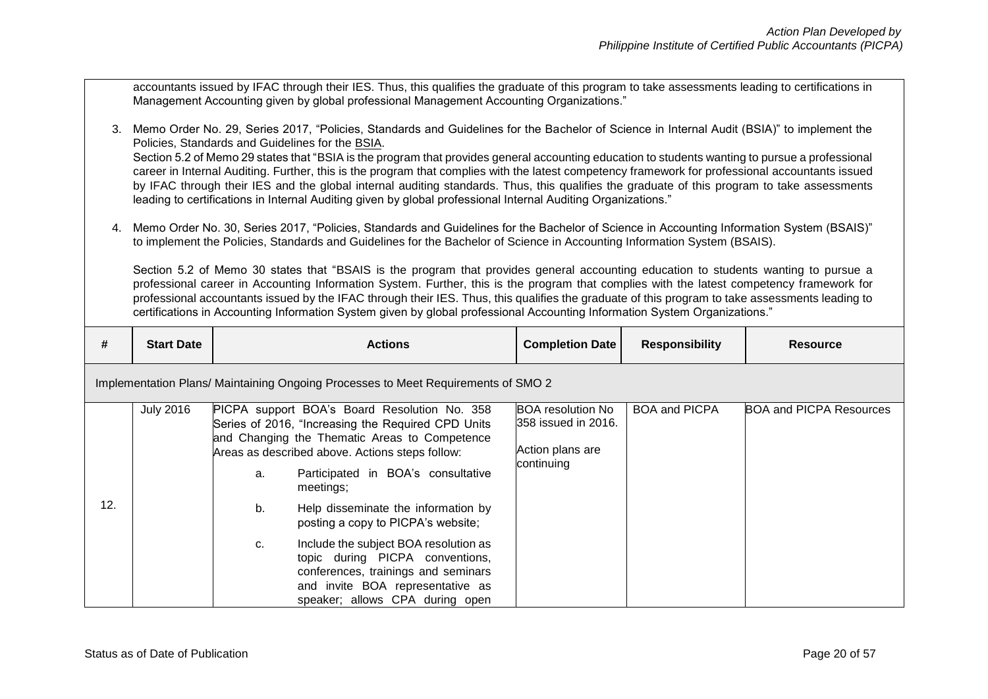accountants issued by IFAC through their IES. Thus, this qualifies the graduate of this program to take assessments leading to certifications in Management Accounting given by global professional Management Accounting Organizations."

- 3. Memo Order No. 29, Series 2017, "Policies, Standards and Guidelines for the Bachelor of Science in Internal Audit (BSIA)" to implement the Policies, Standards and Guidelines for the BSIA. Section 5.2 of Memo 29 states that "BSIA is the program that provides general accounting education to students wanting to pursue a professional career in Internal Auditing. Further, this is the program that complies with the latest competency framework for professional accountants issued by IFAC through their IES and the global internal auditing standards. Thus, this qualifies the graduate of this program to take assessments leading to certifications in Internal Auditing given by global professional Internal Auditing Organizations."
- 4. Memo Order No. 30, Series 2017, "Policies, Standards and Guidelines for the Bachelor of Science in Accounting Information System (BSAIS)" to implement the Policies, Standards and Guidelines for the Bachelor of Science in Accounting Information System (BSAIS).

Section 5.2 of Memo 30 states that "BSAIS is the program that provides general accounting education to students wanting to pursue a professional career in Accounting Information System. Further, this is the program that complies with the latest competency framework for professional accountants issued by the IFAC through their IES. Thus, this qualifies the graduate of this program to take assessments leading to certifications in Accounting Information System given by global professional Accounting Information System Organizations."

| #   | <b>Start Date</b>                                                                |                | <b>Actions</b>                                                                                                                                                                                                                                                                                                                                                                                                                                                                                                                   | <b>Completion Date</b>                                                            | <b>Responsibility</b> | <b>Resource</b>                |  |
|-----|----------------------------------------------------------------------------------|----------------|----------------------------------------------------------------------------------------------------------------------------------------------------------------------------------------------------------------------------------------------------------------------------------------------------------------------------------------------------------------------------------------------------------------------------------------------------------------------------------------------------------------------------------|-----------------------------------------------------------------------------------|-----------------------|--------------------------------|--|
|     | Implementation Plans/Maintaining Ongoing Processes to Meet Requirements of SMO 2 |                |                                                                                                                                                                                                                                                                                                                                                                                                                                                                                                                                  |                                                                                   |                       |                                |  |
| 12. | <b>July 2016</b>                                                                 | a.<br>b.<br>C. | PICPA support BOA's Board Resolution No. 358<br>Series of 2016, "Increasing the Required CPD Units<br>and Changing the Thematic Areas to Competence<br>Areas as described above. Actions steps follow:<br>Participated in BOA's consultative<br>meetings;<br>Help disseminate the information by<br>posting a copy to PICPA's website;<br>Include the subject BOA resolution as<br>topic during PICPA conventions,<br>conferences, trainings and seminars<br>and invite BOA representative as<br>speaker; allows CPA during open | <b>BOA</b> resolution No<br>358 issued in 2016.<br>Action plans are<br>continuing | <b>BOA and PICPA</b>  | <b>BOA and PICPA Resources</b> |  |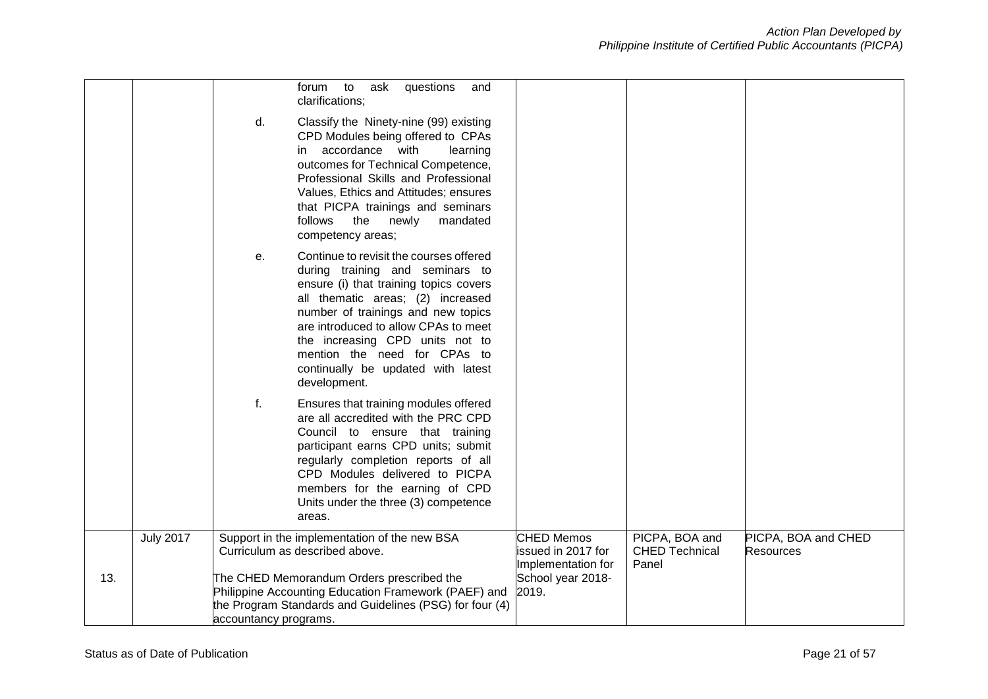|     |                  |                       | to ask<br>questions<br>forum<br>and<br>clarifications;                                                                                                                                                                                                                                                                                                           |                                                                                             |                                                  |                                         |
|-----|------------------|-----------------------|------------------------------------------------------------------------------------------------------------------------------------------------------------------------------------------------------------------------------------------------------------------------------------------------------------------------------------------------------------------|---------------------------------------------------------------------------------------------|--------------------------------------------------|-----------------------------------------|
|     |                  | d.                    | Classify the Ninety-nine (99) existing<br>CPD Modules being offered to CPAs<br>in accordance with<br>learning<br>outcomes for Technical Competence,<br>Professional Skills and Professional<br>Values, Ethics and Attitudes; ensures<br>that PICPA trainings and seminars<br>the<br>newly<br>follows<br>mandated<br>competency areas;                            |                                                                                             |                                                  |                                         |
|     |                  | е.                    | Continue to revisit the courses offered<br>during training and seminars to<br>ensure (i) that training topics covers<br>all thematic areas; (2) increased<br>number of trainings and new topics<br>are introduced to allow CPAs to meet<br>the increasing CPD units not to<br>mention the need for CPAs to<br>continually be updated with latest<br>development. |                                                                                             |                                                  |                                         |
|     |                  | f.                    | Ensures that training modules offered<br>are all accredited with the PRC CPD<br>Council to ensure that training<br>participant earns CPD units; submit<br>regularly completion reports of all<br>CPD Modules delivered to PICPA<br>members for the earning of CPD<br>Units under the three (3) competence<br>areas.                                              |                                                                                             |                                                  |                                         |
| 13. | <b>July 2017</b> | accountancy programs. | Support in the implementation of the new BSA<br>Curriculum as described above.<br>The CHED Memorandum Orders prescribed the<br>Philippine Accounting Education Framework (PAEF) and<br>the Program Standards and Guidelines (PSG) for four (4)                                                                                                                   | <b>CHED Memos</b><br>issued in 2017 for<br>Implementation for<br>School year 2018-<br>2019. | PICPA, BOA and<br><b>CHED Technical</b><br>Panel | PICPA, BOA and CHED<br><b>Resources</b> |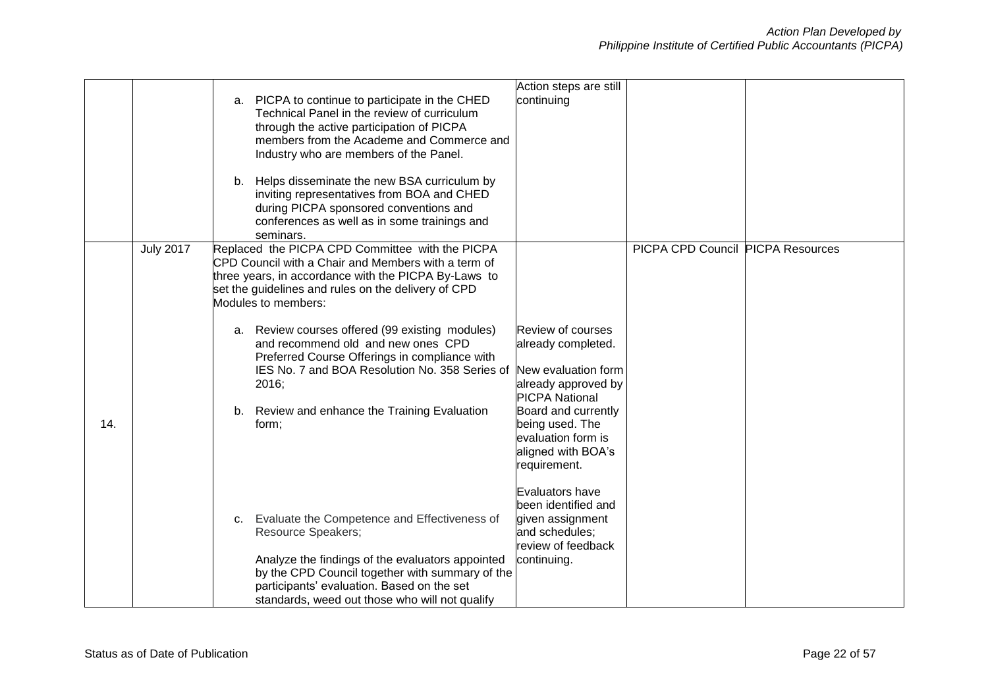|     |                  |                                                      | Action steps are still |                                          |  |
|-----|------------------|------------------------------------------------------|------------------------|------------------------------------------|--|
|     |                  |                                                      | continuing             |                                          |  |
|     |                  | a. PICPA to continue to participate in the CHED      |                        |                                          |  |
|     |                  | Technical Panel in the review of curriculum          |                        |                                          |  |
|     |                  | through the active participation of PICPA            |                        |                                          |  |
|     |                  | members from the Academe and Commerce and            |                        |                                          |  |
|     |                  | Industry who are members of the Panel.               |                        |                                          |  |
|     |                  |                                                      |                        |                                          |  |
|     |                  | b. Helps disseminate the new BSA curriculum by       |                        |                                          |  |
|     |                  | inviting representatives from BOA and CHED           |                        |                                          |  |
|     |                  | during PICPA sponsored conventions and               |                        |                                          |  |
|     |                  | conferences as well as in some trainings and         |                        |                                          |  |
|     |                  | seminars.                                            |                        |                                          |  |
|     | <b>July 2017</b> | Replaced the PICPA CPD Committee with the PICPA      |                        | <b>PICPA CPD Council PICPA Resources</b> |  |
|     |                  | CPD Council with a Chair and Members with a term of  |                        |                                          |  |
|     |                  | three years, in accordance with the PICPA By-Laws to |                        |                                          |  |
|     |                  | set the guidelines and rules on the delivery of CPD  |                        |                                          |  |
|     |                  | Modules to members:                                  |                        |                                          |  |
|     |                  |                                                      |                        |                                          |  |
|     |                  | a. Review courses offered (99 existing modules)      | Review of courses      |                                          |  |
|     |                  | and recommend old and new ones CPD                   | already completed.     |                                          |  |
|     |                  | Preferred Course Offerings in compliance with        |                        |                                          |  |
|     |                  | IES No. 7 and BOA Resolution No. 358 Series of       | New evaluation form    |                                          |  |
|     |                  | 2016;                                                | already approved by    |                                          |  |
|     |                  |                                                      | <b>PICPA National</b>  |                                          |  |
|     |                  |                                                      |                        |                                          |  |
|     |                  | b. Review and enhance the Training Evaluation        | Board and currently    |                                          |  |
| 14. |                  | form;                                                | being used. The        |                                          |  |
|     |                  |                                                      | evaluation form is     |                                          |  |
|     |                  |                                                      | aligned with BOA's     |                                          |  |
|     |                  |                                                      | requirement.           |                                          |  |
|     |                  |                                                      |                        |                                          |  |
|     |                  |                                                      | Evaluators have        |                                          |  |
|     |                  |                                                      | been identified and    |                                          |  |
|     |                  | c. Evaluate the Competence and Effectiveness of      | given assignment       |                                          |  |
|     |                  | <b>Resource Speakers;</b>                            | and schedules;         |                                          |  |
|     |                  |                                                      | review of feedback     |                                          |  |
|     |                  | Analyze the findings of the evaluators appointed     | continuing.            |                                          |  |
|     |                  | by the CPD Council together with summary of the      |                        |                                          |  |
|     |                  | participants' evaluation. Based on the set           |                        |                                          |  |
|     |                  | standards, weed out those who will not qualify       |                        |                                          |  |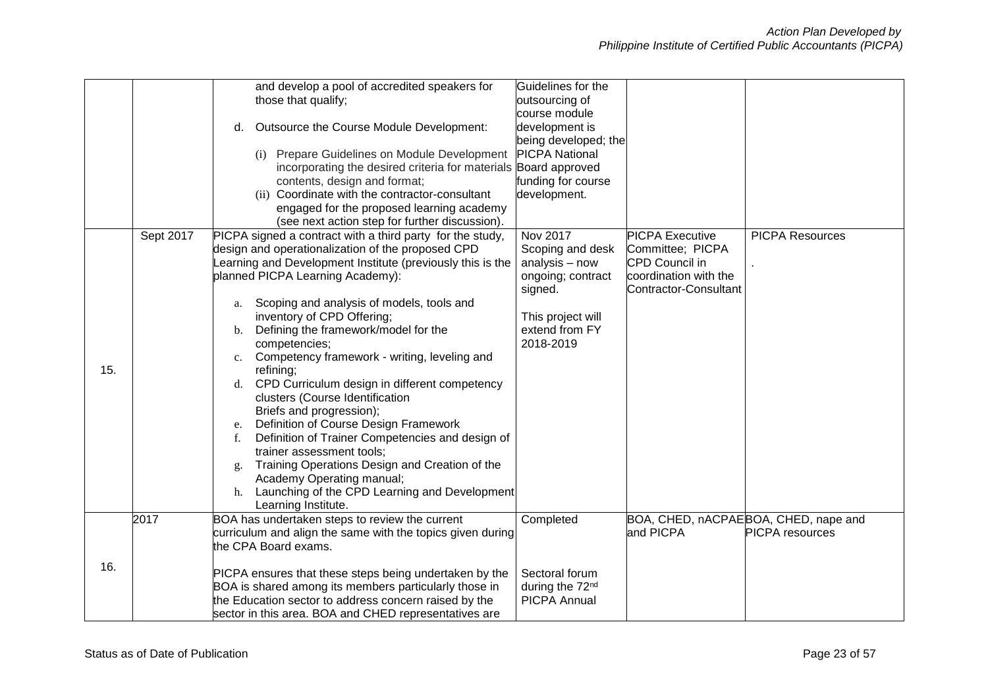|     |           | and develop a pool of accredited speakers for              | Guidelines for the          |                        |                                      |
|-----|-----------|------------------------------------------------------------|-----------------------------|------------------------|--------------------------------------|
|     |           | those that qualify;                                        | outsourcing of              |                        |                                      |
|     |           |                                                            | course module               |                        |                                      |
|     |           | Outsource the Course Module Development:<br>d.             | development is              |                        |                                      |
|     |           |                                                            | being developed; the        |                        |                                      |
|     |           | (i) Prepare Guidelines on Module Development               | <b>PICPA National</b>       |                        |                                      |
|     |           | incorporating the desired criteria for materials           | Board approved              |                        |                                      |
|     |           | contents, design and format;                               | funding for course          |                        |                                      |
|     |           | (ii) Coordinate with the contractor-consultant             | development.                |                        |                                      |
|     |           | engaged for the proposed learning academy                  |                             |                        |                                      |
|     |           | (see next action step for further discussion).             |                             |                        |                                      |
|     | Sept 2017 | PICPA signed a contract with a third party for the study,  | Nov 2017                    | <b>PICPA Executive</b> | <b>PICPA Resources</b>               |
|     |           | design and operationalization of the proposed CPD          | Scoping and desk            | Committee; PICPA       |                                      |
|     |           | earning and Development Institute (previously this is the  | analysis - now              | CPD Council in         |                                      |
|     |           | planned PICPA Learning Academy):                           | ongoing; contract           | coordination with the  |                                      |
|     |           |                                                            | signed.                     | Contractor-Consultant  |                                      |
|     |           | Scoping and analysis of models, tools and<br>a.            |                             |                        |                                      |
|     |           | inventory of CPD Offering;                                 | This project will           |                        |                                      |
|     |           | Defining the framework/model for the<br>b.                 | extend from FY              |                        |                                      |
|     |           | competencies;                                              | 2018-2019                   |                        |                                      |
|     |           | Competency framework - writing, leveling and<br>c.         |                             |                        |                                      |
| 15. |           | refining;                                                  |                             |                        |                                      |
|     |           | CPD Curriculum design in different competency<br>d.        |                             |                        |                                      |
|     |           | clusters (Course Identification                            |                             |                        |                                      |
|     |           | Briefs and progression);                                   |                             |                        |                                      |
|     |           | Definition of Course Design Framework                      |                             |                        |                                      |
|     |           | e.<br>Definition of Trainer Competencies and design of     |                             |                        |                                      |
|     |           | f.                                                         |                             |                        |                                      |
|     |           | trainer assessment tools;                                  |                             |                        |                                      |
|     |           | Training Operations Design and Creation of the<br>g.       |                             |                        |                                      |
|     |           | Academy Operating manual;                                  |                             |                        |                                      |
|     |           | Launching of the CPD Learning and Development<br>h.        |                             |                        |                                      |
|     |           | Learning Institute.                                        |                             |                        |                                      |
|     | 2017      | BOA has undertaken steps to review the current             | Completed                   |                        | BOA, CHED, nACPAEBOA, CHED, nape and |
|     |           | curriculum and align the same with the topics given during |                             | and PICPA              | <b>PICPA</b> resources               |
|     |           | the CPA Board exams.                                       |                             |                        |                                      |
| 16. |           |                                                            |                             |                        |                                      |
|     |           | PICPA ensures that these steps being undertaken by the     | Sectoral forum              |                        |                                      |
|     |           | BOA is shared among its members particularly those in      | during the 72 <sup>nd</sup> |                        |                                      |
|     |           | the Education sector to address concern raised by the      | <b>PICPA Annual</b>         |                        |                                      |
|     |           | sector in this area. BOA and CHED representatives are      |                             |                        |                                      |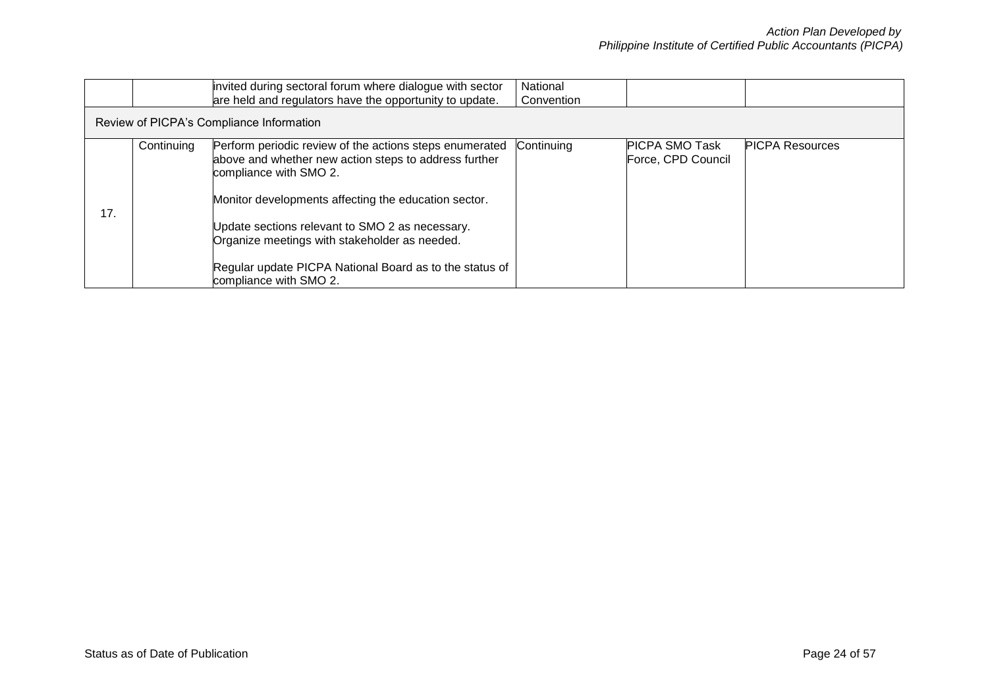|     |            | invited during sectoral forum where dialogue with sector<br>are held and regulators have the opportunity to update.                                                                                                                                                                                                                                               | National<br>Convention |                                             |                        |
|-----|------------|-------------------------------------------------------------------------------------------------------------------------------------------------------------------------------------------------------------------------------------------------------------------------------------------------------------------------------------------------------------------|------------------------|---------------------------------------------|------------------------|
|     |            | Review of PICPA's Compliance Information                                                                                                                                                                                                                                                                                                                          |                        |                                             |                        |
| 17. | Continuing | Perform periodic review of the actions steps enumerated<br>above and whether new action steps to address further<br>compliance with SMO 2.<br>Monitor developments affecting the education sector.<br>Update sections relevant to SMO 2 as necessary.<br>Organize meetings with stakeholder as needed.<br>Regular update PICPA National Board as to the status of | Continuing             | <b>PICPA SMO Task</b><br>Force, CPD Council | <b>PICPA Resources</b> |
|     |            | compliance with SMO 2.                                                                                                                                                                                                                                                                                                                                            |                        |                                             |                        |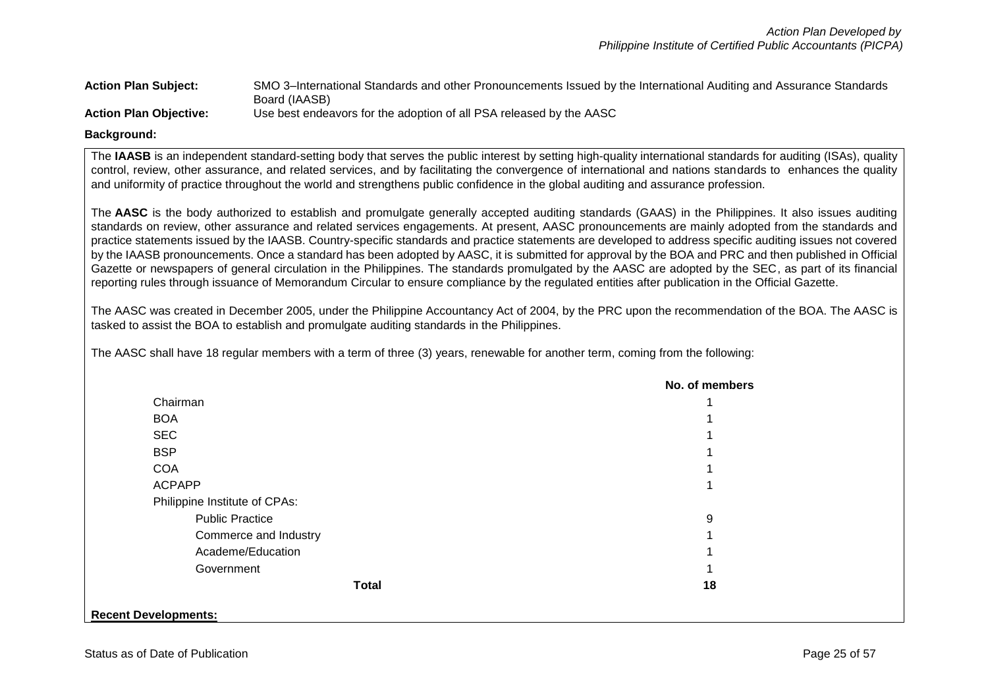| <b>Action Plan Subject:</b> | SMO 3-International Standards and other Pronouncements Issued by the International Auditing and Assurance Standards |
|-----------------------------|---------------------------------------------------------------------------------------------------------------------|
|                             | Board (IAASB)                                                                                                       |
| Action Dian Objective:      | Lee hest endeavors for the adoption of all PSA released by the $ABC$                                                |

**Action Plan Objective:** Use best endeavors for the adoption of all PSA released by the AASC

### **Background:**

The IAASB is an independent standard-setting body that serves the public interest by setting high-quality international standards for auditing (ISAs), quality control, review, other assurance, and related services, and by facilitating the convergence of international and nations standards to enhances the quality and uniformity of practice throughout the world and strengthens public confidence in the global auditing and assurance profession.

The **[AASC](http://www.aasc.org.ph/about/about-aasc.php)** is the body authorized to establish and promulgate generally accepted auditing standards (GAAS) in the Philippines. It also issues auditing standards on review, other assurance and related services engagements. At present, [AASC pronouncements](http://www.aasc.org.ph/pronouncements/pronouncements.php) are mainly adopted from the standards and practice statements issued by the IAASB. Country-specific standards and practice statements are developed to address specific auditing issues not covered by the IAASB pronouncements. Once a standard has been adopted by AASC, it is submitted for approval by the BOA and PRC and then published in Official Gazette or newspapers of general circulation in the Philippines. The standards promulgated by the AASC are adopted by the SEC, as part of its financial reporting rules through issuance of Memorandum Circular to ensure compliance by the regulated entities after publication in the Official Gazette.

The AASC was created in December 2005, under the Philippine Accountancy Act of 2004, by the PRC upon the recommendation of the BOA. The AASC is tasked to assist the BOA to establish and promulgate auditing standards in the Philippines.

The AASC shall have 18 regular members with a term of three (3) years, renewable for another term, coming from the following:

|                               | No. of members |
|-------------------------------|----------------|
| Chairman                      |                |
| <b>BOA</b>                    |                |
| <b>SEC</b>                    |                |
| <b>BSP</b>                    |                |
| <b>COA</b>                    |                |
| <b>ACPAPP</b>                 |                |
| Philippine Institute of CPAs: |                |
| <b>Public Practice</b>        | 9              |
| Commerce and Industry         |                |
| Academe/Education             |                |
| Government                    |                |
| <b>Total</b>                  | 18             |
|                               |                |
| <b>Recent Developments:</b>   |                |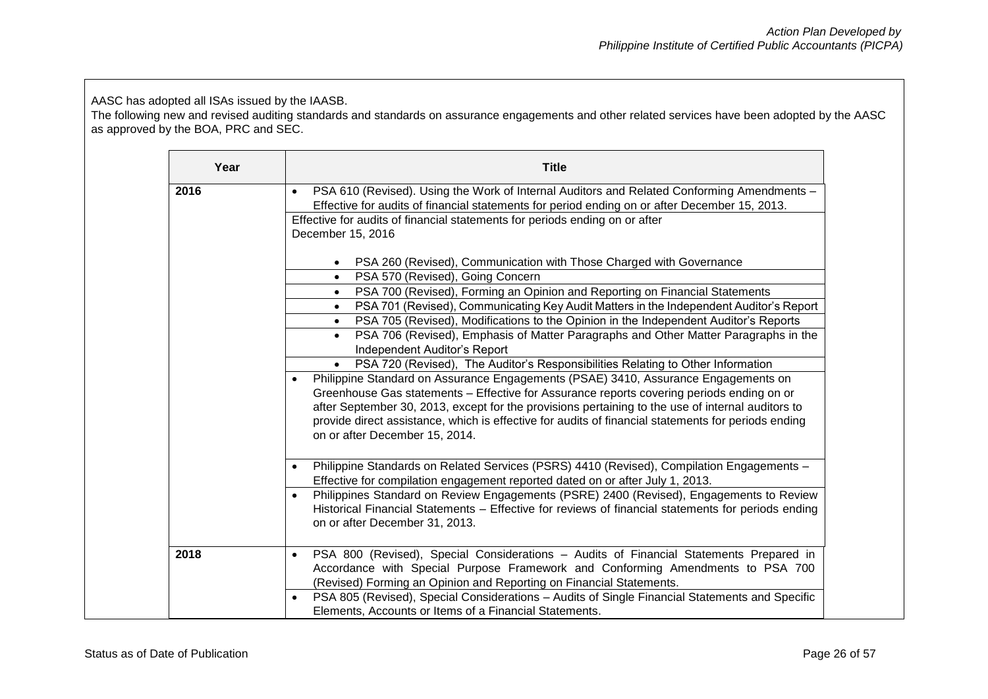AASC has adopted all ISAs issued by the IAASB.

The following new and revised auditing standards and standards on assurance engagements and other related services have been adopted by the AASC as approved by the BOA, PRC and SEC.

| Year | <b>Title</b>                                                                                                                                                                                                                                                                                                                                                                                                                               |  |  |  |
|------|--------------------------------------------------------------------------------------------------------------------------------------------------------------------------------------------------------------------------------------------------------------------------------------------------------------------------------------------------------------------------------------------------------------------------------------------|--|--|--|
| 2016 | PSA 610 (Revised). Using the Work of Internal Auditors and Related Conforming Amendments -<br>$\bullet$<br>Effective for audits of financial statements for period ending on or after December 15, 2013.                                                                                                                                                                                                                                   |  |  |  |
|      | Effective for audits of financial statements for periods ending on or after                                                                                                                                                                                                                                                                                                                                                                |  |  |  |
|      | December 15, 2016                                                                                                                                                                                                                                                                                                                                                                                                                          |  |  |  |
|      | PSA 260 (Revised), Communication with Those Charged with Governance                                                                                                                                                                                                                                                                                                                                                                        |  |  |  |
|      | PSA 570 (Revised), Going Concern<br>$\bullet$                                                                                                                                                                                                                                                                                                                                                                                              |  |  |  |
|      | PSA 700 (Revised), Forming an Opinion and Reporting on Financial Statements<br>$\bullet$                                                                                                                                                                                                                                                                                                                                                   |  |  |  |
|      | PSA 701 (Revised), Communicating Key Audit Matters in the Independent Auditor's Report                                                                                                                                                                                                                                                                                                                                                     |  |  |  |
|      | PSA 705 (Revised), Modifications to the Opinion in the Independent Auditor's Reports<br>$\bullet$                                                                                                                                                                                                                                                                                                                                          |  |  |  |
|      | PSA 706 (Revised), Emphasis of Matter Paragraphs and Other Matter Paragraphs in the<br>$\bullet$                                                                                                                                                                                                                                                                                                                                           |  |  |  |
|      | Independent Auditor's Report                                                                                                                                                                                                                                                                                                                                                                                                               |  |  |  |
|      | PSA 720 (Revised), The Auditor's Responsibilities Relating to Other Information<br>$\bullet$                                                                                                                                                                                                                                                                                                                                               |  |  |  |
|      | Philippine Standard on Assurance Engagements (PSAE) 3410, Assurance Engagements on<br>$\bullet$<br>Greenhouse Gas statements - Effective for Assurance reports covering periods ending on or<br>after September 30, 2013, except for the provisions pertaining to the use of internal auditors to<br>provide direct assistance, which is effective for audits of financial statements for periods ending<br>on or after December 15, 2014. |  |  |  |
|      | Philippine Standards on Related Services (PSRS) 4410 (Revised), Compilation Engagements -<br>$\bullet$<br>Effective for compilation engagement reported dated on or after July 1, 2013.                                                                                                                                                                                                                                                    |  |  |  |
|      | Philippines Standard on Review Engagements (PSRE) 2400 (Revised), Engagements to Review<br>$\bullet$<br>Historical Financial Statements - Effective for reviews of financial statements for periods ending<br>on or after December 31, 2013.                                                                                                                                                                                               |  |  |  |
| 2018 | PSA 800 (Revised), Special Considerations - Audits of Financial Statements Prepared in<br>$\bullet$<br>Accordance with Special Purpose Framework and Conforming Amendments to PSA 700<br>(Revised) Forming an Opinion and Reporting on Financial Statements.                                                                                                                                                                               |  |  |  |
|      | PSA 805 (Revised), Special Considerations - Audits of Single Financial Statements and Specific<br>$\bullet$                                                                                                                                                                                                                                                                                                                                |  |  |  |
|      | Elements, Accounts or Items of a Financial Statements.                                                                                                                                                                                                                                                                                                                                                                                     |  |  |  |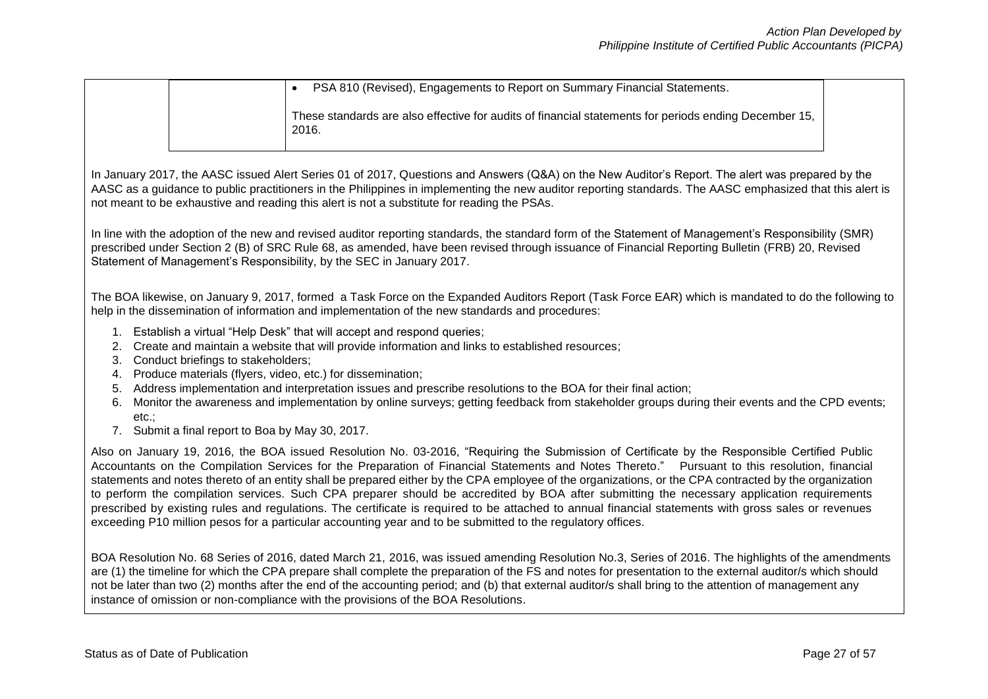|  | PSA 810 (Revised), Engagements to Report on Summary Financial Statements.                                      |
|--|----------------------------------------------------------------------------------------------------------------|
|  | These standards are also effective for audits of financial statements for periods ending December 15,<br>2016. |

In January 2017, the AASC issued Alert Series 01 of 2017, Questions and Answers (Q&A) on the New Auditor's Report. The alert was prepared by the AASC as a guidance to public practitioners in the Philippines in implementing the new auditor reporting standards. The AASC emphasized that this alert is not meant to be exhaustive and reading this alert is not a substitute for reading the PSAs.

In line with the adoption of the new and revised auditor reporting standards, the standard form of the Statement of Management's Responsibility (SMR) prescribed under Section 2 (B) of SRC Rule 68, as amended, have been revised through issuance of Financial Reporting Bulletin (FRB) 20, Revised Statement of Management's Responsibility, by the SEC in January 2017.

The BOA likewise, on January 9, 2017, formed a Task Force on the Expanded Auditors Report (Task Force EAR) which is mandated to do the following to help in the dissemination of information and implementation of the new standards and procedures:

- 1. Establish a virtual "Help Desk" that will accept and respond queries;
- 2. Create and maintain a website that will provide information and links to established resources;
- 3. Conduct briefings to stakeholders;
- 4. Produce materials (flyers, video, etc.) for dissemination;
- 5. Address implementation and interpretation issues and prescribe resolutions to the BOA for their final action;
- 6. Monitor the awareness and implementation by online surveys; getting feedback from stakeholder groups during their events and the CPD events; etc.;
- 7. Submit a final report to Boa by May 30, 2017.

Also on January 19, 2016, the BOA issued Resolution No. 03-2016, "Requiring the Submission of Certificate by the Responsible Certified Public Accountants on the Compilation Services for the Preparation of Financial Statements and Notes Thereto." Pursuant to this resolution, financial statements and notes thereto of an entity shall be prepared either by the CPA employee of the organizations, or the CPA contracted by the organization to perform the compilation services. Such CPA preparer should be accredited by BOA after submitting the necessary application requirements prescribed by existing rules and regulations. The certificate is required to be attached to annual financial statements with gross sales or revenues exceeding P10 million pesos for a particular accounting year and to be submitted to the regulatory offices.

BOA Resolution No. 68 Series of 2016, dated March 21, 2016, was issued amending Resolution No.3, Series of 2016. The highlights of the amendments are (1) the timeline for which the CPA prepare shall complete the preparation of the FS and notes for presentation to the external auditor/s which should not be later than two (2) months after the end of the accounting period; and (b) that external auditor/s shall bring to the attention of management any instance of omission or non-compliance with the provisions of the BOA Resolutions.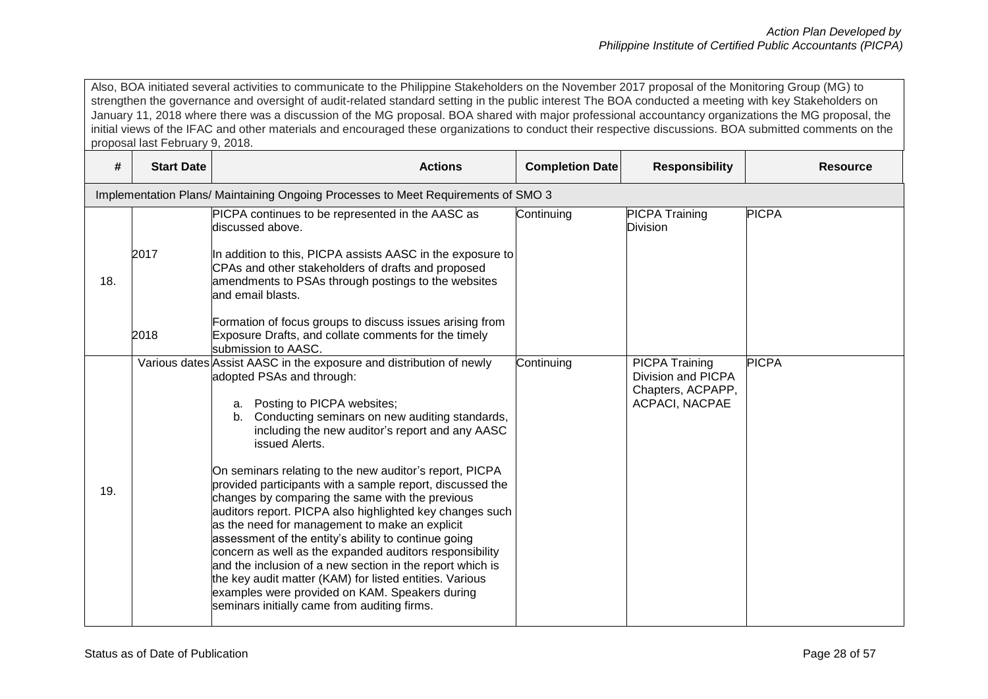Also, BOA initiated several activities to communicate to the Philippine Stakeholders on the November 2017 proposal of the Monitoring Group (MG) to strengthen the governance and oversight of audit-related standard setting in the public interest The BOA conducted a meeting with key Stakeholders on January 11, 2018 where there was a discussion of the MG proposal. BOA shared with major professional accountancy organizations the MG proposal, the initial views of the IFAC and other materials and encouraged these organizations to conduct their respective discussions. BOA submitted comments on the proposal last February 9, 2018.

| #   | <b>Start Date</b> | <b>Actions</b>                                                                                                                                                                                                                                                                                                                                                                                                                                                                                                                                                                                                                                                                                                                                                                                                                                                                                    | <b>Completion Date</b> | <b>Responsibility</b>                                                                     | <b>Resource</b> |
|-----|-------------------|---------------------------------------------------------------------------------------------------------------------------------------------------------------------------------------------------------------------------------------------------------------------------------------------------------------------------------------------------------------------------------------------------------------------------------------------------------------------------------------------------------------------------------------------------------------------------------------------------------------------------------------------------------------------------------------------------------------------------------------------------------------------------------------------------------------------------------------------------------------------------------------------------|------------------------|-------------------------------------------------------------------------------------------|-----------------|
|     |                   | Implementation Plans/ Maintaining Ongoing Processes to Meet Requirements of SMO 3                                                                                                                                                                                                                                                                                                                                                                                                                                                                                                                                                                                                                                                                                                                                                                                                                 |                        |                                                                                           |                 |
| 18. | 2017              | PICPA continues to be represented in the AASC as<br>discussed above.<br>In addition to this, PICPA assists AASC in the exposure to<br>CPAs and other stakeholders of drafts and proposed<br>amendments to PSAs through postings to the websites<br>and email blasts.                                                                                                                                                                                                                                                                                                                                                                                                                                                                                                                                                                                                                              | Continuing             | <b>PICPA Training</b><br>Division                                                         | <b>PICPA</b>    |
|     | 2018              | Formation of focus groups to discuss issues arising from<br>Exposure Drafts, and collate comments for the timely<br>submission to AASC.                                                                                                                                                                                                                                                                                                                                                                                                                                                                                                                                                                                                                                                                                                                                                           |                        |                                                                                           |                 |
| 19. |                   | Various dates Assist AASC in the exposure and distribution of newly<br>adopted PSAs and through:<br>a. Posting to PICPA websites;<br>b. Conducting seminars on new auditing standards,<br>including the new auditor's report and any AASC<br>issued Alerts.<br>On seminars relating to the new auditor's report, PICPA<br>provided participants with a sample report, discussed the<br>changes by comparing the same with the previous<br>auditors report. PICPA also highlighted key changes such<br>as the need for management to make an explicit<br>assessment of the entity's ability to continue going<br>concern as well as the expanded auditors responsibility<br>and the inclusion of a new section in the report which is<br>the key audit matter (KAM) for listed entities. Various<br>examples were provided on KAM. Speakers during<br>seminars initially came from auditing firms. | Continuing             | <b>PICPA Training</b><br>Division and PICPA<br>Chapters, ACPAPP,<br><b>ACPACI, NACPAE</b> | <b>PICPA</b>    |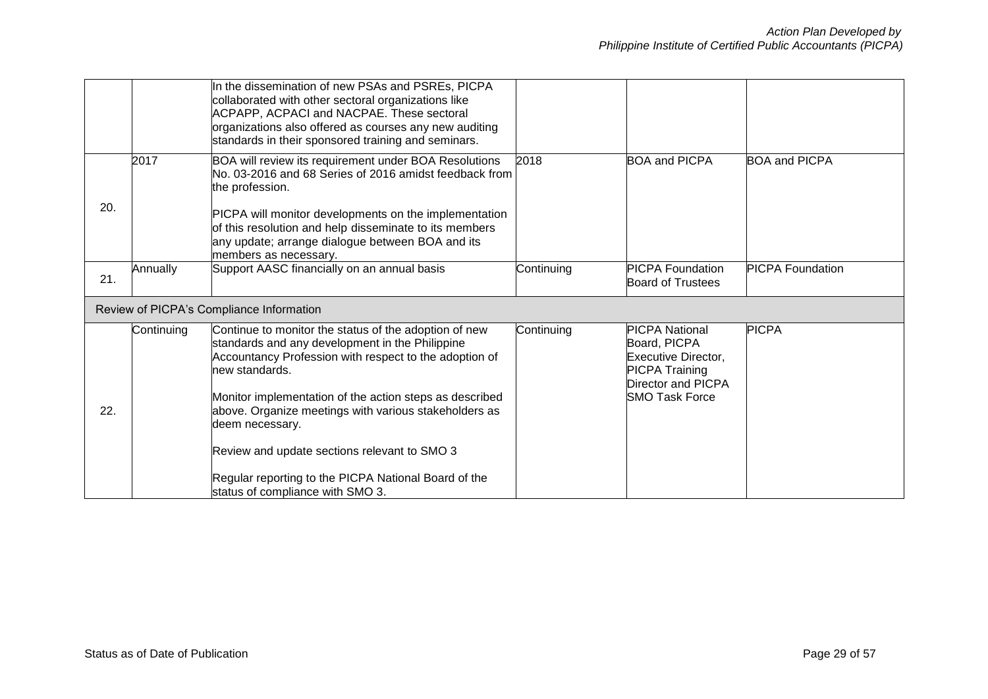|     |            | In the dissemination of new PSAs and PSREs, PICPA<br>collaborated with other sectoral organizations like<br>ACPAPP, ACPACI and NACPAE. These sectoral<br>organizations also offered as courses any new auditing<br>standards in their sponsored training and seminars.                                                      |            |                                                                                                                                             |                         |
|-----|------------|-----------------------------------------------------------------------------------------------------------------------------------------------------------------------------------------------------------------------------------------------------------------------------------------------------------------------------|------------|---------------------------------------------------------------------------------------------------------------------------------------------|-------------------------|
|     | 2017       | BOA will review its requirement under BOA Resolutions<br>No. 03-2016 and 68 Series of 2016 amidst feedback from<br>the profession.                                                                                                                                                                                          | 2018       | <b>BOA and PICPA</b>                                                                                                                        | <b>BOA and PICPA</b>    |
| 20. |            | PICPA will monitor developments on the implementation<br>of this resolution and help disseminate to its members<br>any update; arrange dialogue between BOA and its<br>members as necessary.                                                                                                                                |            |                                                                                                                                             |                         |
| 21. | Annually   | Support AASC financially on an annual basis                                                                                                                                                                                                                                                                                 | Continuing | <b>PICPA Foundation</b><br><b>Board of Trustees</b>                                                                                         | <b>PICPA Foundation</b> |
|     |            | Review of PICPA's Compliance Information                                                                                                                                                                                                                                                                                    |            |                                                                                                                                             |                         |
| 22. | Continuing | Continue to monitor the status of the adoption of new<br>standards and any development in the Philippine<br>Accountancy Profession with respect to the adoption of<br>new standards.<br>Monitor implementation of the action steps as described<br>above. Organize meetings with various stakeholders as<br>deem necessary. | Continuing | <b>PICPA National</b><br>Board, PICPA<br><b>Executive Director,</b><br><b>PICPA Training</b><br>Director and PICPA<br><b>SMO Task Force</b> | <b>PICPA</b>            |
|     |            | Review and update sections relevant to SMO 3                                                                                                                                                                                                                                                                                |            |                                                                                                                                             |                         |
|     |            | Regular reporting to the PICPA National Board of the<br>status of compliance with SMO 3.                                                                                                                                                                                                                                    |            |                                                                                                                                             |                         |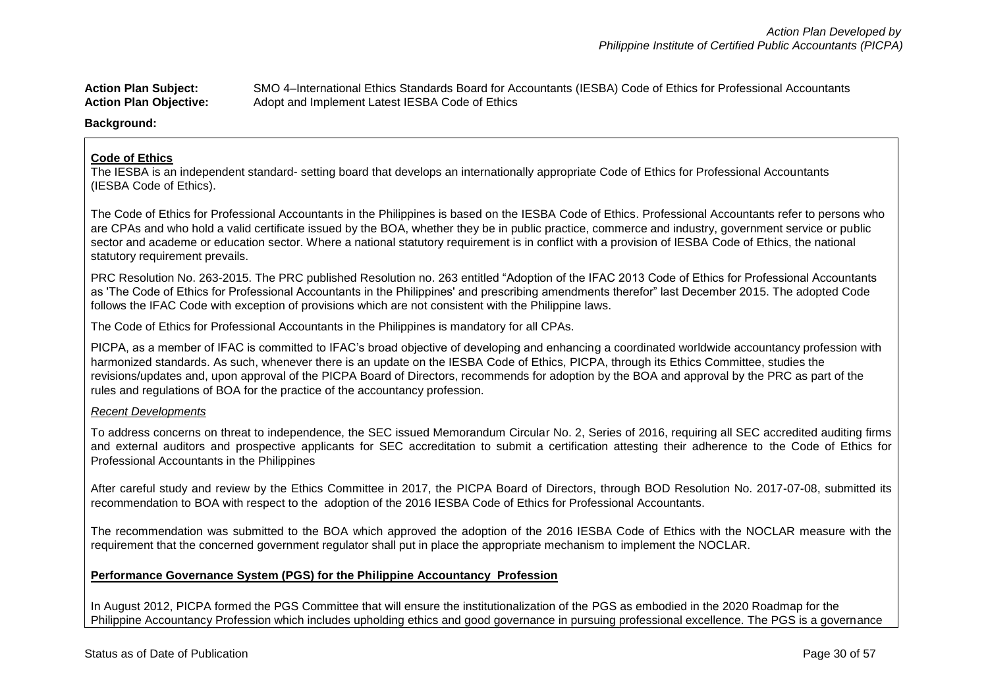**Action Plan Subject:** SMO 4–International Ethics Standards Board for Accountants (IESBA) Code of Ethics for Professional Accountants Action Plan Objective: Adopt and Implement Latest IESBA Code of Ethics

**Background:**

### **Code of Ethics**

The IESBA is an independent standard- setting board that develops an internationally appropriate Code of Ethics for Professional Accountants (IESBA Code of Ethics).

The Code of Ethics for Professional Accountants in the Philippines is based on the IESBA Code of Ethics. Professional Accountants refer to persons who are CPAs and who hold a valid certificate issued by the BOA, whether they be in public practice, commerce and industry, government service or public sector and academe or education sector. Where a national statutory requirement is in conflict with a provision of IESBA Code of Ethics, the national statutory requirement prevails.

PRC Resolution No. 263-2015. The PRC published Resolution no. 263 entitled "Adoption of the IFAC 2013 Code of Ethics for Professional Accountants as 'The Code of Ethics for Professional Accountants in the Philippines' and prescribing amendments therefor" last December 2015. The adopted Code follows the IFAC Code with exception of provisions which are not consistent with the Philippine laws.

The Code of Ethics for Professional Accountants in the Philippines is mandatory for all CPAs.

PICPA, as a member of IFAC is committed to IFAC's broad objective of developing and enhancing a coordinated worldwide accountancy profession with harmonized standards. As such, whenever there is an update on the IESBA Code of Ethics, PICPA, through its Ethics Committee, studies the revisions/updates and, upon approval of the PICPA Board of Directors, recommends for adoption by the BOA and approval by the PRC as part of the rules and regulations of BOA for the practice of the accountancy profession.

### *Recent Developments*

To address concerns on threat to independence, the SEC issued Memorandum Circular No. 2, Series of 2016, requiring all SEC accredited auditing firms and external auditors and prospective applicants for SEC accreditation to submit a certification attesting their adherence to the Code of Ethics for Professional Accountants in the Philippines

After careful study and review by the Ethics Committee in 2017, the PICPA Board of Directors, through BOD Resolution No. 2017-07-08, submitted its recommendation to BOA with respect to the adoption of the 2016 IESBA Code of Ethics for Professional Accountants.

The recommendation was submitted to the BOA which approved the adoption of the 2016 IESBA Code of Ethics with the NOCLAR measure with the requirement that the concerned government regulator shall put in place the appropriate mechanism to implement the NOCLAR.

### **Performance Governance System (PGS) for the Philippine Accountancy Profession**

In August 2012, PICPA formed the PGS Committee that will ensure the institutionalization of the PGS as embodied in the 2020 Roadmap for the Philippine Accountancy Profession which includes upholding ethics and good governance in pursuing professional excellence. The PGS is a governance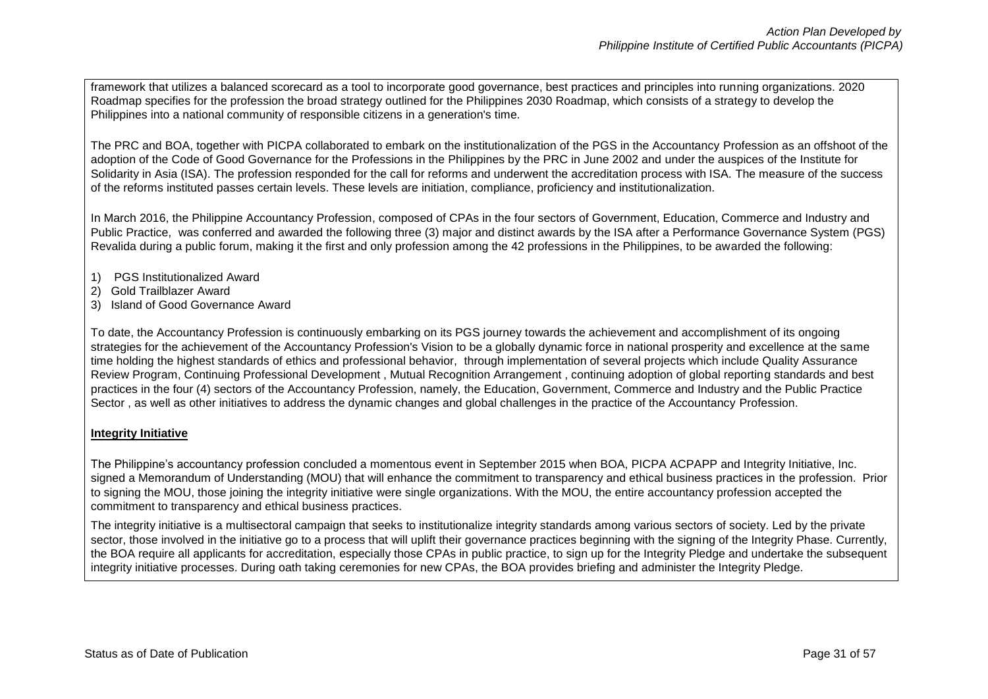framework that utilizes a balanced scorecard as a tool to incorporate good governance, best practices and principles into running organizations. 2020 Roadmap specifies for the profession the broad strategy outlined for the Philippines 2030 Roadmap, which consists of a strategy to develop the Philippines into a national community of responsible citizens in a generation's time.

The PRC and BOA, together with PICPA collaborated to embark on the institutionalization of the PGS in the Accountancy Profession as an offshoot of the adoption of the Code of Good Governance for the Professions in the Philippines by the PRC in June 2002 and under the auspices of the Institute for Solidarity in Asia (ISA). The profession responded for the call for reforms and underwent the accreditation process with ISA. The measure of the success of the reforms instituted passes certain levels. These levels are initiation, compliance, proficiency and institutionalization.

In March 2016, the Philippine Accountancy Profession, composed of CPAs in the four sectors of Government, Education, Commerce and Industry and Public Practice, was conferred and awarded the following three (3) major and distinct awards by the ISA after a Performance Governance System (PGS) Revalida during a public forum, making it the first and only profession among the 42 professions in the Philippines, to be awarded the following:

- 1) PGS Institutionalized Award
- 2) Gold Trailblazer Award
- 3) Island of Good Governance Award

To date, the Accountancy Profession is continuously embarking on its PGS journey towards the achievement and accomplishment of its ongoing strategies for the achievement of the Accountancy Profession's Vision to be a globally dynamic force in national prosperity and excellence at the same time holding the highest standards of ethics and professional behavior, through implementation of several projects which include Quality Assurance Review Program, Continuing Professional Development , Mutual Recognition Arrangement , continuing adoption of global reporting standards and best practices in the four (4) sectors of the Accountancy Profession, namely, the Education, Government, Commerce and Industry and the Public Practice Sector , as well as other initiatives to address the dynamic changes and global challenges in the practice of the Accountancy Profession.

# **Integrity Initiative**

The Philippine's accountancy profession concluded a momentous event in September 2015 when BOA, PICPA ACPAPP and Integrity Initiative, Inc. signed a Memorandum of Understanding (MOU) that will enhance the commitment to transparency and ethical business practices in the profession. Prior to signing the MOU, those joining the integrity initiative were single organizations. With the MOU, the entire accountancy profession accepted the commitment to transparency and ethical business practices.

The integrity initiative is a multisectoral campaign that seeks to institutionalize integrity standards among various sectors of society. Led by the private sector, those involved in the initiative go to a process that will uplift their governance practices beginning with the signing of the Integrity Phase. Currently, the BOA require all applicants for accreditation, especially those CPAs in public practice, to sign up for the Integrity Pledge and undertake the subsequent integrity initiative processes. During oath taking ceremonies for new CPAs, the BOA provides briefing and administer the Integrity Pledge.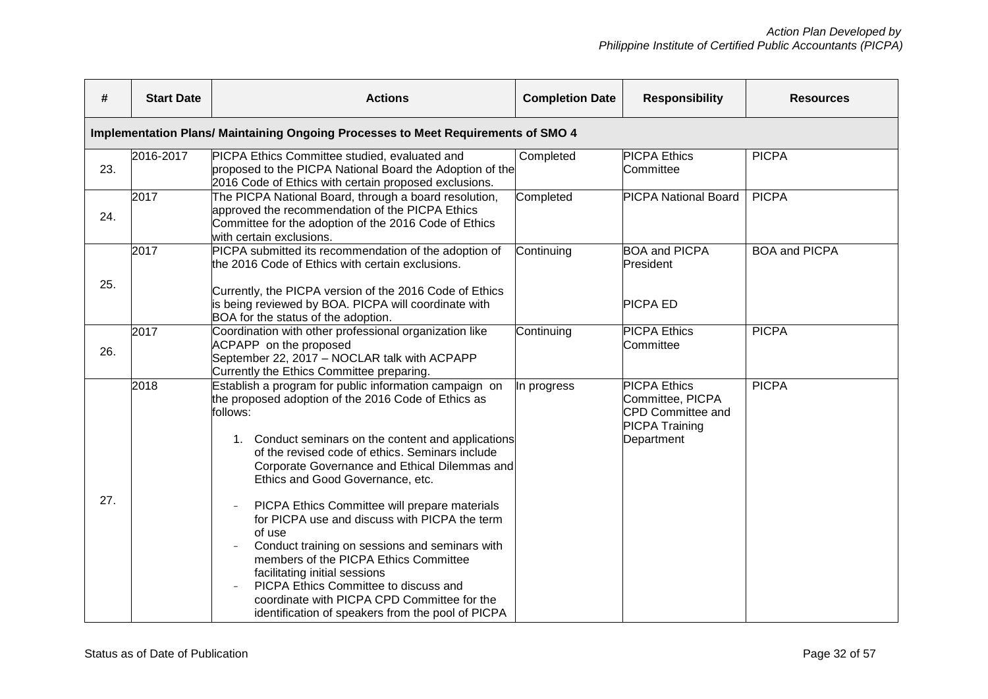| #   | <b>Start Date</b> | <b>Actions</b>                                                                                                                                                                                                                                                                                                                                                                                                                                                                                                                                                                                                                                                                                                | <b>Completion Date</b> | <b>Responsibility</b>                                                                               | <b>Resources</b>     |
|-----|-------------------|---------------------------------------------------------------------------------------------------------------------------------------------------------------------------------------------------------------------------------------------------------------------------------------------------------------------------------------------------------------------------------------------------------------------------------------------------------------------------------------------------------------------------------------------------------------------------------------------------------------------------------------------------------------------------------------------------------------|------------------------|-----------------------------------------------------------------------------------------------------|----------------------|
|     |                   | Implementation Plans/ Maintaining Ongoing Processes to Meet Requirements of SMO 4                                                                                                                                                                                                                                                                                                                                                                                                                                                                                                                                                                                                                             |                        |                                                                                                     |                      |
| 23. | 2016-2017         | PICPA Ethics Committee studied, evaluated and<br>proposed to the PICPA National Board the Adoption of the<br>2016 Code of Ethics with certain proposed exclusions.                                                                                                                                                                                                                                                                                                                                                                                                                                                                                                                                            | Completed              | <b>PICPA Ethics</b><br>Committee                                                                    | <b>PICPA</b>         |
| 24. | 2017              | The PICPA National Board, through a board resolution,<br>approved the recommendation of the PICPA Ethics<br>Committee for the adoption of the 2016 Code of Ethics<br>with certain exclusions.                                                                                                                                                                                                                                                                                                                                                                                                                                                                                                                 | Completed              | <b>PICPA National Board</b>                                                                         | <b>PICPA</b>         |
|     | 2017              | PICPA submitted its recommendation of the adoption of<br>the 2016 Code of Ethics with certain exclusions.                                                                                                                                                                                                                                                                                                                                                                                                                                                                                                                                                                                                     | Continuing             | <b>BOA and PICPA</b><br>President                                                                   | <b>BOA and PICPA</b> |
| 25. |                   | Currently, the PICPA version of the 2016 Code of Ethics<br>is being reviewed by BOA. PICPA will coordinate with<br>BOA for the status of the adoption.                                                                                                                                                                                                                                                                                                                                                                                                                                                                                                                                                        |                        | <b>PICPA ED</b>                                                                                     |                      |
| 26. | 2017              | Coordination with other professional organization like<br>ACPAPP on the proposed<br>September 22, 2017 - NOCLAR talk with ACPAPP<br>Currently the Ethics Committee preparing.                                                                                                                                                                                                                                                                                                                                                                                                                                                                                                                                 | Continuing             | <b>PICPA Ethics</b><br>Committee                                                                    | <b>PICPA</b>         |
| 27. | 2018              | Establish a program for public information campaign on<br>the proposed adoption of the 2016 Code of Ethics as<br>follows:<br>1. Conduct seminars on the content and applications<br>of the revised code of ethics. Seminars include<br>Corporate Governance and Ethical Dilemmas and<br>Ethics and Good Governance, etc.<br>PICPA Ethics Committee will prepare materials<br>for PICPA use and discuss with PICPA the term<br>of use<br>Conduct training on sessions and seminars with<br>members of the PICPA Ethics Committee<br>facilitating initial sessions<br>PICPA Ethics Committee to discuss and<br>coordinate with PICPA CPD Committee for the<br>identification of speakers from the pool of PICPA | In progress            | <b>PICPA Ethics</b><br>Committee, PICPA<br>CPD Committee and<br><b>PICPA Training</b><br>Department | <b>PICPA</b>         |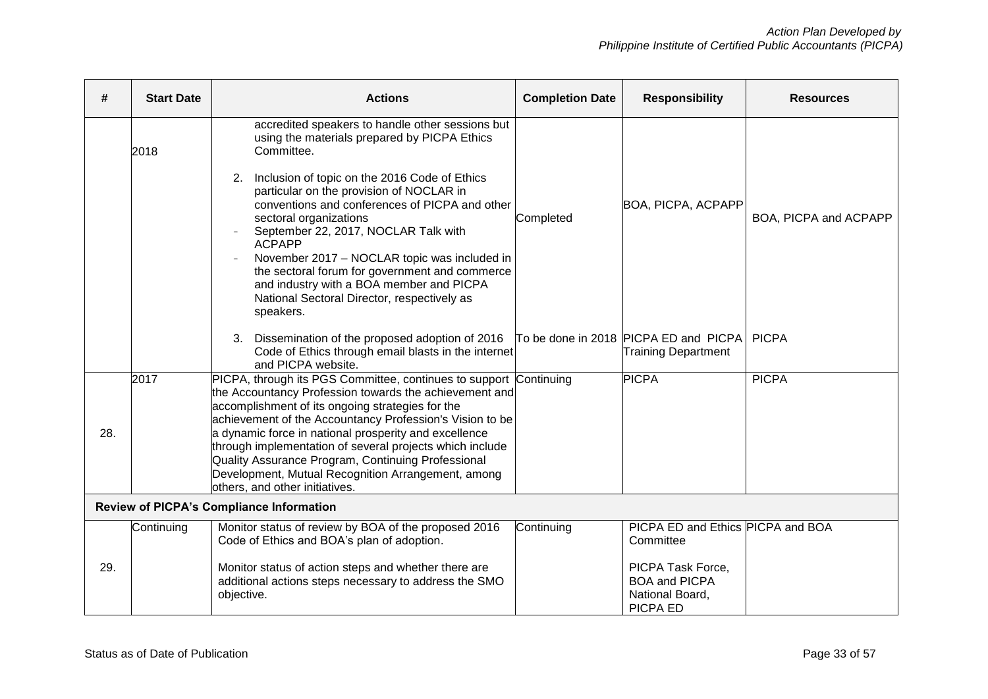| <b>Start Date</b>                               | <b>Actions</b>                                                                                                                                                                                                                                                                                                                                                                                                                              | <b>Completion Date</b>                                                                                                                                                                                                                                                                                                    | <b>Responsibility</b>                                                                                                                                                                   | <b>Resources</b>                                                                                                             |  |
|-------------------------------------------------|---------------------------------------------------------------------------------------------------------------------------------------------------------------------------------------------------------------------------------------------------------------------------------------------------------------------------------------------------------------------------------------------------------------------------------------------|---------------------------------------------------------------------------------------------------------------------------------------------------------------------------------------------------------------------------------------------------------------------------------------------------------------------------|-----------------------------------------------------------------------------------------------------------------------------------------------------------------------------------------|------------------------------------------------------------------------------------------------------------------------------|--|
| 2018                                            | accredited speakers to handle other sessions but<br>using the materials prepared by PICPA Ethics<br>Committee.                                                                                                                                                                                                                                                                                                                              |                                                                                                                                                                                                                                                                                                                           |                                                                                                                                                                                         |                                                                                                                              |  |
|                                                 | 2. Inclusion of topic on the 2016 Code of Ethics<br>particular on the provision of NOCLAR in<br>conventions and conferences of PICPA and other<br>sectoral organizations<br>September 22, 2017, NOCLAR Talk with<br><b>ACPAPP</b><br>November 2017 - NOCLAR topic was included in<br>the sectoral forum for government and commerce<br>and industry with a BOA member and PICPA<br>National Sectoral Director, respectively as<br>speakers. | Completed                                                                                                                                                                                                                                                                                                                 |                                                                                                                                                                                         | BOA, PICPA and ACPAPP                                                                                                        |  |
|                                                 | Dissemination of the proposed adoption of 2016<br>3.<br>and PICPA website.                                                                                                                                                                                                                                                                                                                                                                  |                                                                                                                                                                                                                                                                                                                           | <b>Training Department</b>                                                                                                                                                              | <b>PICPA</b>                                                                                                                 |  |
| 2017                                            | Quality Assurance Program, Continuing Professional<br>Development, Mutual Recognition Arrangement, among                                                                                                                                                                                                                                                                                                                                    |                                                                                                                                                                                                                                                                                                                           |                                                                                                                                                                                         | <b>PICPA</b>                                                                                                                 |  |
| <b>Review of PICPA's Compliance Information</b> |                                                                                                                                                                                                                                                                                                                                                                                                                                             |                                                                                                                                                                                                                                                                                                                           |                                                                                                                                                                                         |                                                                                                                              |  |
| Continuing                                      | Code of Ethics and BOA's plan of adoption.<br>Monitor status of action steps and whether there are<br>additional actions steps necessary to address the SMO<br>objective.                                                                                                                                                                                                                                                                   | Continuing                                                                                                                                                                                                                                                                                                                | Committee<br>PICPA Task Force,<br><b>BOA and PICPA</b><br>National Board,                                                                                                               |                                                                                                                              |  |
|                                                 |                                                                                                                                                                                                                                                                                                                                                                                                                                             | PICPA, through its PGS Committee, continues to support<br>accomplishment of its ongoing strategies for the<br>a dynamic force in national prosperity and excellence<br>through implementation of several projects which include<br>others, and other initiatives.<br>Monitor status of review by BOA of the proposed 2016 | Code of Ethics through email blasts in the internet<br>Continuing<br>the Accountancy Profession towards the achievement and<br>achievement of the Accountancy Profession's Vision to be | BOA, PICPA, ACPAPP<br>To be done in 2018 PICPA ED and PICPA<br><b>PICPA</b><br>PICPA ED and Ethics PICPA and BOA<br>PICPA ED |  |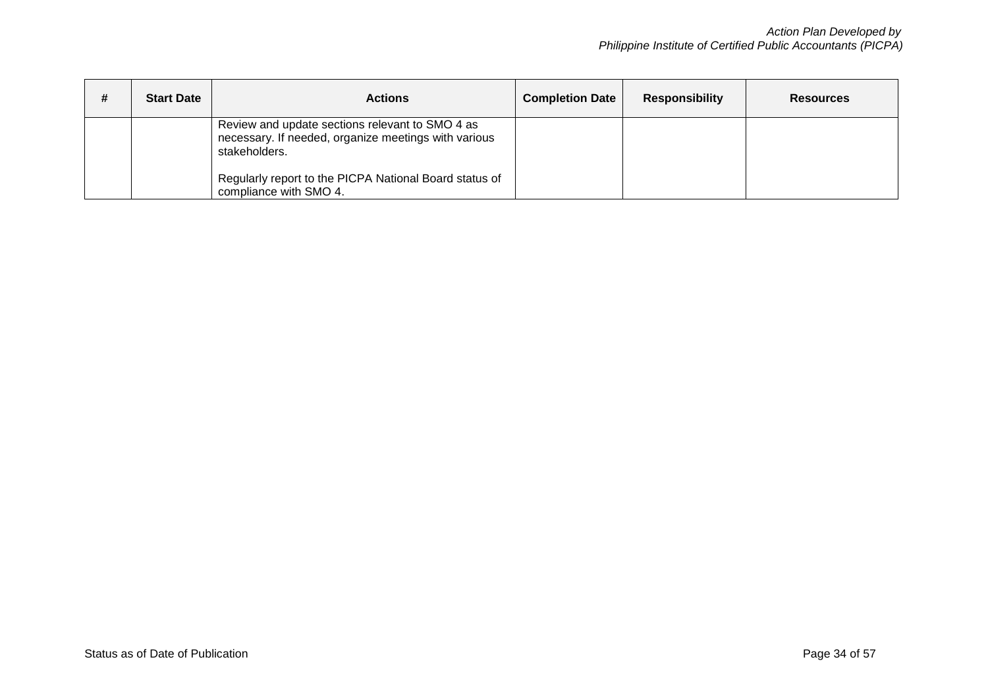| # | <b>Start Date</b> | <b>Actions</b>                                                                                                           | <b>Completion Date</b> | <b>Responsibility</b> | <b>Resources</b> |
|---|-------------------|--------------------------------------------------------------------------------------------------------------------------|------------------------|-----------------------|------------------|
|   |                   | Review and update sections relevant to SMO 4 as<br>necessary. If needed, organize meetings with various<br>stakeholders. |                        |                       |                  |
|   |                   | Regularly report to the PICPA National Board status of<br>compliance with SMO 4.                                         |                        |                       |                  |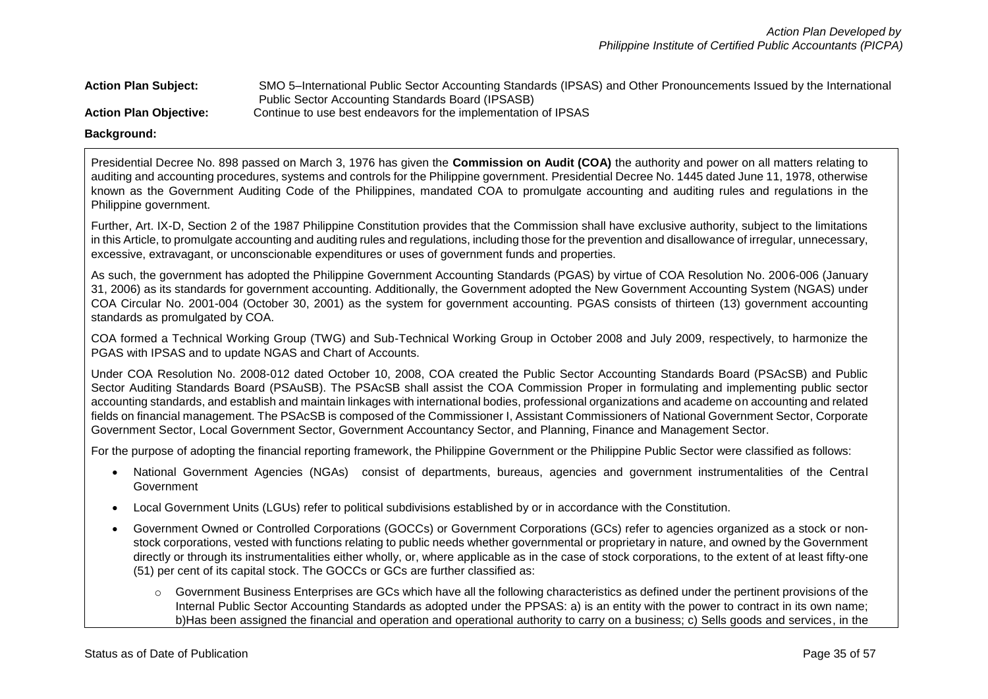**Action Plan Subject:** SMO 5–International Public Sector Accounting Standards (IPSAS) and Other Pronouncements Issued by the International Public Sector Accounting Standards Board (IPSASB) **Action Plan Objective:** Continue to use best endeavors for the implementation of IPSAS

**Background:** 

Presidential Decree No. 898 passed on March 3, 1976 has given the **Commission on Audit (COA)** the authority and power on all matters relating to auditing and accounting procedures, systems and controls for the Philippine government. Presidential Decree No. 1445 dated June 11, 1978, otherwise known as the Government Auditing Code of the Philippines, mandated COA to promulgate accounting and auditing rules and regulations in the Philippine government.

Further, Art. IX-D, Section 2 of the 1987 Philippine Constitution provides that the Commission shall have exclusive authority, subject to the limitations in this Article, to promulgate accounting and auditing rules and regulations, including those for the prevention and disallowance of irregular, unnecessary, excessive, extravagant, or unconscionable expenditures or uses of government funds and properties.

As such, the government has adopted the Philippine Government Accounting Standards (PGAS) by virtue of COA Resolution No. 2006-006 (January 31, 2006) as its standards for government accounting. Additionally, the Government adopted the New Government Accounting System (NGAS) under COA Circular No. 2001-004 (October 30, 2001) as the system for government accounting. PGAS consists of thirteen (13) government accounting standards as promulgated by COA.

COA formed a Technical Working Group (TWG) and Sub-Technical Working Group in October 2008 and July 2009, respectively, to harmonize the PGAS with IPSAS and to update NGAS and Chart of Accounts.

Under COA Resolution No. 2008-012 dated October 10, 2008, COA created the Public Sector Accounting Standards Board (PSAcSB) and Public Sector Auditing Standards Board (PSAuSB). The PSAcSB shall assist the COA Commission Proper in formulating and implementing public sector accounting standards, and establish and maintain linkages with international bodies, professional organizations and academe on accounting and related fields on financial management. The PSAcSB is composed of the Commissioner I, Assistant Commissioners of National Government Sector, Corporate Government Sector, Local Government Sector, Government Accountancy Sector, and Planning, Finance and Management Sector.

For the purpose of adopting the financial reporting framework, the Philippine Government or the Philippine Public Sector were classified as follows:

- National Government Agencies (NGAs) consist of departments, bureaus, agencies and government instrumentalities of the Central Government
- Local Government Units (LGUs) refer to political subdivisions established by or in accordance with the Constitution.
- Government Owned or Controlled Corporations (GOCCs) or Government Corporations (GCs) refer to agencies organized as a stock or nonstock corporations, vested with functions relating to public needs whether governmental or proprietary in nature, and owned by the Government directly or through its instrumentalities either wholly, or, where applicable as in the case of stock corporations, to the extent of at least fifty-one (51) per cent of its capital stock. The GOCCs or GCs are further classified as:
	- $\circ$  Government Business Enterprises are GCs which have all the following characteristics as defined under the pertinent provisions of the Internal Public Sector Accounting Standards as adopted under the PPSAS: a) is an entity with the power to contract in its own name; b)Has been assigned the financial and operation and operational authority to carry on a business; c) Sells goods and services, in the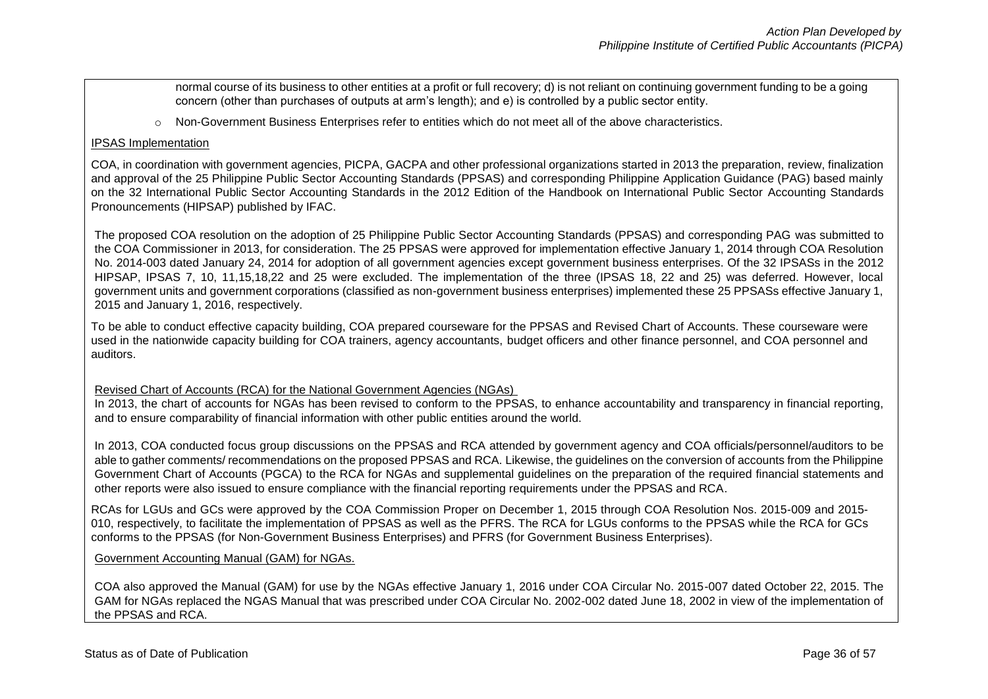normal course of its business to other entities at a profit or full recovery; d) is not reliant on continuing government funding to be a going concern (other than purchases of outputs at arm's length); and e) is controlled by a public sector entity.

o Non-Government Business Enterprises refer to entities which do not meet all of the above characteristics.

### IPSAS Implementation

COA, in coordination with government agencies, PICPA, GACPA and other professional organizations started in 2013 the preparation, review, finalization and approval of the 25 Philippine Public Sector Accounting Standards (PPSAS) and corresponding Philippine Application Guidance (PAG) based mainly on the 32 International Public Sector Accounting Standards in the 2012 Edition of the Handbook on International Public Sector Accounting Standards Pronouncements (HIPSAP) published by IFAC.

The proposed COA resolution on the adoption of 25 Philippine Public Sector Accounting Standards (PPSAS) and corresponding PAG was submitted to the COA Commissioner in 2013, for consideration. The 25 PPSAS were approved for implementation effective January 1, 2014 through COA Resolution No. 2014-003 dated January 24, 2014 for adoption of all government agencies except government business enterprises. Of the 32 IPSASs in the 2012 HIPSAP, IPSAS 7, 10, 11,15,18,22 and 25 were excluded. The implementation of the three (IPSAS 18, 22 and 25) was deferred. However, local government units and government corporations (classified as non-government business enterprises) implemented these 25 PPSASs effective January 1, 2015 and January 1, 2016, respectively.

To be able to conduct effective capacity building, COA prepared courseware for the PPSAS and Revised Chart of Accounts. These courseware were used in the nationwide capacity building for COA trainers, agency accountants, budget officers and other finance personnel, and COA personnel and auditors.

### Revised Chart of Accounts (RCA) for the National Government Agencies (NGAs)

In 2013, the chart of accounts for NGAs has been revised to conform to the PPSAS, to enhance accountability and transparency in financial reporting, and to ensure comparability of financial information with other public entities around the world.

In 2013, COA conducted focus group discussions on the PPSAS and RCA attended by government agency and COA officials/personnel/auditors to be able to gather comments/ recommendations on the proposed PPSAS and RCA. Likewise, the guidelines on the conversion of accounts from the Philippine Government Chart of Accounts (PGCA) to the RCA for NGAs and supplemental guidelines on the preparation of the required financial statements and other reports were also issued to ensure compliance with the financial reporting requirements under the PPSAS and RCA.

RCAs for LGUs and GCs were approved by the COA Commission Proper on December 1, 2015 through COA Resolution Nos. 2015-009 and 2015- 010, respectively, to facilitate the implementation of PPSAS as well as the PFRS. The RCA for LGUs conforms to the PPSAS while the RCA for GCs conforms to the PPSAS (for Non-Government Business Enterprises) and PFRS (for Government Business Enterprises).

### Government Accounting Manual (GAM) for NGAs.

COA also approved the Manual (GAM) for use by the NGAs effective January 1, 2016 under COA Circular No. 2015-007 dated October 22, 2015. The GAM for NGAs replaced the NGAS Manual that was prescribed under COA Circular No. 2002-002 dated June 18, 2002 in view of the implementation of the PPSAS and RCA.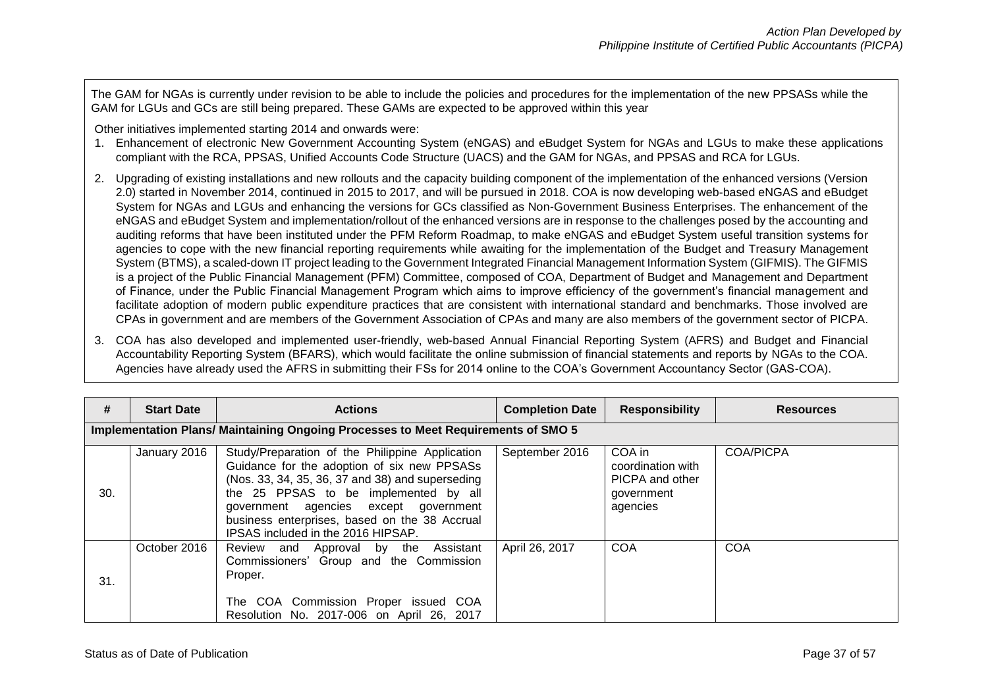The GAM for NGAs is currently under revision to be able to include the policies and procedures for the implementation of the new PPSASs while the GAM for LGUs and GCs are still being prepared. These GAMs are expected to be approved within this year

Other initiatives implemented starting 2014 and onwards were:

- 1. Enhancement of electronic New Government Accounting System (eNGAS) and eBudget System for NGAs and LGUs to make these applications compliant with the RCA, PPSAS, Unified Accounts Code Structure (UACS) and the GAM for NGAs, and PPSAS and RCA for LGUs.
- 2. Upgrading of existing installations and new rollouts and the capacity building component of the implementation of the enhanced versions (Version 2.0) started in November 2014, continued in 2015 to 2017, and will be pursued in 2018. COA is now developing web-based eNGAS and eBudget System for NGAs and LGUs and enhancing the versions for GCs classified as Non-Government Business Enterprises. The enhancement of the eNGAS and eBudget System and implementation/rollout of the enhanced versions are in response to the challenges posed by the accounting and auditing reforms that have been instituted under the PFM Reform Roadmap, to make eNGAS and eBudget System useful transition systems for agencies to cope with the new financial reporting requirements while awaiting for the implementation of the Budget and Treasury Management System (BTMS), a scaled-down IT project leading to the Government Integrated Financial Management Information System (GIFMIS). The GIFMIS is a project of the Public Financial Management (PFM) Committee, composed of COA, Department of Budget and Management and Department of Finance, under the Public Financial Management Program which aims to improve efficiency of the government's financial management and facilitate adoption of modern public expenditure practices that are consistent with international standard and benchmarks. Those involved are CPAs in government and are members of the Government Association of CPAs and many are also members of the government sector of PICPA.
- 3. COA has also developed and implemented user-friendly, web-based Annual Financial Reporting System (AFRS) and Budget and Financial Accountability Reporting System (BFARS), which would facilitate the online submission of financial statements and reports by NGAs to the COA. Agencies have already used the AFRS in submitting their FSs for 2014 online to the COA's Government Accountancy Sector (GAS-COA).

| #   | <b>Start Date</b>                                                                 | <b>Actions</b>                                                                                                                                                                                                                                                                                                              | <b>Completion Date</b> | <b>Responsibility</b>                                                    | <b>Resources</b> |  |  |
|-----|-----------------------------------------------------------------------------------|-----------------------------------------------------------------------------------------------------------------------------------------------------------------------------------------------------------------------------------------------------------------------------------------------------------------------------|------------------------|--------------------------------------------------------------------------|------------------|--|--|
|     | Implementation Plans/ Maintaining Ongoing Processes to Meet Requirements of SMO 5 |                                                                                                                                                                                                                                                                                                                             |                        |                                                                          |                  |  |  |
| 30. | January 2016                                                                      | Study/Preparation of the Philippine Application<br>Guidance for the adoption of six new PPSASs<br>(Nos. 33, 34, 35, 36, 37 and 38) and superseding<br>the 25 PPSAS to be implemented by all<br>government agencies except government<br>business enterprises, based on the 38 Accrual<br>IPSAS included in the 2016 HIPSAP. | September 2016         | COA in<br>coordination with<br>PICPA and other<br>government<br>agencies | <b>COA/PICPA</b> |  |  |
| 31. | October 2016                                                                      | Review and Approval by the Assistant<br>Commissioners' Group and the Commission<br>Proper.<br>The COA Commission Proper issued COA<br>Resolution No. 2017-006 on April 26, 2017                                                                                                                                             | April 26, 2017         | <b>COA</b>                                                               | <b>COA</b>       |  |  |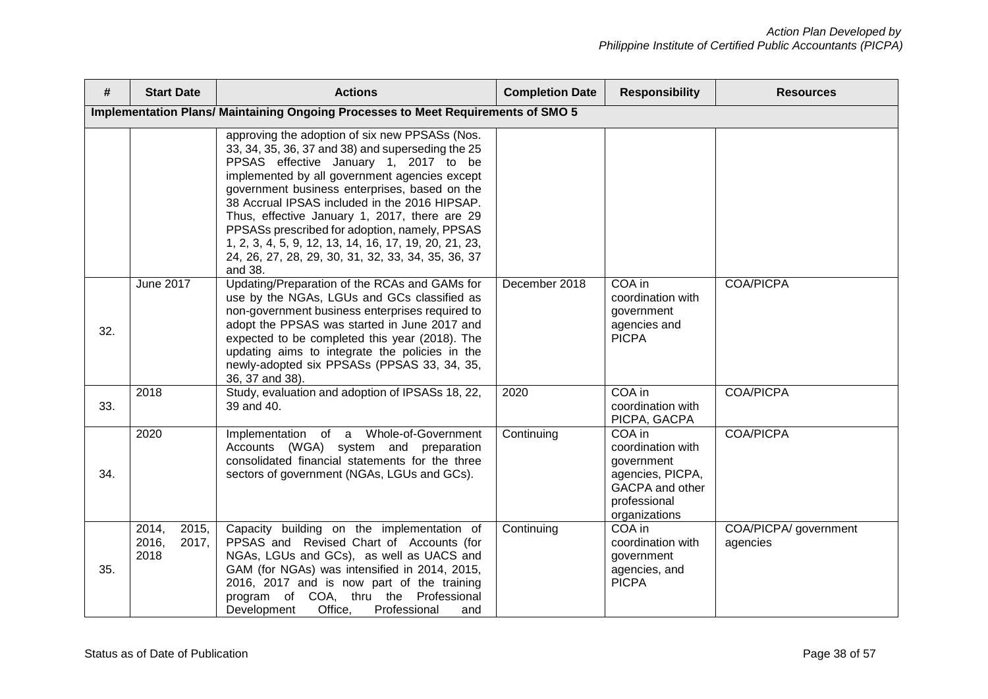| #   | <b>Start Date</b>                        | <b>Actions</b>                                                                                                                                                                                                                                                                                                                                                                                                                                                                                                              | <b>Completion Date</b> | <b>Responsibility</b>                                                                                             | <b>Resources</b>                  |
|-----|------------------------------------------|-----------------------------------------------------------------------------------------------------------------------------------------------------------------------------------------------------------------------------------------------------------------------------------------------------------------------------------------------------------------------------------------------------------------------------------------------------------------------------------------------------------------------------|------------------------|-------------------------------------------------------------------------------------------------------------------|-----------------------------------|
|     |                                          | Implementation Plans/ Maintaining Ongoing Processes to Meet Requirements of SMO 5                                                                                                                                                                                                                                                                                                                                                                                                                                           |                        |                                                                                                                   |                                   |
|     |                                          | approving the adoption of six new PPSASs (Nos.<br>33, 34, 35, 36, 37 and 38) and superseding the 25<br>PPSAS effective January 1, 2017 to be<br>implemented by all government agencies except<br>government business enterprises, based on the<br>38 Accrual IPSAS included in the 2016 HIPSAP.<br>Thus, effective January 1, 2017, there are 29<br>PPSASs prescribed for adoption, namely, PPSAS<br>1, 2, 3, 4, 5, 9, 12, 13, 14, 16, 17, 19, 20, 21, 23,<br>24, 26, 27, 28, 29, 30, 31, 32, 33, 34, 35, 36, 37<br>and 38. |                        |                                                                                                                   |                                   |
| 32. | June 2017                                | Updating/Preparation of the RCAs and GAMs for<br>use by the NGAs, LGUs and GCs classified as<br>non-government business enterprises required to<br>adopt the PPSAS was started in June 2017 and<br>expected to be completed this year (2018). The<br>updating aims to integrate the policies in the<br>newly-adopted six PPSASs (PPSAS 33, 34, 35,<br>36, 37 and 38).                                                                                                                                                       | December 2018          | COA in<br>coordination with<br>government<br>agencies and<br><b>PICPA</b>                                         | <b>COA/PICPA</b>                  |
| 33. | 2018                                     | Study, evaluation and adoption of IPSASs 18, 22,<br>39 and 40.                                                                                                                                                                                                                                                                                                                                                                                                                                                              | 2020                   | COA in<br>coordination with<br>PICPA, GACPA                                                                       | <b>COA/PICPA</b>                  |
| 34. | 2020                                     | Implementation of a Whole-of-Government<br>Accounts (WGA) system and preparation<br>consolidated financial statements for the three<br>sectors of government (NGAs, LGUs and GCs).                                                                                                                                                                                                                                                                                                                                          | Continuing             | COA in<br>coordination with<br>government<br>agencies, PICPA,<br>GACPA and other<br>professional<br>organizations | <b>COA/PICPA</b>                  |
| 35. | 2015,<br>2014,<br>2016,<br>2017,<br>2018 | Capacity building on the implementation of<br>PPSAS and Revised Chart of Accounts (for<br>NGAs, LGUs and GCs), as well as UACS and<br>GAM (for NGAs) was intensified in 2014, 2015,<br>2016, 2017 and is now part of the training<br>program of COA, thru the Professional<br>Office,<br>Development<br>Professional<br>and                                                                                                                                                                                                 | Continuing             | COA in<br>coordination with<br>government<br>agencies, and<br><b>PICPA</b>                                        | COA/PICPA/ government<br>agencies |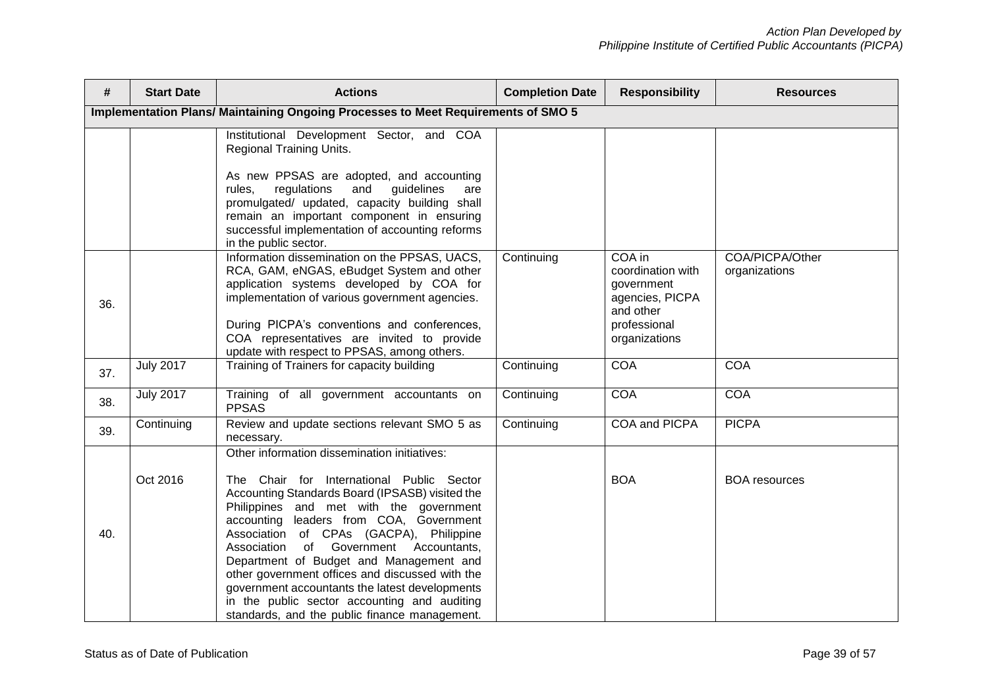| #   | <b>Start Date</b>                                                                 | <b>Actions</b>                                                                                                                                                                                                                                                                                                                                                                                                                                                                                                                                                              | <b>Completion Date</b> | <b>Responsibility</b>                                                                                      | <b>Resources</b>                 |  |  |
|-----|-----------------------------------------------------------------------------------|-----------------------------------------------------------------------------------------------------------------------------------------------------------------------------------------------------------------------------------------------------------------------------------------------------------------------------------------------------------------------------------------------------------------------------------------------------------------------------------------------------------------------------------------------------------------------------|------------------------|------------------------------------------------------------------------------------------------------------|----------------------------------|--|--|
|     | Implementation Plans/ Maintaining Ongoing Processes to Meet Requirements of SMO 5 |                                                                                                                                                                                                                                                                                                                                                                                                                                                                                                                                                                             |                        |                                                                                                            |                                  |  |  |
|     |                                                                                   | Institutional Development Sector, and COA<br>Regional Training Units.<br>As new PPSAS are adopted, and accounting<br>regulations<br>and<br>guidelines<br>rules.<br>are<br>promulgated/ updated, capacity building shall<br>remain an important component in ensuring<br>successful implementation of accounting reforms<br>in the public sector.                                                                                                                                                                                                                            |                        |                                                                                                            |                                  |  |  |
| 36. |                                                                                   | Information dissemination on the PPSAS, UACS,<br>RCA, GAM, eNGAS, eBudget System and other<br>application systems developed by COA for<br>implementation of various government agencies.<br>During PICPA's conventions and conferences,<br>COA representatives are invited to provide<br>update with respect to PPSAS, among others.                                                                                                                                                                                                                                        | Continuing             | COA in<br>coordination with<br>government<br>agencies, PICPA<br>and other<br>professional<br>organizations | COA/PICPA/Other<br>organizations |  |  |
| 37. | <b>July 2017</b>                                                                  | Training of Trainers for capacity building                                                                                                                                                                                                                                                                                                                                                                                                                                                                                                                                  | Continuing             | <b>COA</b>                                                                                                 | <b>COA</b>                       |  |  |
| 38. | <b>July 2017</b>                                                                  | Training of all government accountants on<br><b>PPSAS</b>                                                                                                                                                                                                                                                                                                                                                                                                                                                                                                                   | Continuing             | <b>COA</b>                                                                                                 | COA                              |  |  |
| 39. | Continuing                                                                        | Review and update sections relevant SMO 5 as<br>necessary.                                                                                                                                                                                                                                                                                                                                                                                                                                                                                                                  | Continuing             | COA and PICPA                                                                                              | <b>PICPA</b>                     |  |  |
| 40. | Oct 2016                                                                          | Other information dissemination initiatives:<br>The Chair for International Public Sector<br>Accounting Standards Board (IPSASB) visited the<br>Philippines and met with the government<br>accounting leaders from COA, Government<br>Association of CPAs (GACPA), Philippine<br>of Government Accountants,<br>Association<br>Department of Budget and Management and<br>other government offices and discussed with the<br>government accountants the latest developments<br>in the public sector accounting and auditing<br>standards, and the public finance management. |                        | <b>BOA</b>                                                                                                 | <b>BOA</b> resources             |  |  |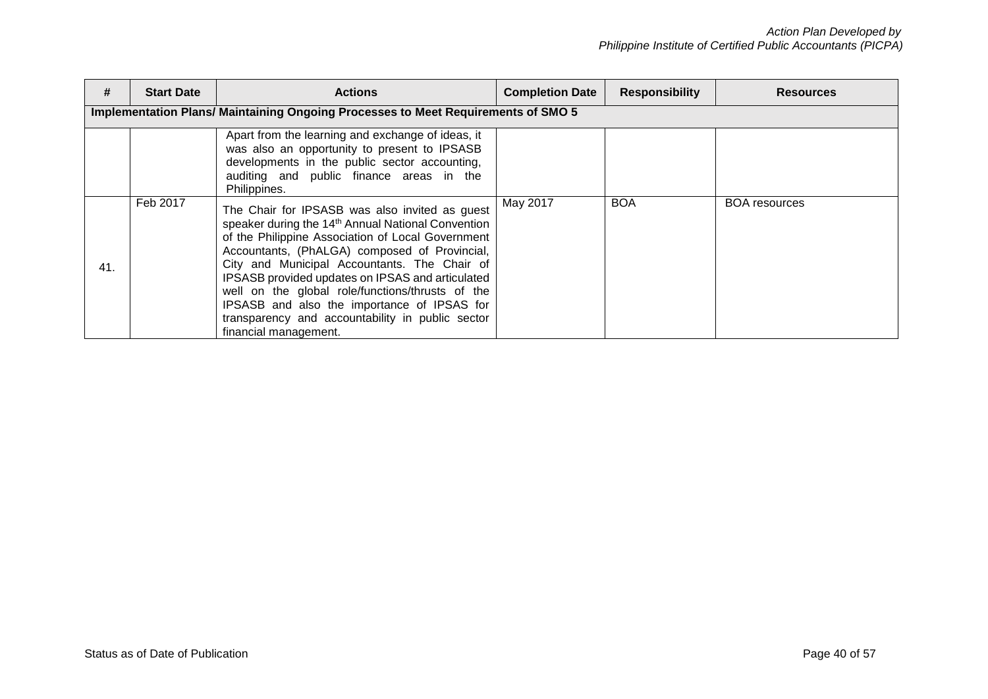| #   | <b>Start Date</b> | <b>Actions</b>                                                                                                                                                                                                                                                                                                                                                                                                                                                                                             | <b>Completion Date</b> | <b>Responsibility</b> | <b>Resources</b>     |
|-----|-------------------|------------------------------------------------------------------------------------------------------------------------------------------------------------------------------------------------------------------------------------------------------------------------------------------------------------------------------------------------------------------------------------------------------------------------------------------------------------------------------------------------------------|------------------------|-----------------------|----------------------|
|     |                   | Implementation Plans/ Maintaining Ongoing Processes to Meet Requirements of SMO 5                                                                                                                                                                                                                                                                                                                                                                                                                          |                        |                       |                      |
|     |                   | Apart from the learning and exchange of ideas, it<br>was also an opportunity to present to IPSASB<br>developments in the public sector accounting,<br>auditing and public finance areas in the<br>Philippines.                                                                                                                                                                                                                                                                                             |                        |                       |                      |
| 41. | Feb 2017          | The Chair for IPSASB was also invited as guest<br>speaker during the 14 <sup>th</sup> Annual National Convention<br>of the Philippine Association of Local Government<br>Accountants, (PhALGA) composed of Provincial,<br>City and Municipal Accountants. The Chair of<br>IPSASB provided updates on IPSAS and articulated<br>well on the global role/functions/thrusts of the<br>IPSASB and also the importance of IPSAS for<br>transparency and accountability in public sector<br>financial management. | May 2017               | <b>BOA</b>            | <b>BOA</b> resources |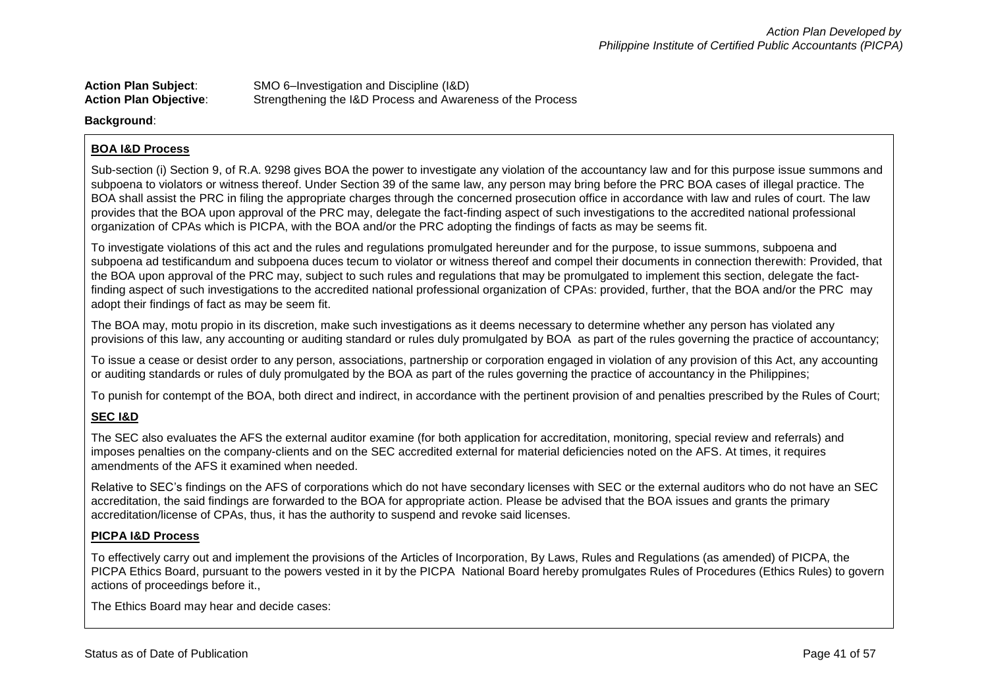| <b>Action Plan Subject:</b>   | SMO 6-Investigation and Discipline (I&D)                   |
|-------------------------------|------------------------------------------------------------|
| <b>Action Plan Objective:</b> | Strengthening the I&D Process and Awareness of the Process |

#### **Background**:

### **BOA I&D Process**

Sub-section (i) Section 9, of R.A. 9298 gives BOA the power to investigate any violation of the accountancy law and for this purpose issue summons and subpoena to violators or witness thereof. Under Section 39 of the same law, any person may bring before the PRC BOA cases of illegal practice. The BOA shall assist the PRC in filing the appropriate charges through the concerned prosecution office in accordance with law and rules of court. The law provides that the BOA upon approval of the PRC may, delegate the fact-finding aspect of such investigations to the accredited national professional organization of CPAs which is PICPA, with the BOA and/or the PRC adopting the findings of facts as may be seems fit.

To investigate violations of this act and the rules and regulations promulgated hereunder and for the purpose, to issue summons, subpoena and subpoena ad testificandum and subpoena duces tecum to violator or witness thereof and compel their documents in connection therewith: Provided, that the BOA upon approval of the PRC may, subject to such rules and regulations that may be promulgated to implement this section, delegate the factfinding aspect of such investigations to the accredited national professional organization of CPAs: provided, further, that the BOA and/or the PRC may adopt their findings of fact as may be seem fit.

The BOA may, motu propio in its discretion, make such investigations as it deems necessary to determine whether any person has violated any provisions of this law, any accounting or auditing standard or rules duly promulgated by BOA as part of the rules governing the practice of accountancy;

To issue a cease or desist order to any person, associations, partnership or corporation engaged in violation of any provision of this Act, any accounting or auditing standards or rules of duly promulgated by the BOA as part of the rules governing the practice of accountancy in the Philippines;

To punish for contempt of the BOA, both direct and indirect, in accordance with the pertinent provision of and penalties prescribed by the Rules of Court;

### **SEC I&D**

The SEC also evaluates the AFS the external auditor examine (for both application for accreditation, monitoring, special review and referrals) and imposes penalties on the company-clients and on the SEC accredited external for material deficiencies noted on the AFS. At times, it requires amendments of the AFS it examined when needed.

Relative to SEC's findings on the AFS of corporations which do not have secondary licenses with SEC or the external auditors who do not have an SEC accreditation, the said findings are forwarded to the BOA for appropriate action. Please be advised that the BOA issues and grants the primary accreditation/license of CPAs, thus, it has the authority to suspend and revoke said licenses.

### **PICPA I&D Process**

To effectively carry out and implement the provisions of the Articles of Incorporation, By Laws, Rules and Regulations (as amended) of PICPA, the PICPA Ethics Board, pursuant to the powers vested in it by the PICPA National Board hereby promulgates Rules of Procedures (Ethics Rules) to govern actions of proceedings before it.,

The Ethics Board may hear and decide cases: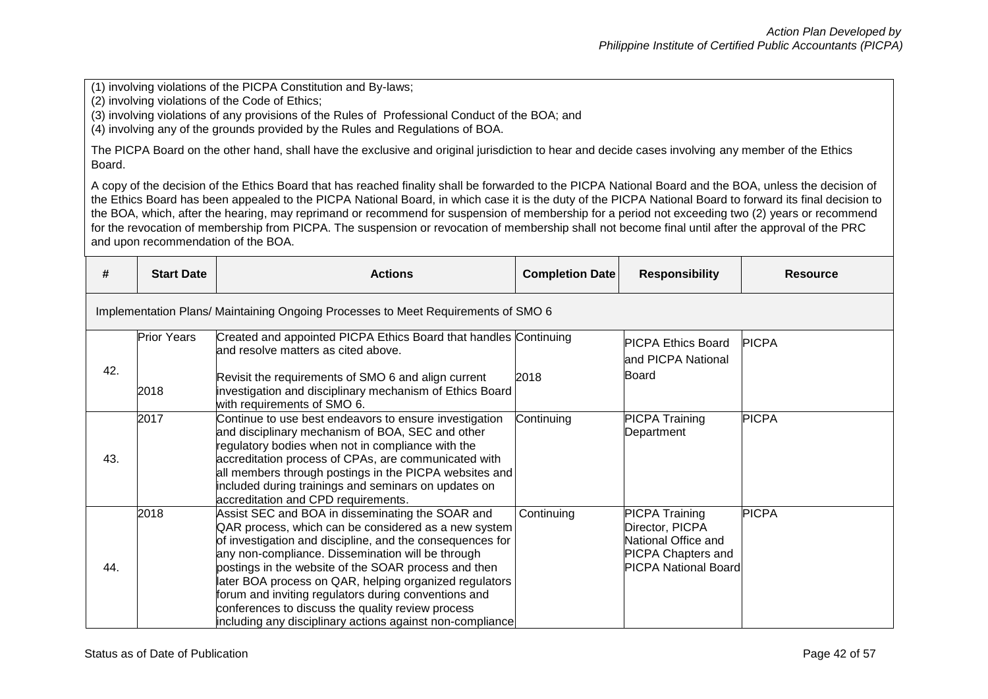(1) involving violations of the PICPA Constitution and By-laws;

(2) involving violations of the Code of Ethics;

(3) involving violations of any provisions of the Rules of Professional Conduct of the BOA; and

(4) involving any of the grounds provided by the Rules and Regulations of BOA.

The PICPA Board on the other hand, shall have the exclusive and original jurisdiction to hear and decide cases involving any member of the Ethics Board.

A copy of the decision of the Ethics Board that has reached finality shall be forwarded to the PICPA National Board and the BOA, unless the decision of the Ethics Board has been appealed to the PICPA National Board, in which case it is the duty of the PICPA National Board to forward its final decision to the BOA, which, after the hearing, may reprimand or recommend for suspension of membership for a period not exceeding two (2) years or recommend for the revocation of membership from PICPA. The suspension or revocation of membership shall not become final until after the approval of the PRC and upon recommendation of the BOA.

| #   | <b>Start Date</b>                                                                | <b>Actions</b>                                                                                                                                                                                                                                                                                                                                                                                                                                                                                                         | <b>Completion Date</b> | <b>Responsibility</b>                                                                                                       | <b>Resource</b> |  |  |
|-----|----------------------------------------------------------------------------------|------------------------------------------------------------------------------------------------------------------------------------------------------------------------------------------------------------------------------------------------------------------------------------------------------------------------------------------------------------------------------------------------------------------------------------------------------------------------------------------------------------------------|------------------------|-----------------------------------------------------------------------------------------------------------------------------|-----------------|--|--|
|     | Implementation Plans/Maintaining Ongoing Processes to Meet Requirements of SMO 6 |                                                                                                                                                                                                                                                                                                                                                                                                                                                                                                                        |                        |                                                                                                                             |                 |  |  |
|     | <b>Prior Years</b>                                                               | Created and appointed PICPA Ethics Board that handles Continuing<br>and resolve matters as cited above.                                                                                                                                                                                                                                                                                                                                                                                                                |                        | <b>PICPA Ethics Board</b><br>and PICPA National                                                                             | <b>PICPA</b>    |  |  |
| 42. | 2018                                                                             | Revisit the requirements of SMO 6 and align current<br>investigation and disciplinary mechanism of Ethics Board<br>with requirements of SMO 6.                                                                                                                                                                                                                                                                                                                                                                         | 2018                   | Board                                                                                                                       |                 |  |  |
| 43. | 2017                                                                             | Continue to use best endeavors to ensure investigation<br>and disciplinary mechanism of BOA, SEC and other<br>regulatory bodies when not in compliance with the<br>accreditation process of CPAs, are communicated with<br>all members through postings in the PICPA websites and<br>included during trainings and seminars on updates on<br>accreditation and CPD requirements.                                                                                                                                       | Continuing             | <b>PICPA Training</b><br>Department                                                                                         | <b>PICPA</b>    |  |  |
| 44. | 2018                                                                             | Assist SEC and BOA in disseminating the SOAR and<br>QAR process, which can be considered as a new system<br>of investigation and discipline, and the consequences for<br>any non-compliance. Dissemination will be through<br>postings in the website of the SOAR process and then<br>later BOA process on QAR, helping organized regulators<br>forum and inviting regulators during conventions and<br>conferences to discuss the quality review process<br>including any disciplinary actions against non-compliance | Continuing             | <b>PICPA Training</b><br>Director, PICPA<br>National Office and<br><b>PICPA Chapters and</b><br><b>PICPA National Board</b> | <b>PICPA</b>    |  |  |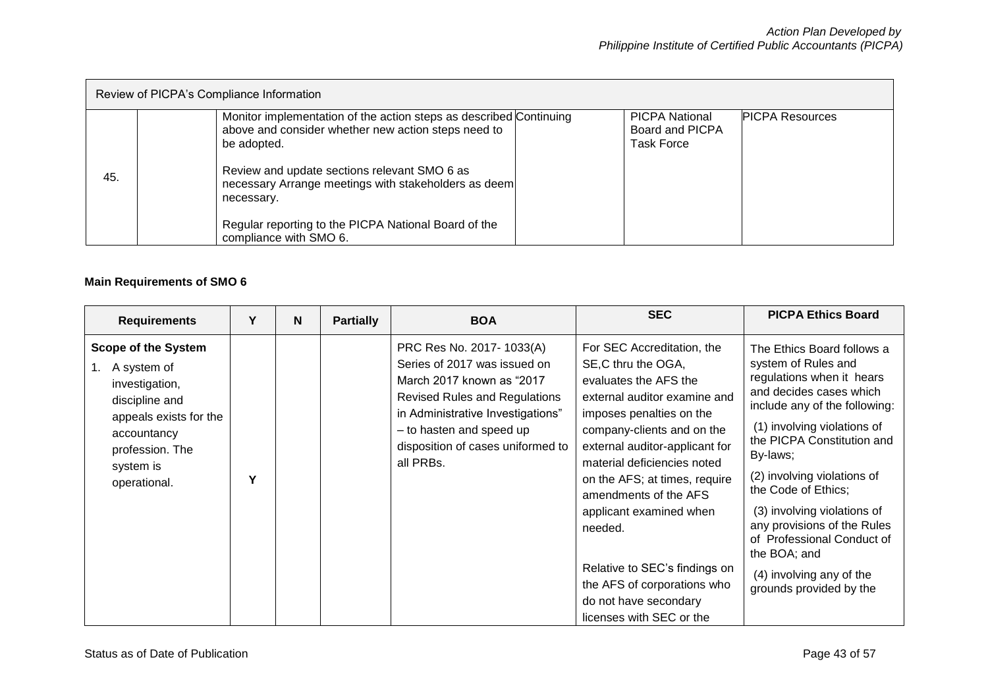| Review of PICPA's Compliance Information |                                                                                                                                                                                                                                                                                                                                                  |                                                                                         |  |  |  |
|------------------------------------------|--------------------------------------------------------------------------------------------------------------------------------------------------------------------------------------------------------------------------------------------------------------------------------------------------------------------------------------------------|-----------------------------------------------------------------------------------------|--|--|--|
| 45.                                      | Monitor implementation of the action steps as described Continuing<br>above and consider whether new action steps need to<br>be adopted.<br>Review and update sections relevant SMO 6 as<br>necessary Arrange meetings with stakeholders as deem<br>necessary.<br>Regular reporting to the PICPA National Board of the<br>compliance with SMO 6. | <b>PICPA National</b><br><b>PICPA Resources</b><br>Board and PICPA<br><b>Task Force</b> |  |  |  |

# **Main Requirements of SMO 6**

| <b>Requirements</b>                                                                                                                                                               | Υ | N | <b>Partially</b> | <b>BOA</b>                                                                                                                                                                                                                                       | <b>SEC</b>                                                                                                                                                                                                                                                                                                                                                                                                                                                 | <b>PICPA Ethics Board</b>                                                                                                                                                                                                                                                                                                                                                                                                                    |
|-----------------------------------------------------------------------------------------------------------------------------------------------------------------------------------|---|---|------------------|--------------------------------------------------------------------------------------------------------------------------------------------------------------------------------------------------------------------------------------------------|------------------------------------------------------------------------------------------------------------------------------------------------------------------------------------------------------------------------------------------------------------------------------------------------------------------------------------------------------------------------------------------------------------------------------------------------------------|----------------------------------------------------------------------------------------------------------------------------------------------------------------------------------------------------------------------------------------------------------------------------------------------------------------------------------------------------------------------------------------------------------------------------------------------|
| <b>Scope of the System</b><br>A system of<br>$1_{1}$<br>investigation,<br>discipline and<br>appeals exists for the<br>accountancy<br>profession. The<br>system is<br>operational. | Υ |   |                  | PRC Res No. 2017-1033(A)<br>Series of 2017 was issued on<br>March 2017 known as "2017<br><b>Revised Rules and Regulations</b><br>in Administrative Investigations"<br>- to hasten and speed up<br>disposition of cases uniformed to<br>all PRBs. | For SEC Accreditation, the<br>SE, C thru the OGA,<br>evaluates the AFS the<br>external auditor examine and<br>imposes penalties on the<br>company-clients and on the<br>external auditor-applicant for<br>material deficiencies noted<br>on the AFS; at times, require<br>amendments of the AFS<br>applicant examined when<br>needed.<br>Relative to SEC's findings on<br>the AFS of corporations who<br>do not have secondary<br>licenses with SEC or the | The Ethics Board follows a<br>system of Rules and<br>regulations when it hears<br>and decides cases which<br>include any of the following:<br>(1) involving violations of<br>the PICPA Constitution and<br>By-laws;<br>(2) involving violations of<br>the Code of Ethics;<br>(3) involving violations of<br>any provisions of the Rules<br>of Professional Conduct of<br>the BOA; and<br>(4) involving any of the<br>grounds provided by the |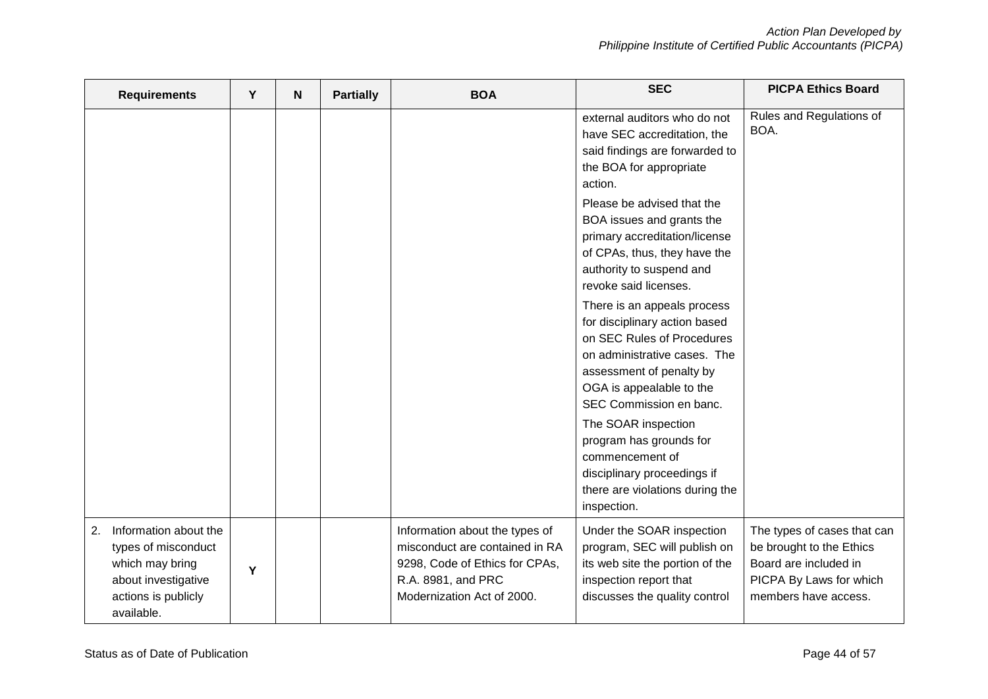| <b>Requirements</b>                                                                                                               | Υ | $\mathbf N$ | <b>Partially</b> | <b>BOA</b>                                                                                                                                                                                                    | <b>SEC</b>                                                                                                                                                        | <b>PICPA Ethics Board</b>                                                                                                           |  |
|-----------------------------------------------------------------------------------------------------------------------------------|---|-------------|------------------|---------------------------------------------------------------------------------------------------------------------------------------------------------------------------------------------------------------|-------------------------------------------------------------------------------------------------------------------------------------------------------------------|-------------------------------------------------------------------------------------------------------------------------------------|--|
|                                                                                                                                   |   |             |                  |                                                                                                                                                                                                               | external auditors who do not<br>have SEC accreditation, the<br>said findings are forwarded to<br>the BOA for appropriate<br>action.<br>Please be advised that the | Rules and Regulations of<br>BOA.                                                                                                    |  |
|                                                                                                                                   |   |             |                  | BOA issues and grants the<br>primary accreditation/license<br>of CPAs, thus, they have the<br>authority to suspend and<br>revoke said licenses.                                                               |                                                                                                                                                                   |                                                                                                                                     |  |
|                                                                                                                                   |   |             |                  | There is an appeals process<br>for disciplinary action based<br>on SEC Rules of Procedures<br>on administrative cases. The<br>assessment of penalty by<br>OGA is appealable to the<br>SEC Commission en banc. |                                                                                                                                                                   |                                                                                                                                     |  |
|                                                                                                                                   |   |             |                  |                                                                                                                                                                                                               | The SOAR inspection<br>program has grounds for<br>commencement of<br>disciplinary proceedings if<br>there are violations during the<br>inspection.                |                                                                                                                                     |  |
| Information about the<br>2.<br>types of misconduct<br>which may bring<br>about investigative<br>actions is publicly<br>available. | Y |             |                  | Information about the types of<br>misconduct are contained in RA<br>9298, Code of Ethics for CPAs,<br>R.A. 8981, and PRC<br>Modernization Act of 2000.                                                        | Under the SOAR inspection<br>program, SEC will publish on<br>its web site the portion of the<br>inspection report that<br>discusses the quality control           | The types of cases that can<br>be brought to the Ethics<br>Board are included in<br>PICPA By Laws for which<br>members have access. |  |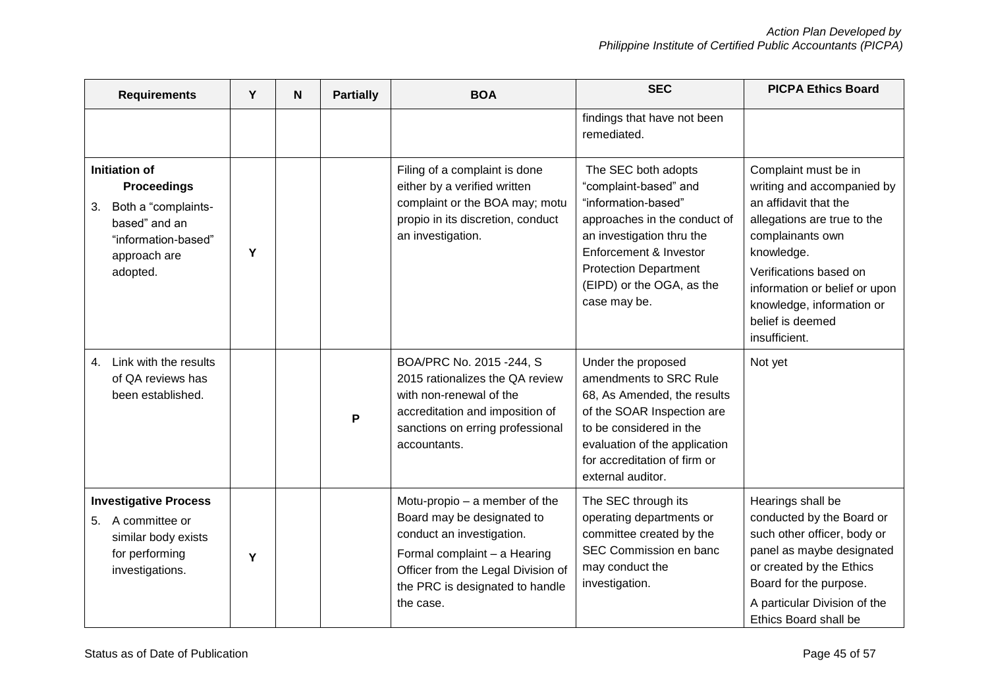| <b>Requirements</b>                                                                                                                       | Y | N                                                                                                                                                                                                              | <b>Partially</b>                                                                                                                                                                                                                        | <b>BOA</b>                                                                                                                                                                                                                                                                | <b>SEC</b>                                                                                                                                                                                                                 | <b>PICPA Ethics Board</b> |
|-------------------------------------------------------------------------------------------------------------------------------------------|---|----------------------------------------------------------------------------------------------------------------------------------------------------------------------------------------------------------------|-----------------------------------------------------------------------------------------------------------------------------------------------------------------------------------------------------------------------------------------|---------------------------------------------------------------------------------------------------------------------------------------------------------------------------------------------------------------------------------------------------------------------------|----------------------------------------------------------------------------------------------------------------------------------------------------------------------------------------------------------------------------|---------------------------|
|                                                                                                                                           |   |                                                                                                                                                                                                                |                                                                                                                                                                                                                                         |                                                                                                                                                                                                                                                                           | findings that have not been<br>remediated.                                                                                                                                                                                 |                           |
| Initiation of<br><b>Proceedings</b><br>Both a "complaints-<br>3.<br>based" and an<br>"information-based"<br>Y<br>approach are<br>adopted. |   | Filing of a complaint is done<br>either by a verified written<br>complaint or the BOA may; motu<br>propio in its discretion, conduct<br>an investigation.                                                      | The SEC both adopts<br>"complaint-based" and<br>"information-based"<br>approaches in the conduct of<br>an investigation thru the<br>Enforcement & Investor<br><b>Protection Department</b><br>(EIPD) or the OGA, as the<br>case may be. | Complaint must be in<br>writing and accompanied by<br>an affidavit that the<br>allegations are true to the<br>complainants own<br>knowledge.<br>Verifications based on<br>information or belief or upon<br>knowledge, information or<br>belief is deemed<br>insufficient. |                                                                                                                                                                                                                            |                           |
| Link with the results<br>4.<br>of QA reviews has<br>been established.                                                                     |   |                                                                                                                                                                                                                | P                                                                                                                                                                                                                                       | BOA/PRC No. 2015 -244, S<br>2015 rationalizes the QA review<br>with non-renewal of the<br>accreditation and imposition of<br>sanctions on erring professional<br>accountants.                                                                                             | Under the proposed<br>amendments to SRC Rule<br>68, As Amended, the results<br>of the SOAR Inspection are<br>to be considered in the<br>evaluation of the application<br>for accreditation of firm or<br>external auditor. | Not yet                   |
| <b>Investigative Process</b><br>A committee or<br>5.<br>similar body exists<br>for performing<br>Y<br>investigations.                     |   | Motu-propio - a member of the<br>Board may be designated to<br>conduct an investigation.<br>Formal complaint - a Hearing<br>Officer from the Legal Division of<br>the PRC is designated to handle<br>the case. | The SEC through its<br>operating departments or<br>committee created by the<br>SEC Commission en banc<br>may conduct the<br>investigation.                                                                                              | Hearings shall be<br>conducted by the Board or<br>such other officer, body or<br>panel as maybe designated<br>or created by the Ethics<br>Board for the purpose.<br>A particular Division of the<br>Ethics Board shall be                                                 |                                                                                                                                                                                                                            |                           |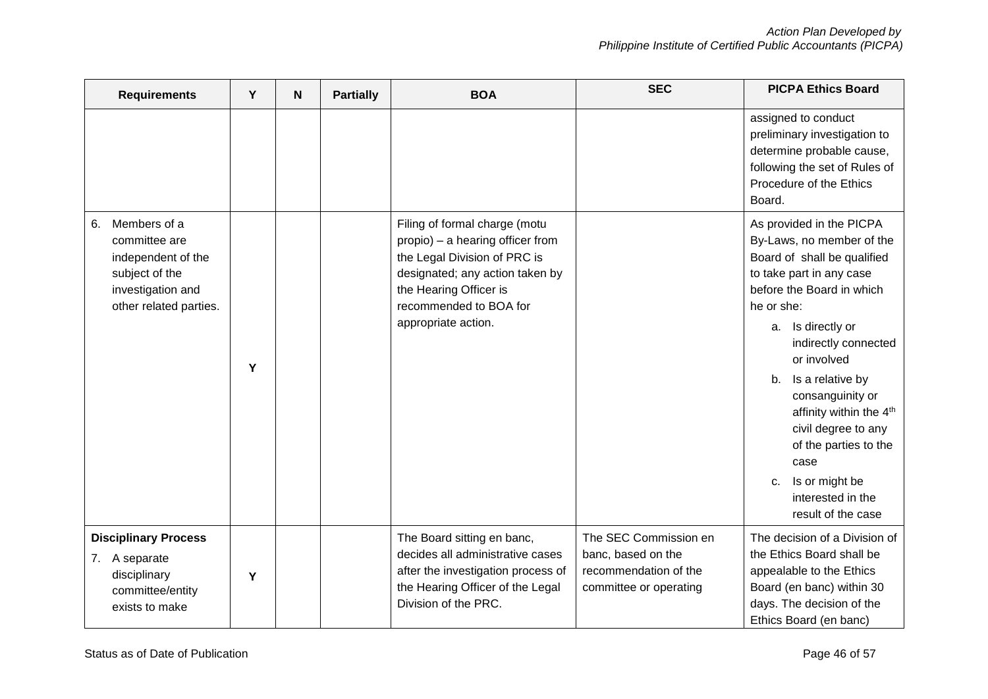| <b>Requirements</b>                                                                                                        | Y | N | <b>Partially</b> | <b>BOA</b>                                                                                                                                                                                                      | <b>SEC</b>                                                                                     | <b>PICPA Ethics Board</b>                                                                                                                                                                                                                                                                                                                                                                                                                  |
|----------------------------------------------------------------------------------------------------------------------------|---|---|------------------|-----------------------------------------------------------------------------------------------------------------------------------------------------------------------------------------------------------------|------------------------------------------------------------------------------------------------|--------------------------------------------------------------------------------------------------------------------------------------------------------------------------------------------------------------------------------------------------------------------------------------------------------------------------------------------------------------------------------------------------------------------------------------------|
|                                                                                                                            |   |   |                  |                                                                                                                                                                                                                 |                                                                                                | assigned to conduct<br>preliminary investigation to<br>determine probable cause,<br>following the set of Rules of<br>Procedure of the Ethics<br>Board.                                                                                                                                                                                                                                                                                     |
| Members of a<br>6.<br>committee are<br>independent of the<br>subject of the<br>investigation and<br>other related parties. | Y |   |                  | Filing of formal charge (motu<br>propio) - a hearing officer from<br>the Legal Division of PRC is<br>designated; any action taken by<br>the Hearing Officer is<br>recommended to BOA for<br>appropriate action. |                                                                                                | As provided in the PICPA<br>By-Laws, no member of the<br>Board of shall be qualified<br>to take part in any case<br>before the Board in which<br>he or she:<br>Is directly or<br>a.<br>indirectly connected<br>or involved<br>Is a relative by<br>b.<br>consanguinity or<br>affinity within the 4 <sup>th</sup><br>civil degree to any<br>of the parties to the<br>case<br>Is or might be<br>c.<br>interested in the<br>result of the case |
| <b>Disciplinary Process</b><br>A separate<br>7.<br>disciplinary<br>committee/entity<br>exists to make                      | Y |   |                  | The Board sitting en banc,<br>decides all administrative cases<br>after the investigation process of<br>the Hearing Officer of the Legal<br>Division of the PRC.                                                | The SEC Commission en<br>banc, based on the<br>recommendation of the<br>committee or operating | The decision of a Division of<br>the Ethics Board shall be<br>appealable to the Ethics<br>Board (en banc) within 30<br>days. The decision of the<br>Ethics Board (en banc)                                                                                                                                                                                                                                                                 |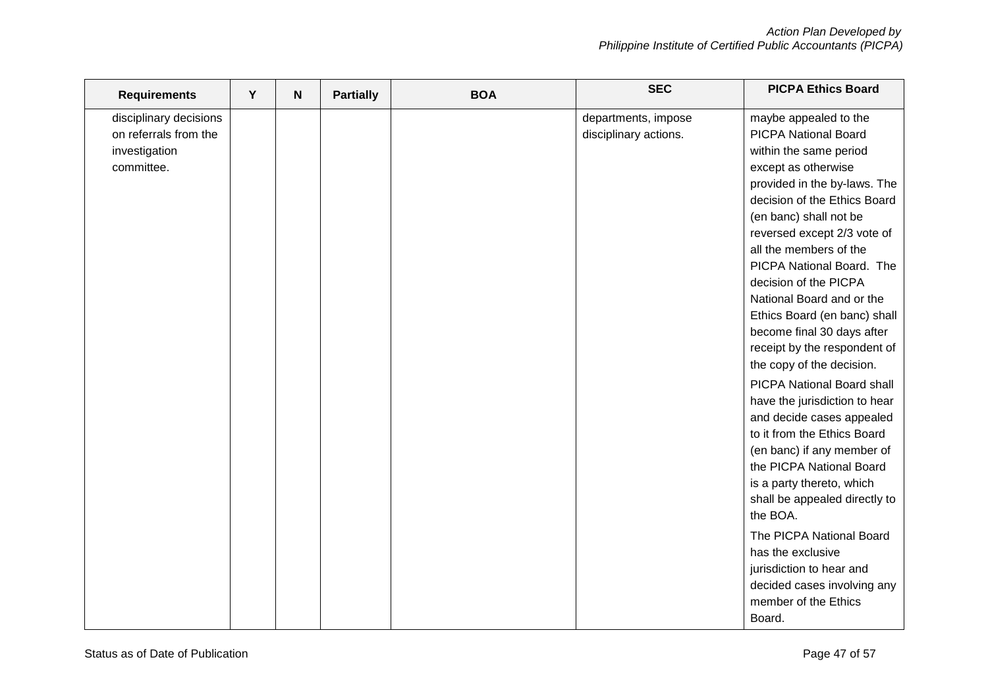| <b>Requirements</b>    | Y | N | <b>Partially</b> | <b>BOA</b> | <b>SEC</b>            | <b>PICPA Ethics Board</b>         |
|------------------------|---|---|------------------|------------|-----------------------|-----------------------------------|
| disciplinary decisions |   |   |                  |            | departments, impose   | maybe appealed to the             |
| on referrals from the  |   |   |                  |            | disciplinary actions. | <b>PICPA National Board</b>       |
| investigation          |   |   |                  |            |                       | within the same period            |
| committee.             |   |   |                  |            |                       | except as otherwise               |
|                        |   |   |                  |            |                       | provided in the by-laws. The      |
|                        |   |   |                  |            |                       | decision of the Ethics Board      |
|                        |   |   |                  |            |                       | (en banc) shall not be            |
|                        |   |   |                  |            |                       | reversed except 2/3 vote of       |
|                        |   |   |                  |            |                       | all the members of the            |
|                        |   |   |                  |            |                       | PICPA National Board. The         |
|                        |   |   |                  |            |                       | decision of the PICPA             |
|                        |   |   |                  |            |                       | National Board and or the         |
|                        |   |   |                  |            |                       | Ethics Board (en banc) shall      |
|                        |   |   |                  |            |                       | become final 30 days after        |
|                        |   |   |                  |            |                       | receipt by the respondent of      |
|                        |   |   |                  |            |                       | the copy of the decision.         |
|                        |   |   |                  |            |                       | <b>PICPA National Board shall</b> |
|                        |   |   |                  |            |                       | have the jurisdiction to hear     |
|                        |   |   |                  |            |                       | and decide cases appealed         |
|                        |   |   |                  |            |                       | to it from the Ethics Board       |
|                        |   |   |                  |            |                       | (en banc) if any member of        |
|                        |   |   |                  |            |                       | the PICPA National Board          |
|                        |   |   |                  |            |                       | is a party thereto, which         |
|                        |   |   |                  |            |                       | shall be appealed directly to     |
|                        |   |   |                  |            |                       | the BOA.                          |
|                        |   |   |                  |            |                       | The PICPA National Board          |
|                        |   |   |                  |            |                       | has the exclusive                 |
|                        |   |   |                  |            |                       | jurisdiction to hear and          |
|                        |   |   |                  |            |                       | decided cases involving any       |
|                        |   |   |                  |            |                       | member of the Ethics              |
|                        |   |   |                  |            |                       | Board.                            |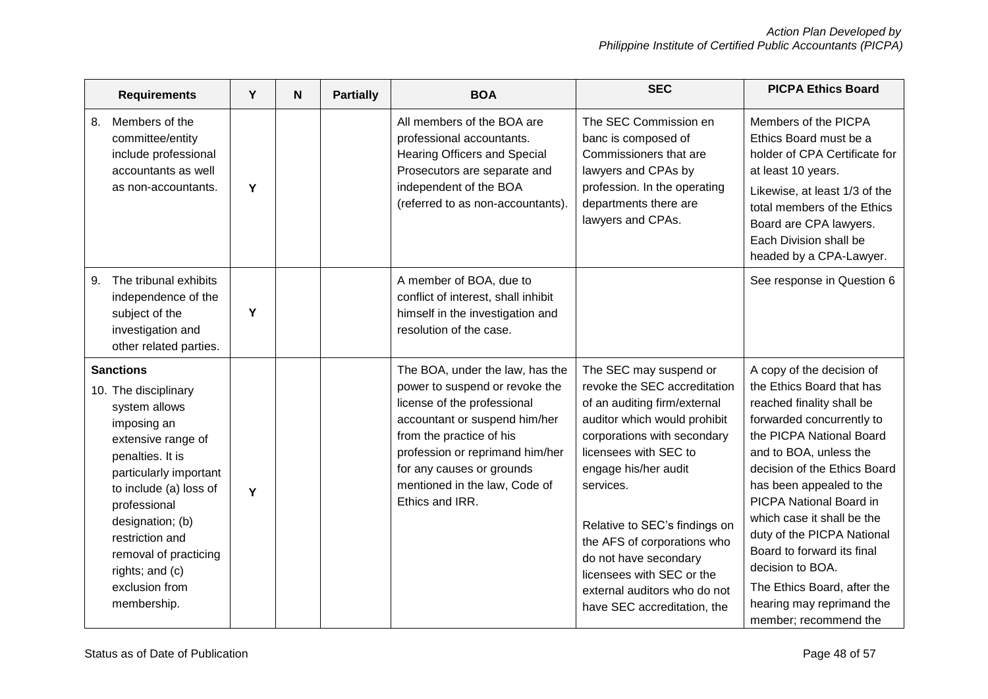| <b>Requirements</b>                                                                                                                                                                                                                                                                                        | Y | N | <b>Partially</b> | <b>BOA</b>                                                                                                                                                                                                                                                                        | <b>SEC</b>                                                                                                                                                                                                                                                                                                                                                                                               | <b>PICPA Ethics Board</b>                                                                                                                                                                                                                                                                                                                                                                                                                                        |
|------------------------------------------------------------------------------------------------------------------------------------------------------------------------------------------------------------------------------------------------------------------------------------------------------------|---|---|------------------|-----------------------------------------------------------------------------------------------------------------------------------------------------------------------------------------------------------------------------------------------------------------------------------|----------------------------------------------------------------------------------------------------------------------------------------------------------------------------------------------------------------------------------------------------------------------------------------------------------------------------------------------------------------------------------------------------------|------------------------------------------------------------------------------------------------------------------------------------------------------------------------------------------------------------------------------------------------------------------------------------------------------------------------------------------------------------------------------------------------------------------------------------------------------------------|
| 8.<br>Members of the<br>committee/entity<br>include professional<br>accountants as well<br>as non-accountants.                                                                                                                                                                                             | Y |   |                  | All members of the BOA are<br>professional accountants.<br>Hearing Officers and Special<br>Prosecutors are separate and<br>independent of the BOA<br>(referred to as non-accountants).                                                                                            | The SEC Commission en<br>banc is composed of<br>Commissioners that are<br>lawyers and CPAs by<br>profession. In the operating<br>departments there are<br>lawyers and CPAs.                                                                                                                                                                                                                              | Members of the PICPA<br>Ethics Board must be a<br>holder of CPA Certificate for<br>at least 10 years.<br>Likewise, at least 1/3 of the<br>total members of the Ethics<br>Board are CPA lawyers.<br>Each Division shall be<br>headed by a CPA-Lawyer.                                                                                                                                                                                                             |
| The tribunal exhibits<br>9.<br>independence of the<br>subject of the<br>investigation and<br>other related parties.                                                                                                                                                                                        | Y |   |                  | A member of BOA, due to<br>conflict of interest, shall inhibit<br>himself in the investigation and<br>resolution of the case.                                                                                                                                                     |                                                                                                                                                                                                                                                                                                                                                                                                          | See response in Question 6                                                                                                                                                                                                                                                                                                                                                                                                                                       |
| <b>Sanctions</b><br>10. The disciplinary<br>system allows<br>imposing an<br>extensive range of<br>penalties. It is<br>particularly important<br>to include (a) loss of<br>professional<br>designation; (b)<br>restriction and<br>removal of practicing<br>rights; and (c)<br>exclusion from<br>membership. | Y |   |                  | The BOA, under the law, has the<br>power to suspend or revoke the<br>license of the professional<br>accountant or suspend him/her<br>from the practice of his<br>profession or reprimand him/her<br>for any causes or grounds<br>mentioned in the law, Code of<br>Ethics and IRR. | The SEC may suspend or<br>revoke the SEC accreditation<br>of an auditing firm/external<br>auditor which would prohibit<br>corporations with secondary<br>licensees with SEC to<br>engage his/her audit<br>services.<br>Relative to SEC's findings on<br>the AFS of corporations who<br>do not have secondary<br>licensees with SEC or the<br>external auditors who do not<br>have SEC accreditation, the | A copy of the decision of<br>the Ethics Board that has<br>reached finality shall be<br>forwarded concurrently to<br>the PICPA National Board<br>and to BOA, unless the<br>decision of the Ethics Board<br>has been appealed to the<br>PICPA National Board in<br>which case it shall be the<br>duty of the PICPA National<br>Board to forward its final<br>decision to BOA.<br>The Ethics Board, after the<br>hearing may reprimand the<br>member; recommend the |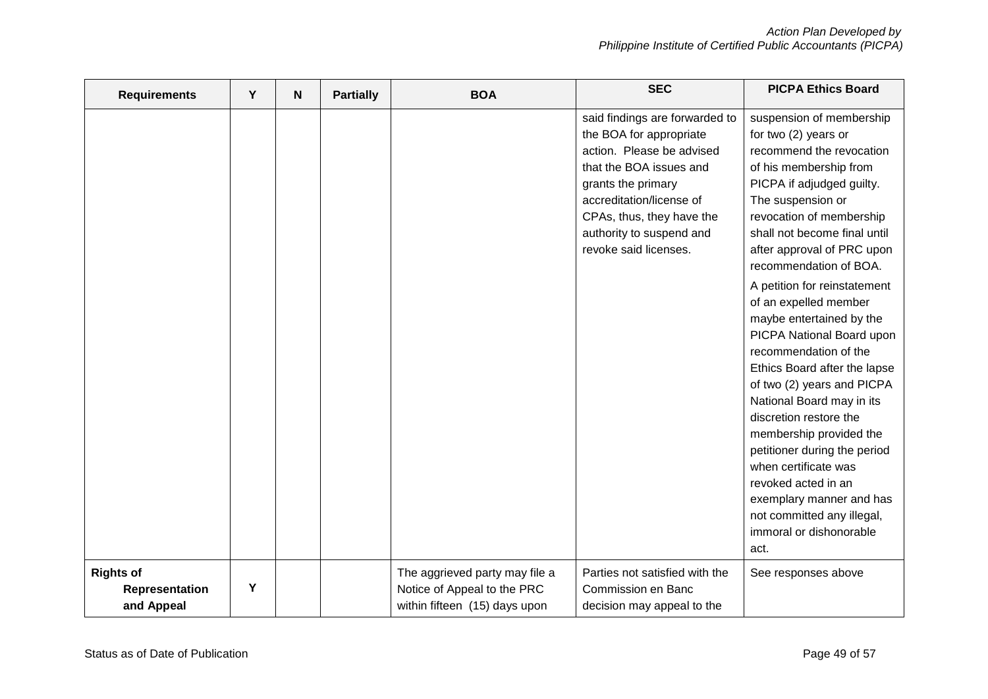| <b>Requirements</b>                              | Y | N | <b>Partially</b> | <b>BOA</b>                                                                                     | <b>SEC</b>                                                                                                                                                                                                                                            | <b>PICPA Ethics Board</b>                                                                                                                                                                                                                                                                                                                                                                                                                                                                                                                                                                                                                                                                                                                           |
|--------------------------------------------------|---|---|------------------|------------------------------------------------------------------------------------------------|-------------------------------------------------------------------------------------------------------------------------------------------------------------------------------------------------------------------------------------------------------|-----------------------------------------------------------------------------------------------------------------------------------------------------------------------------------------------------------------------------------------------------------------------------------------------------------------------------------------------------------------------------------------------------------------------------------------------------------------------------------------------------------------------------------------------------------------------------------------------------------------------------------------------------------------------------------------------------------------------------------------------------|
|                                                  |   |   |                  |                                                                                                | said findings are forwarded to<br>the BOA for appropriate<br>action. Please be advised<br>that the BOA issues and<br>grants the primary<br>accreditation/license of<br>CPAs, thus, they have the<br>authority to suspend and<br>revoke said licenses. | suspension of membership<br>for two (2) years or<br>recommend the revocation<br>of his membership from<br>PICPA if adjudged guilty.<br>The suspension or<br>revocation of membership<br>shall not become final until<br>after approval of PRC upon<br>recommendation of BOA.<br>A petition for reinstatement<br>of an expelled member<br>maybe entertained by the<br>PICPA National Board upon<br>recommendation of the<br>Ethics Board after the lapse<br>of two (2) years and PICPA<br>National Board may in its<br>discretion restore the<br>membership provided the<br>petitioner during the period<br>when certificate was<br>revoked acted in an<br>exemplary manner and has<br>not committed any illegal,<br>immoral or dishonorable<br>act. |
| <b>Rights of</b><br>Representation<br>and Appeal | Υ |   |                  | The aggrieved party may file a<br>Notice of Appeal to the PRC<br>within fifteen (15) days upon | Parties not satisfied with the<br>Commission en Banc<br>decision may appeal to the                                                                                                                                                                    | See responses above                                                                                                                                                                                                                                                                                                                                                                                                                                                                                                                                                                                                                                                                                                                                 |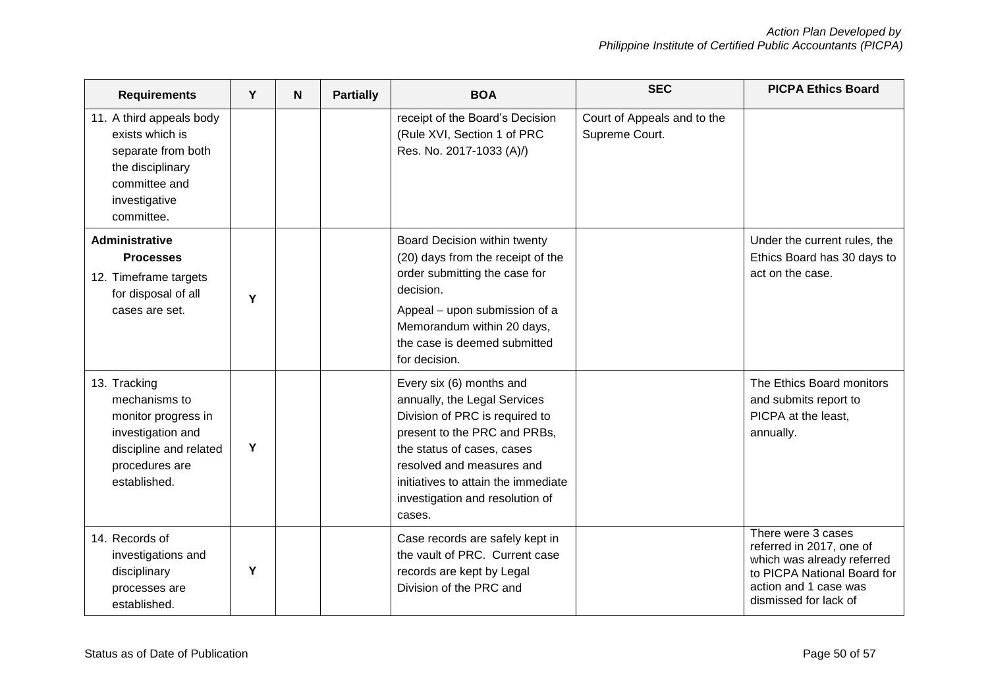| <b>Requirements</b>                                                                                                                   | Y | N | <b>Partially</b> | <b>BOA</b>                                                                                                                                                                                                                                                                | <b>SEC</b>                                    | <b>PICPA Ethics Board</b>                                                                                                                                     |
|---------------------------------------------------------------------------------------------------------------------------------------|---|---|------------------|---------------------------------------------------------------------------------------------------------------------------------------------------------------------------------------------------------------------------------------------------------------------------|-----------------------------------------------|---------------------------------------------------------------------------------------------------------------------------------------------------------------|
| 11. A third appeals body<br>exists which is<br>separate from both<br>the disciplinary<br>committee and<br>investigative<br>committee. |   |   |                  | receipt of the Board's Decision<br>(Rule XVI, Section 1 of PRC<br>Res. No. 2017-1033 (A)/)                                                                                                                                                                                | Court of Appeals and to the<br>Supreme Court. |                                                                                                                                                               |
| <b>Administrative</b><br><b>Processes</b><br>12. Timeframe targets<br>for disposal of all<br>cases are set.                           | Y |   |                  | Board Decision within twenty<br>(20) days from the receipt of the<br>order submitting the case for<br>decision.<br>Appeal - upon submission of a<br>Memorandum within 20 days,<br>the case is deemed submitted<br>for decision.                                           |                                               | Under the current rules, the<br>Ethics Board has 30 days to<br>act on the case.                                                                               |
| 13. Tracking<br>mechanisms to<br>monitor progress in<br>investigation and<br>discipline and related<br>procedures are<br>established. | Y |   |                  | Every six (6) months and<br>annually, the Legal Services<br>Division of PRC is required to<br>present to the PRC and PRBs,<br>the status of cases, cases<br>resolved and measures and<br>initiatives to attain the immediate<br>investigation and resolution of<br>cases. |                                               | The Ethics Board monitors<br>and submits report to<br>PICPA at the least,<br>annually.                                                                        |
| 14. Records of<br>investigations and<br>disciplinary<br>processes are<br>established.                                                 | Y |   |                  | Case records are safely kept in<br>the vault of PRC. Current case<br>records are kept by Legal<br>Division of the PRC and                                                                                                                                                 |                                               | There were 3 cases<br>referred in 2017, one of<br>which was already referred<br>to PICPA National Board for<br>action and 1 case was<br>dismissed for lack of |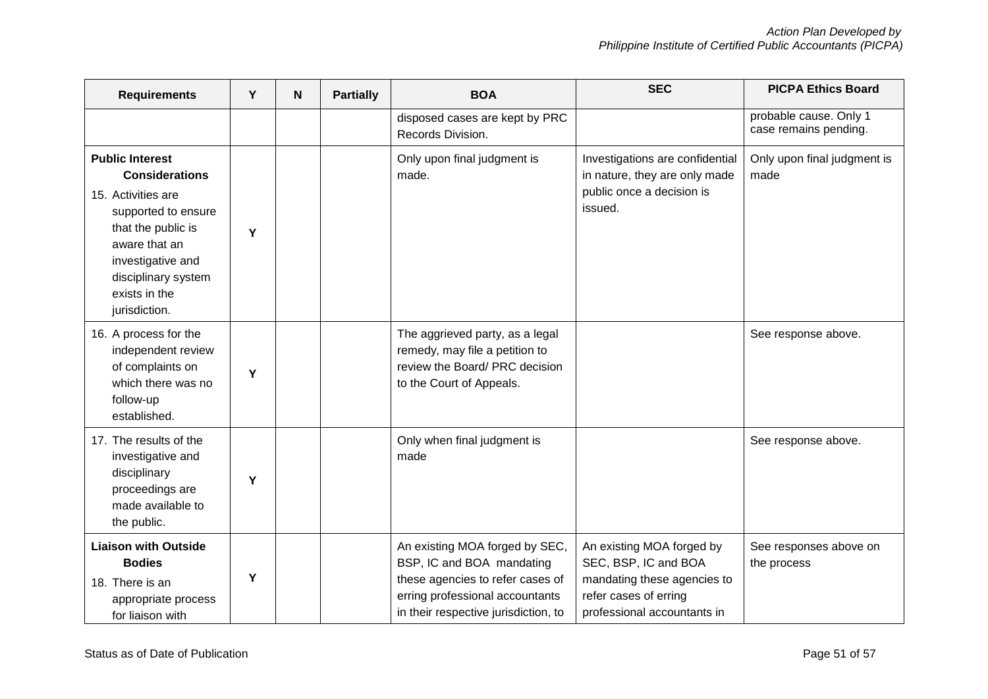| <b>Requirements</b>                                                                                                                                                                                                    | Y | N                                    | <b>Partially</b>                                                                                                                | <b>SEC</b><br><b>BOA</b>                                                                                                                                                   |                                                                                                                                          | <b>PICPA Ethics Board</b>                       |
|------------------------------------------------------------------------------------------------------------------------------------------------------------------------------------------------------------------------|---|--------------------------------------|---------------------------------------------------------------------------------------------------------------------------------|----------------------------------------------------------------------------------------------------------------------------------------------------------------------------|------------------------------------------------------------------------------------------------------------------------------------------|-------------------------------------------------|
|                                                                                                                                                                                                                        |   |                                      |                                                                                                                                 | disposed cases are kept by PRC<br>Records Division.                                                                                                                        |                                                                                                                                          | probable cause. Only 1<br>case remains pending. |
| <b>Public Interest</b><br><b>Considerations</b><br>15. Activities are<br>supported to ensure<br>that the public is<br>Y<br>aware that an<br>investigative and<br>disciplinary system<br>exists in the<br>jurisdiction. |   | Only upon final judgment is<br>made. | Investigations are confidential<br>in nature, they are only made<br>public once a decision is<br>issued.                        | Only upon final judgment is<br>made                                                                                                                                        |                                                                                                                                          |                                                 |
| 16. A process for the<br>independent review<br>of complaints on<br>which there was no<br>follow-up<br>established.                                                                                                     | Y |                                      | The aggrieved party, as a legal<br>remedy, may file a petition to<br>review the Board/ PRC decision<br>to the Court of Appeals. |                                                                                                                                                                            | See response above.                                                                                                                      |                                                 |
| 17. The results of the<br>investigative and<br>made<br>disciplinary<br>Y<br>proceedings are<br>made available to<br>the public.                                                                                        |   | Only when final judgment is          |                                                                                                                                 | See response above.                                                                                                                                                        |                                                                                                                                          |                                                 |
| <b>Liaison with Outside</b><br><b>Bodies</b><br>18. There is an<br>appropriate process<br>for liaison with                                                                                                             | Y |                                      |                                                                                                                                 | An existing MOA forged by SEC,<br>BSP, IC and BOA mandating<br>these agencies to refer cases of<br>erring professional accountants<br>in their respective jurisdiction, to | An existing MOA forged by<br>SEC, BSP, IC and BOA<br>mandating these agencies to<br>refer cases of erring<br>professional accountants in | See responses above on<br>the process           |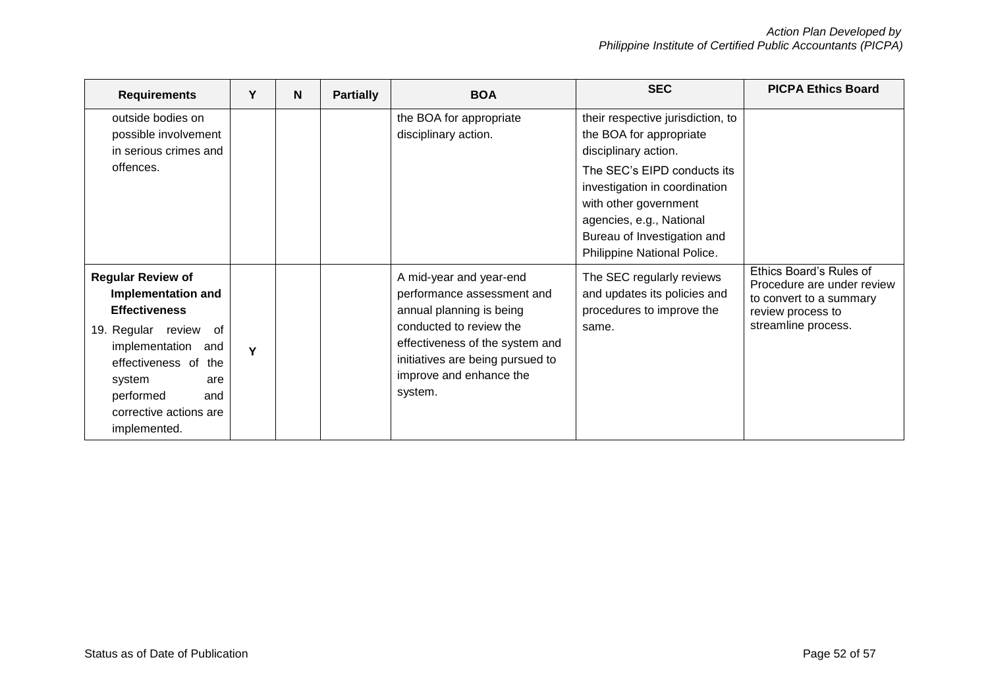| <b>Requirements</b>                                                                                                                                                                                                                           | Υ | N | <b>Partially</b> | <b>BOA</b>                                                                                                                                                                                                                | <b>SEC</b>                                                                                                                                                                      | <b>PICPA Ethics Board</b>                                                                                                    |
|-----------------------------------------------------------------------------------------------------------------------------------------------------------------------------------------------------------------------------------------------|---|---|------------------|---------------------------------------------------------------------------------------------------------------------------------------------------------------------------------------------------------------------------|---------------------------------------------------------------------------------------------------------------------------------------------------------------------------------|------------------------------------------------------------------------------------------------------------------------------|
| outside bodies on<br>possible involvement<br>in serious crimes and                                                                                                                                                                            |   |   |                  | the BOA for appropriate<br>disciplinary action.                                                                                                                                                                           | their respective jurisdiction, to<br>the BOA for appropriate<br>disciplinary action.                                                                                            |                                                                                                                              |
| offences.                                                                                                                                                                                                                                     |   |   |                  |                                                                                                                                                                                                                           | The SEC's EIPD conducts its<br>investigation in coordination<br>with other government<br>agencies, e.g., National<br>Bureau of Investigation and<br>Philippine National Police. |                                                                                                                              |
| <b>Regular Review of</b><br><b>Implementation and</b><br><b>Effectiveness</b><br>19. Regular review<br>of.<br>implementation<br>and<br>effectiveness of<br>the<br>system<br>are<br>performed<br>and<br>corrective actions are<br>implemented. | Y |   |                  | A mid-year and year-end<br>performance assessment and<br>annual planning is being<br>conducted to review the<br>effectiveness of the system and<br>initiatives are being pursued to<br>improve and enhance the<br>system. | The SEC regularly reviews<br>and updates its policies and<br>procedures to improve the<br>same.                                                                                 | Ethics Board's Rules of<br>Procedure are under review<br>to convert to a summary<br>review process to<br>streamline process. |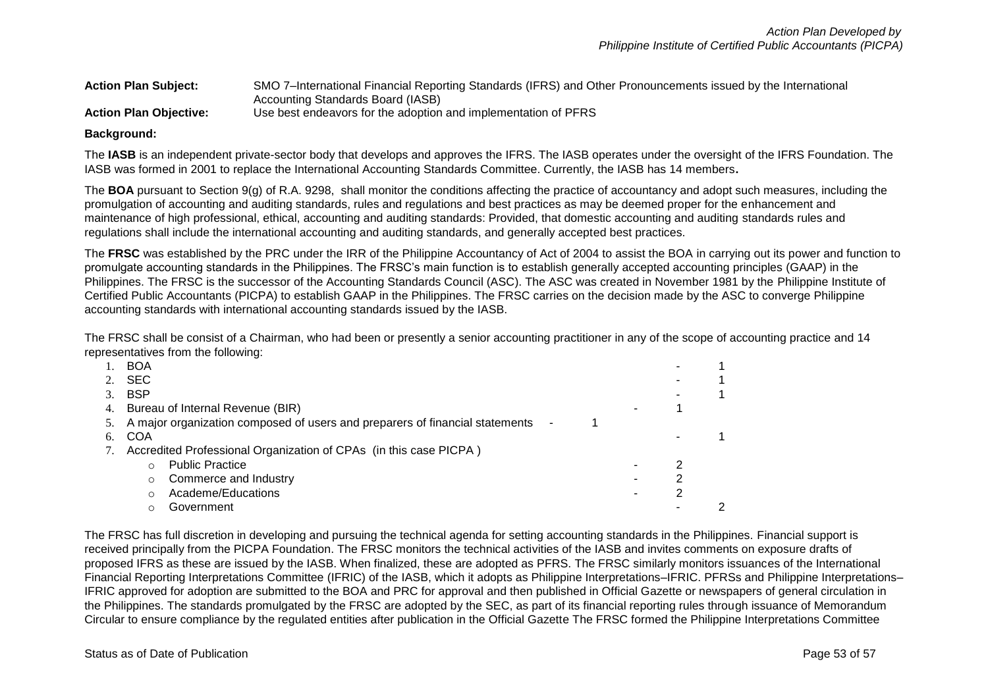#### **Action Plan Subject:** SMO 7–International Financial Reporting Standards (IFRS) and Other Pronouncements issued by the International Accounting Standards Board (IASB) **Action Plan Objective:** Use best endeavors for the adoption and implementation of PFRS

#### **Background:**

The **IASB** is an independent private-sector body that develops and approves the IFRS. The IASB operates under the oversight of the IFRS Foundation. The IASB was formed in 2001 to replace the International Accounting Standards Committee. Currently, the IASB has 14 members**.**

The **BOA** pursuant to Section 9(g) of R.A. 9298, shall monitor the conditions affecting the practice of accountancy and adopt such measures, including the promulgation of accounting and auditing standards, rules and regulations and best practices as may be deemed proper for the enhancement and maintenance of high professional, ethical, accounting and auditing standards: Provided, that domestic accounting and auditing standards rules and regulations shall include the international accounting and auditing standards, and generally accepted best practices.

The **FRSC** was established by the PRC under the IRR of the Philippine Accountancy of Act of 2004 to assist the BOA in carrying out its power and function to promulgate accounting standards in the Philippines. The FRSC's main function is to establish generally accepted accounting principles (GAAP) in the Philippines. The FRSC is the successor of the Accounting Standards Council (ASC). The ASC was created in November 1981 by the Philippine Institute of Certified Public Accountants (PICPA) to establish GAAP in the Philippines. The FRSC carries on the decision made by the ASC to converge Philippine accounting standards with international accounting standards issued by the IASB.

The FRSC shall be consist of a Chairman, who had been or presently a senior accounting practitioner in any of the scope of accounting practice and 14 representatives from the following:

|    | <b>BOA</b>                                                                      |  |  |
|----|---------------------------------------------------------------------------------|--|--|
|    | <b>SEC</b>                                                                      |  |  |
|    | <b>BSP</b>                                                                      |  |  |
|    | 4. Bureau of Internal Revenue (BIR)                                             |  |  |
|    | 5. A major organization composed of users and preparers of financial statements |  |  |
| 6. | COA                                                                             |  |  |
|    | Accredited Professional Organization of CPAs (in this case PICPA)               |  |  |
|    | <b>Public Practice</b>                                                          |  |  |
|    | Commerce and Industry                                                           |  |  |
|    | Academe/Educations                                                              |  |  |
|    | Government                                                                      |  |  |

The FRSC has full discretion in developing and pursuing the technical agenda for setting accounting standards in the Philippines. Financial support is received principally from the PICPA Foundation. The FRSC monitors the technical activities of the IASB and invites comments on exposure drafts of proposed IFRS as these are issued by the IASB. When finalized, these are adopted as PFRS. The FRSC similarly monitors issuances of the International Financial Reporting Interpretations Committee (IFRIC) of the IASB, which it adopts as Philippine Interpretations–IFRIC. PFRSs and Philippine Interpretations– IFRIC approved for adoption are submitted to the BOA and PRC for approval and then published in Official Gazette or newspapers of general circulation in the Philippines. The standards promulgated by the FRSC are adopted by the SEC, as part of its financial reporting rules through issuance of Memorandum Circular to ensure compliance by the regulated entities after publication in the Official Gazette The FRSC formed the Philippine Interpretations Committee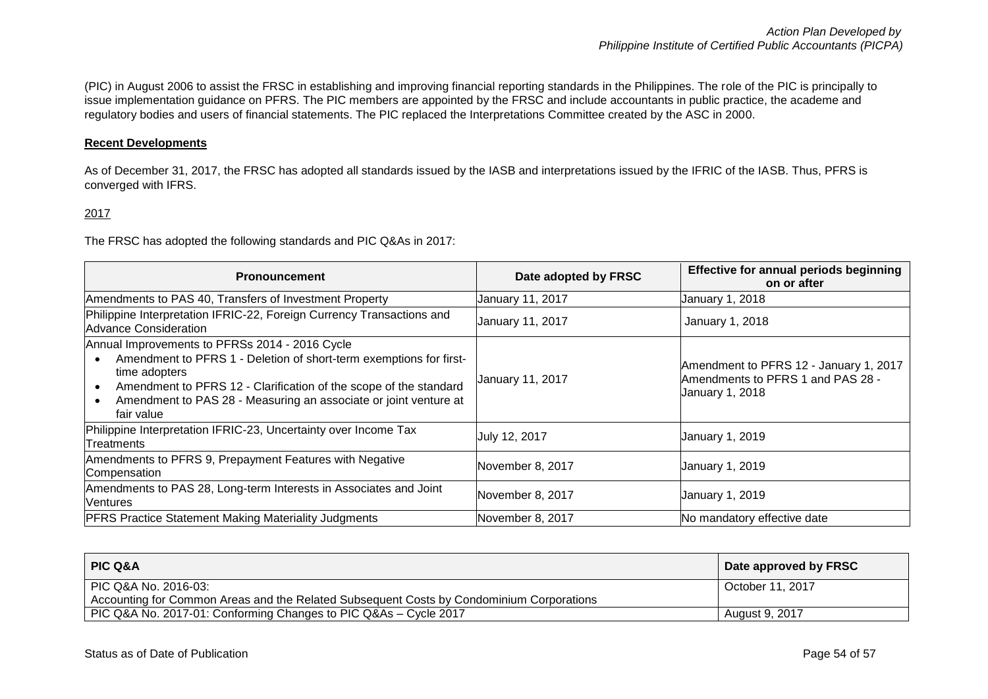(PIC) in August 2006 to assist the FRSC in establishing and improving financial reporting standards in the Philippines. The role of the PIC is principally to issue implementation guidance on PFRS. The PIC members are appointed by the FRSC and include accountants in public practice, the academe and regulatory bodies and users of financial statements. The PIC replaced the Interpretations Committee created by the ASC in 2000.

### **Recent Developments**

As of December 31, 2017, the FRSC has adopted all standards issued by the IASB and interpretations issued by the IFRIC of the IASB. Thus, PFRS is converged with IFRS.

#### 2017

The FRSC has adopted the following standards and PIC Q&As in 2017:

| <b>Pronouncement</b>                                                                                                                                                                                                                                                                                                   | Date adopted by FRSC | Effective for annual periods beginning<br>on or after                                          |
|------------------------------------------------------------------------------------------------------------------------------------------------------------------------------------------------------------------------------------------------------------------------------------------------------------------------|----------------------|------------------------------------------------------------------------------------------------|
| Amendments to PAS 40, Transfers of Investment Property                                                                                                                                                                                                                                                                 | January 11, 2017     | January 1, 2018                                                                                |
| Philippine Interpretation IFRIC-22, Foreign Currency Transactions and<br>Advance Consideration                                                                                                                                                                                                                         | January 11, 2017     | January 1, 2018                                                                                |
| Annual Improvements to PFRSs 2014 - 2016 Cycle<br>Amendment to PFRS 1 - Deletion of short-term exemptions for first-<br>time adopters<br>Amendment to PFRS 12 - Clarification of the scope of the standard<br>$\bullet$<br>Amendment to PAS 28 - Measuring an associate or joint venture at<br>$\bullet$<br>fair value | January 11, 2017     | Amendment to PFRS 12 - January 1, 2017<br>Amendments to PFRS 1 and PAS 28 -<br>January 1, 2018 |
| Philippine Interpretation IFRIC-23, Uncertainty over Income Tax<br>lTreatments                                                                                                                                                                                                                                         | July 12, 2017        | January 1, 2019                                                                                |
| Amendments to PFRS 9, Prepayment Features with Negative<br>Compensation                                                                                                                                                                                                                                                | November 8, 2017     | January 1, 2019                                                                                |
| Amendments to PAS 28, Long-term Interests in Associates and Joint<br>Ventures                                                                                                                                                                                                                                          | November 8, 2017     | January 1, 2019                                                                                |
| <b>PFRS Practice Statement Making Materiality Judgments</b>                                                                                                                                                                                                                                                            | November 8, 2017     | No mandatory effective date                                                                    |

| <b>PIC Q&amp;A</b>                                                                       | Date approved by FRSC |
|------------------------------------------------------------------------------------------|-----------------------|
| PIC Q&A No. 2016-03:                                                                     | October 11, 2017      |
| Accounting for Common Areas and the Related Subsequent Costs by Condominium Corporations |                       |
| PIC Q&A No. 2017-01: Conforming Changes to PIC Q&As - Cycle 2017                         | August 9, 2017        |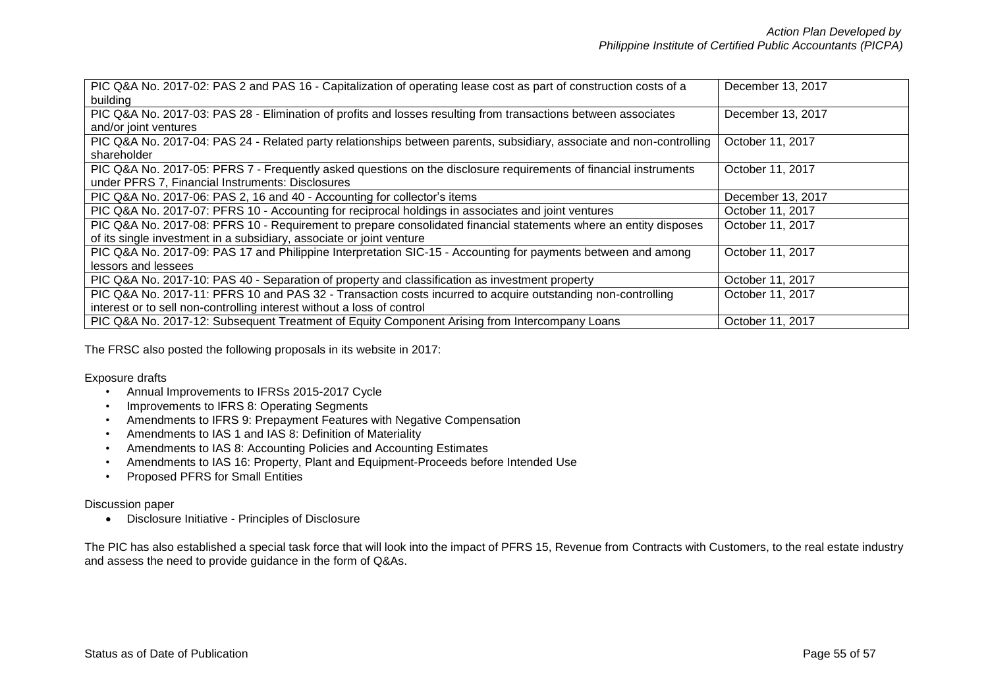| PIC Q&A No. 2017-02: PAS 2 and PAS 16 - Capitalization of operating lease cost as part of construction costs of a    | December 13, 2017 |
|----------------------------------------------------------------------------------------------------------------------|-------------------|
| building                                                                                                             |                   |
| PIC Q&A No. 2017-03: PAS 28 - Elimination of profits and losses resulting from transactions between associates       | December 13, 2017 |
| and/or joint ventures                                                                                                |                   |
| PIC Q&A No. 2017-04: PAS 24 - Related party relationships between parents, subsidiary, associate and non-controlling | October 11, 2017  |
| shareholder                                                                                                          |                   |
| PIC Q&A No. 2017-05: PFRS 7 - Frequently asked questions on the disclosure requirements of financial instruments     | October 11, 2017  |
| under PFRS 7, Financial Instruments: Disclosures                                                                     |                   |
| PIC Q&A No. 2017-06: PAS 2, 16 and 40 - Accounting for collector's items                                             | December 13, 2017 |
| PIC Q&A No. 2017-07: PFRS 10 - Accounting for reciprocal holdings in associates and joint ventures                   | October 11, 2017  |
| PIC Q&A No. 2017-08: PFRS 10 - Requirement to prepare consolidated financial statements where an entity disposes     | October 11, 2017  |
| of its single investment in a subsidiary, associate or joint venture                                                 |                   |
| PIC Q&A No. 2017-09: PAS 17 and Philippine Interpretation SIC-15 - Accounting for payments between and among         | October 11, 2017  |
| lessors and lessees                                                                                                  |                   |
| PIC Q&A No. 2017-10: PAS 40 - Separation of property and classification as investment property                       | October 11, 2017  |
| PIC Q&A No. 2017-11: PFRS 10 and PAS 32 - Transaction costs incurred to acquire outstanding non-controlling          | October 11, 2017  |
| interest or to sell non-controlling interest without a loss of control                                               |                   |
| PIC Q&A No. 2017-12: Subsequent Treatment of Equity Component Arising from Intercompany Loans                        | October 11, 2017  |

The FRSC also posted the following proposals in its website in 2017:

Exposure drafts

- Annual Improvements to IFRSs 2015-2017 Cycle
- Improvements to IFRS 8: Operating Segments
- Amendments to IFRS 9: Prepayment Features with Negative Compensation
- Amendments to IAS 1 and IAS 8: Definition of Materiality
- Amendments to IAS 8: Accounting Policies and Accounting Estimates
- Amendments to IAS 16: Property, Plant and Equipment-Proceeds before Intended Use
- Proposed PFRS for Small Entities

### Discussion paper

Disclosure Initiative - Principles of Disclosure

The PIC has also established a special task force that will look into the impact of PFRS 15, Revenue from Contracts with Customers, to the real estate industry and assess the need to provide guidance in the form of Q&As.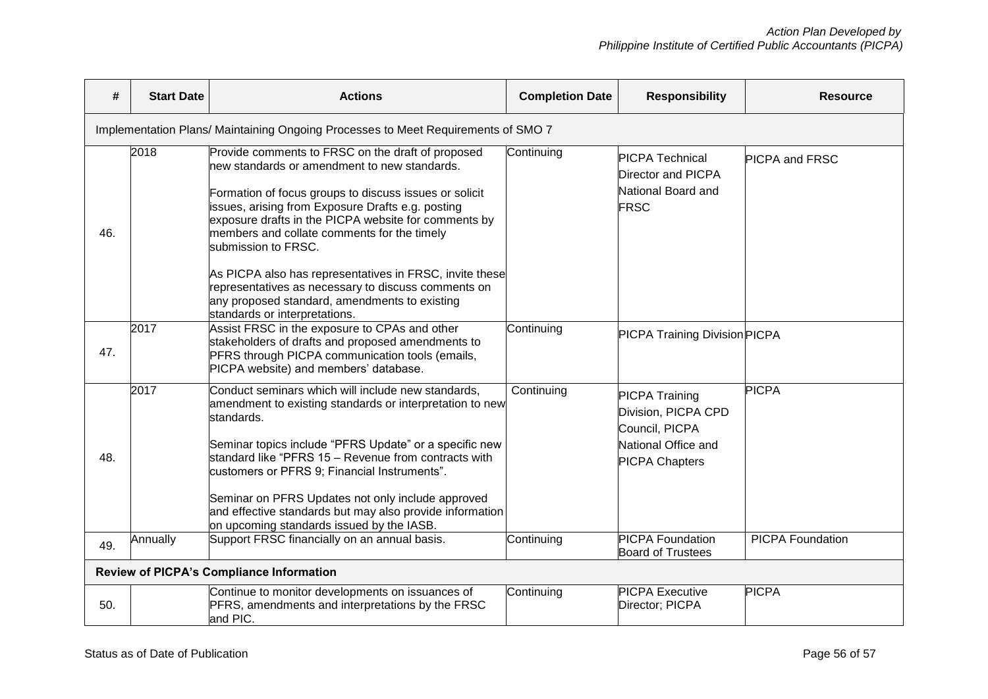| #                                                                                 | <b>Start Date</b> | <b>Actions</b>                                                                                                                                                                                                                                                                                                                                                                                                                                                                                                                                     | <b>Completion Date</b> | <b>Responsibility</b>                                                                                          | <b>Resource</b>         |  |
|-----------------------------------------------------------------------------------|-------------------|----------------------------------------------------------------------------------------------------------------------------------------------------------------------------------------------------------------------------------------------------------------------------------------------------------------------------------------------------------------------------------------------------------------------------------------------------------------------------------------------------------------------------------------------------|------------------------|----------------------------------------------------------------------------------------------------------------|-------------------------|--|
| Implementation Plans/ Maintaining Ongoing Processes to Meet Requirements of SMO 7 |                   |                                                                                                                                                                                                                                                                                                                                                                                                                                                                                                                                                    |                        |                                                                                                                |                         |  |
| 46.                                                                               | 2018              | Provide comments to FRSC on the draft of proposed<br>new standards or amendment to new standards.<br>Formation of focus groups to discuss issues or solicit<br>issues, arising from Exposure Drafts e.g. posting<br>exposure drafts in the PICPA website for comments by<br>members and collate comments for the timely<br>submission to FRSC.<br>As PICPA also has representatives in FRSC, invite these<br>representatives as necessary to discuss comments on<br>any proposed standard, amendments to existing<br>standards or interpretations. | Continuing             | <b>PICPA Technical</b><br>Director and PICPA<br>National Board and<br><b>FRSC</b>                              | <b>PICPA and FRSC</b>   |  |
| 47.                                                                               | 2017              | Assist FRSC in the exposure to CPAs and other<br>stakeholders of drafts and proposed amendments to<br>PFRS through PICPA communication tools (emails,<br>PICPA website) and members' database.                                                                                                                                                                                                                                                                                                                                                     | Continuing             | PICPA Training Division PICPA                                                                                  |                         |  |
| 48.                                                                               | 2017              | Conduct seminars which will include new standards,<br>amendment to existing standards or interpretation to new<br>standards.<br>Seminar topics include "PFRS Update" or a specific new<br>standard like "PFRS 15 - Revenue from contracts with<br>customers or PFRS 9; Financial Instruments".<br>Seminar on PFRS Updates not only include approved<br>and effective standards but may also provide information<br>on upcoming standards issued by the IASB.                                                                                       | Continuing             | <b>PICPA Training</b><br>Division, PICPA CPD<br>Council, PICPA<br>National Office and<br><b>PICPA Chapters</b> | <b>PICPA</b>            |  |
| 49.                                                                               | Annually          | Support FRSC financially on an annual basis.                                                                                                                                                                                                                                                                                                                                                                                                                                                                                                       | Continuing             | <b>PICPA Foundation</b><br><b>Board of Trustees</b>                                                            | <b>PICPA Foundation</b> |  |
| <b>Review of PICPA's Compliance Information</b>                                   |                   |                                                                                                                                                                                                                                                                                                                                                                                                                                                                                                                                                    |                        |                                                                                                                |                         |  |
| 50.                                                                               |                   | Continue to monitor developments on issuances of<br>PFRS, amendments and interpretations by the FRSC<br>and PIC.                                                                                                                                                                                                                                                                                                                                                                                                                                   | Continuing             | <b>PICPA Executive</b><br>Director; PICPA                                                                      | <b>PICPA</b>            |  |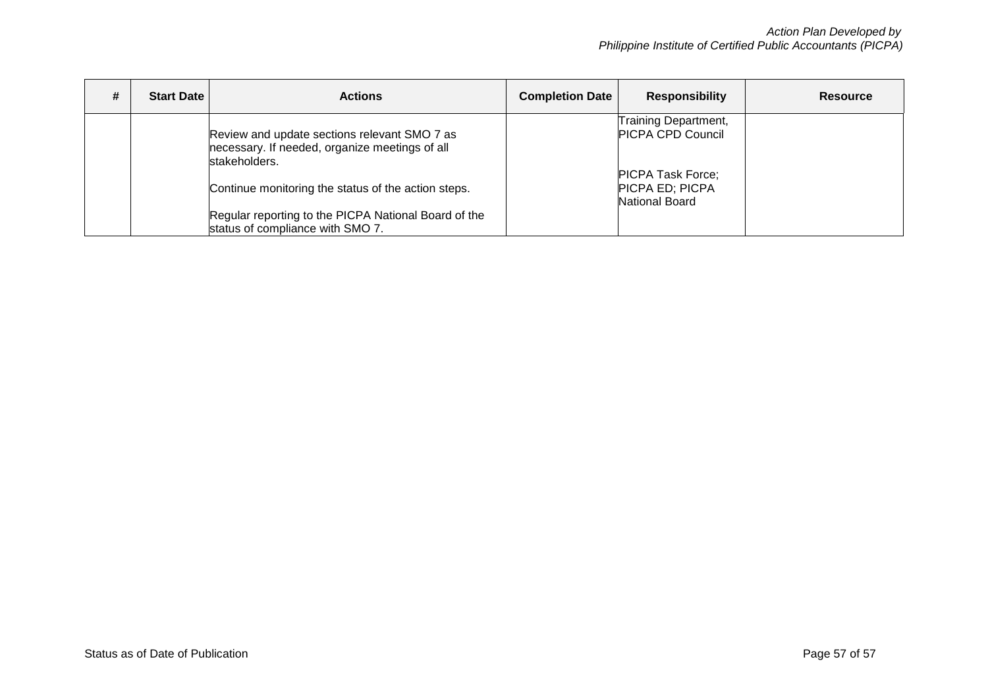| <b>Start Date</b> | <b>Actions</b>                                                                                                  | <b>Completion Date</b> | <b>Responsibility</b>                                                | <b>Resource</b> |
|-------------------|-----------------------------------------------------------------------------------------------------------------|------------------------|----------------------------------------------------------------------|-----------------|
|                   | Review and update sections relevant SMO 7 as<br>necessary. If needed, organize meetings of all<br>stakeholders. |                        | Training Department,<br><b>PICPA CPD Council</b>                     |                 |
|                   | Continue monitoring the status of the action steps.                                                             |                        | <b>PICPA Task Force;</b><br><b>PICPA ED; PICPA</b><br>National Board |                 |
|                   | Regular reporting to the PICPA National Board of the<br>status of compliance with SMO 7.                        |                        |                                                                      |                 |